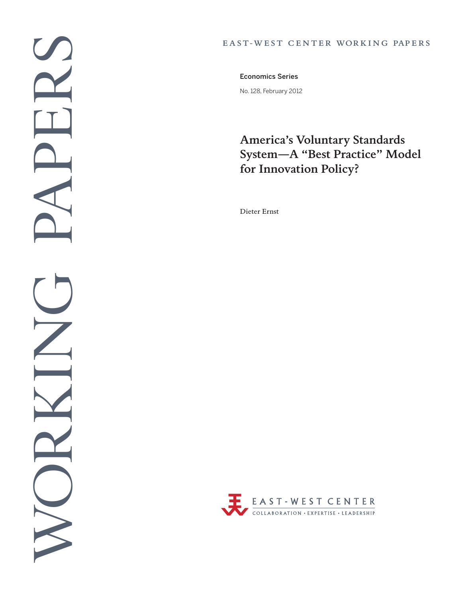#### EAST-WEST CENTER WORKING PAPERS

No. 128, February 2012 Economics Series

# **America's Voluntary Standards System—A "Best Practice" Model for Innovation Policy?**

Dieter Ernst

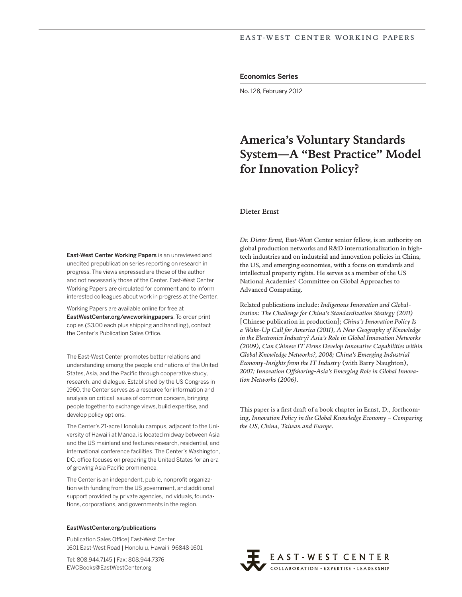#### Economics Series

No. 128, February 2012

# **America's Voluntary Standards System—A "Best Practice" Model for Innovation Policy?**

#### Dieter Ernst

East-West Center Working Papers is an unreviewed and unedited prepublication series reporting on research in progress. The views expressed are those of the author and not necessarily those of the Center. East-West Center Working Papers are circulated for comment and to inform interested colleagues about work in progress at the Center.

Working Papers are available online for free at EastWestCenter.org/ewcworkingpapers. To order print copies (\$3.00 each plus shipping and handling), contact the Center's Publication Sales Office.

The East-West Center promotes better relations and understanding among the people and nations of the United States, Asia, and the Pacific through cooperative study, research, and dialogue. Established by the US Congress in 1960, the Center serves as a resource for information and analysis on critical issues of common concern, bringing people together to exchange views, build expertise, and develop policy options.

The Center's 21-acre Honolulu campus, adjacent to the University of Hawai'i at Mānoa, is located midway between Asia and the US mainland and features research, residential, and international conference facilities. The Center's Washington, DC, office focuses on preparing the United States for an era of growing Asia Pacific prominence.

The Center is an independent, public, nonprofit organization with funding from the US government, and additional support provided by private agencies, individuals, foundations, corporations, and governments in the region.

#### EastWestCenter.org/publications

Publication Sales Office| East-West Center 1601 East-West Road | Honolulu, Hawai'i 96848-1601

Tel: 808.944.7145 | Fax: 808.944.7376 EWCBooks@EastWestCenter.org

*Dr. Dieter Ernst,* East-West Center senior fellow, is an authority on global production networks and R&D internationalization in hightech industries and on industrial and innovation policies in China, the US, and emerging economies, with a focus on standards and intellectual property rights. He serves as a member of the US National Academies' Committee on Global Approaches to Advanced Computing.

Related publications include: *Indigenous Innovation and Globalization: The Challenge for China's Standardization Strategy (2011)*  [Chinese publication in production]; *China's Innovation Policy Is a Wake-Up Call for America (2011), A New Geography of Knowledge in the Electronics Industry? Asia's Role in Global Innovation Networks (2009), Can Chinese IT Firms Develop Innovative Capabilities within Global Knowledge Networks?, 2008; China's Emerging Industrial Economy-Insights from the IT Industry* (with Barry Naughton), *2007; Innovation Offshoring-Asia's Emerging Role in Global Innovation Networks (2006).*

This paper is a first draft of a book chapter in Ernst, D., forthcoming, *Innovation Policy in the Global Knowledge Economy – Comparing the US, China, Taiwan and Europe.*

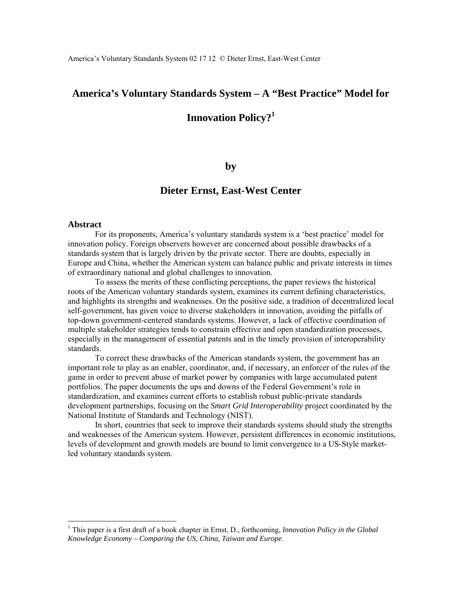## **America's Voluntary Standards System – A "Best Practice" Model for**

## **Innovation Policy?<sup>1</sup>**

#### **by**

## **Dieter Ernst, East-West Center**

#### **Abstract**

 $\overline{a}$ 

For its proponents, America's voluntary standards system is a 'best practice' model for innovation policy. Foreign observers however are concerned about possible drawbacks of a standards system that is largely driven by the private sector. There are doubts, especially in Europe and China, whether the American system can balance public and private interests in times of extraordinary national and global challenges to innovation.

 To assess the merits of these conflicting perceptions, the paper reviews the historical roots of the American voluntary standards system, examines its current defining characteristics, and highlights its strengths and weaknesses. On the positive side, a tradition of decentralized local self-government, has given voice to diverse stakeholders in innovation, avoiding the pitfalls of top-down government-centered standards systems. However, a lack of effective coordination of multiple stakeholder strategies tends to constrain effective and open standardization processes, especially in the management of essential patents and in the timely provision of interoperability standards.

 To correct these drawbacks of the American standards system, the government has an important role to play as an enabler, coordinator, and, if necessary, an enforcer of the rules of the game in order to prevent abuse of market power by companies with large accumulated patent portfolios. The paper documents the ups and downs of the Federal Government's role in standardization, and examines current efforts to establish robust public-private standards development partnerships, focusing on the *Smart Grid Interoperability* project coordinated by the National Institute of Standards and Technology (NIST).

 In short, countries that seek to improve their standards systems should study the strengths and weaknesses of the American system. However, persistent differences in economic institutions, levels of development and growth models are bound to limit convergence to a US-Style marketled voluntary standards system.

<sup>&</sup>lt;sup>1</sup> This paper is a first draft of a book chapter in Ernst, D., forthcoming, *Innovation Policy in the Global Knowledge Economy – Comparing the US, China, Taiwan and Europe*.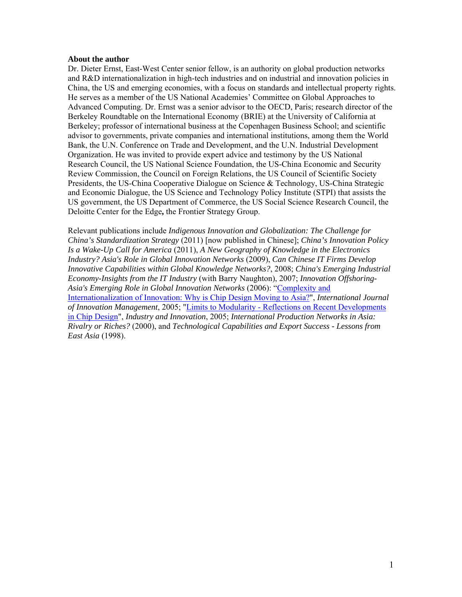#### **About the author**

Dr. Dieter Ernst, East-West Center senior fellow, is an authority on global production networks and R&D internationalization in high-tech industries and on industrial and innovation policies in China, the US and emerging economies, with a focus on standards and intellectual property rights. He serves as a member of the US National Academies' Committee on Global Approaches to Advanced Computing. Dr. Ernst was a senior advisor to the OECD, Paris; research director of the Berkeley Roundtable on the International Economy (BRIE) at the University of California at Berkeley; professor of international business at the Copenhagen Business School; and scientific advisor to governments, private companies and international institutions, among them the World Bank, the U.N. Conference on Trade and Development, and the U.N. Industrial Development Organization. He was invited to provide expert advice and testimony by the US National Research Council, the US National Science Foundation, the US-China Economic and Security Review Commission, the Council on Foreign Relations, the US Council of Scientific Society Presidents, the US-China Cooperative Dialogue on Science & Technology, US-China Strategic and Economic Dialogue, the US Science and Technology Policy Institute (STPI) that assists the US government, the US Department of Commerce, the US Social Science Research Council, the Deloitte Center for the Edge**,** the Frontier Strategy Group.

Relevant publications include *Indigenous Innovation and Globalization: The Challenge for China's Standardization Strategy* (2011) [now published in Chinese]; *China's Innovation Policy Is a Wake-Up Call for America* (2011), *A New Geography of Knowledge in the Electronics Industry? Asia's Role in Global Innovation Networks* (2009), *Can Chinese IT Firms Develop Innovative Capabilities within Global Knowledge Networks?*, 2008; *China's Emerging Industrial Economy-Insights from the IT Industry* (with Barry Naughton), 2007; *Innovation Offshoring-Asia's Emerging Role in Global Innovation Networks* (2006): "Complexity and Internationalization of Innovation: Why is Chip Design Moving to Asia?", *International Journal of Innovation Management*, 2005; "Limits to Modularity - Reflections on Recent Developments in Chip Design", *Industry and Innovation*, 2005; *International Production Networks in Asia: Rivalry or Riches?* (2000), and *Technological Capabilities and Export Success - Lessons from East Asia* (1998).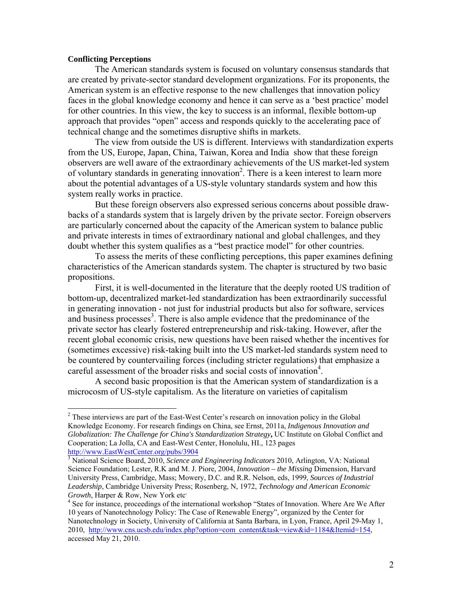#### **Conflicting Perceptions**

 $\overline{a}$ 

The American standards system is focused on voluntary consensus standards that are created by private-sector standard development organizations. For its proponents, the American system is an effective response to the new challenges that innovation policy faces in the global knowledge economy and hence it can serve as a 'best practice' model for other countries. In this view, the key to success is an informal, flexible bottom-up approach that provides "open" access and responds quickly to the accelerating pace of technical change and the sometimes disruptive shifts in markets.

 The view from outside the US is different. Interviews with standardization experts from the US, Europe, Japan, China, Taiwan, Korea and India show that these foreign observers are well aware of the extraordinary achievements of the US market-led system of voluntary standards in generating innovation<sup>2</sup>. There is a keen interest to learn more about the potential advantages of a US-style voluntary standards system and how this system really works in practice.

 But these foreign observers also expressed serious concerns about possible drawbacks of a standards system that is largely driven by the private sector. Foreign observers are particularly concerned about the capacity of the American system to balance public and private interests in times of extraordinary national and global challenges, and they doubt whether this system qualifies as a "best practice model" for other countries.

 To assess the merits of these conflicting perceptions, this paper examines defining characteristics of the American standards system. The chapter is structured by two basic propositions.

 First, it is well-documented in the literature that the deeply rooted US tradition of bottom-up, decentralized market-led standardization has been extraordinarily successful in generating innovation - not just for industrial products but also for software, services and business processes<sup>3</sup>. There is also ample evidence that the predominance of the private sector has clearly fostered entrepreneurship and risk-taking. However, after the recent global economic crisis, new questions have been raised whether the incentives for (sometimes excessive) risk-taking built into the US market-led standards system need to be countered by countervailing forces (including stricter regulations) that emphasize a careful assessment of the broader risks and social costs of innovation<sup>4</sup>.

 A second basic proposition is that the American system of standardization is a microcosm of US-style capitalism. As the literature on varieties of capitalism

<sup>&</sup>lt;sup>2</sup> These interviews are part of the East-West Center's research on innovation policy in the Global Knowledge Economy. For research findings on China, see Ernst, 2011a, *Indigenous Innovation and Globalization: The Challenge for China's Standardization Strategy***,** UC Institute on Global Conflict and Cooperation; La Jolla, CA and East-West Center, Honolulu, HI., 123 pages http://www.EastWestCenter.org/pubs/3904

<sup>3</sup> National Science Board, 2010, *Science and Engineering Indicators* 2010, Arlington, VA: National Science Foundation; Lester, R.K and M. J. Piore, 2004, *Innovation – the Missing* Dimension, Harvard University Press, Cambridge, Mass; Mowery, D.C. and R.R. Nelson, eds, 1999, *Sources of Industrial Leadership*, Cambridge University Press; Rosenberg, N, 1972, *Technology and American Economic Growth*, Harper & Row, New York etc*,* 

<sup>&</sup>lt;sup>4</sup> See for instance, proceedings of the international workshop "States of Innovation. Where Are We After 10 years of Nanotechnology Policy: The Case of Renewable Energy", organized by the Center for Nanotechnology in Society, University of California at Santa Barbara, in Lyon, France, April 29-May 1, 2010, http://www.cns.ucsb.edu/index.php?option=com\_content&task=view&id=1184&Itemid=154, accessed May 21, 2010.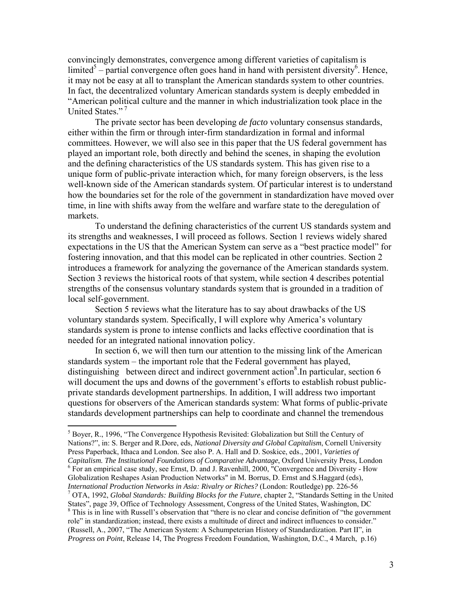convincingly demonstrates, convergence among different varieties of capitalism is limited<sup>5</sup> – partial convergence often goes hand in hand with persistent diversity<sup>6</sup>. Hence, it may not be easy at all to transplant the American standards system to other countries. In fact, the decentralized voluntary American standards system is deeply embedded in "American political culture and the manner in which industrialization took place in the United States."<sup>7</sup>

 The private sector has been developing *de facto* voluntary consensus standards, either within the firm or through inter-firm standardization in formal and informal committees. However, we will also see in this paper that the US federal government has played an important role, both directly and behind the scenes, in shaping the evolution and the defining characteristics of the US standards system. This has given rise to a unique form of public-private interaction which, for many foreign observers, is the less well-known side of the American standards system. Of particular interest is to understand how the boundaries set for the role of the government in standardization have moved over time, in line with shifts away from the welfare and warfare state to the deregulation of markets.

 To understand the defining characteristics of the current US standards system and its strengths and weaknesses, I will proceed as follows. Section 1 reviews widely shared expectations in the US that the American System can serve as a "best practice model" for fostering innovation, and that this model can be replicated in other countries. Section 2 introduces a framework for analyzing the governance of the American standards system. Section 3 reviews the historical roots of that system, while section 4 describes potential strengths of the consensus voluntary standards system that is grounded in a tradition of local self-government.

 Section 5 reviews what the literature has to say about drawbacks of the US voluntary standards system. Specifically, I will explore why America's voluntary standards system is prone to intense conflicts and lacks effective coordination that is needed for an integrated national innovation policy.

 In section 6, we will then turn our attention to the missing link of the American standards system – the important role that the Federal government has played, distinguishing between direct and indirect government action<sup>8</sup>. In particular, section 6 will document the ups and downs of the government's efforts to establish robust publicprivate standards development partnerships. In addition, I will address two important questions for observers of the American standards system: What forms of public-private standards development partnerships can help to coordinate and channel the tremendous

<sup>&</sup>lt;sup>5</sup> Boyer, R., 1996, "The Convergence Hypothesis Revisited: Globalization but Still the Century of Nations?", in: S. Berger and R.Dore, eds, *National Diversity and Global Capitalism*, Cornell University Press Paperback, Ithaca and London. See also P. A. Hall and D. Soskice, eds., 2001, *Varieties of Capitalism. The Institutional Foundations of Comparative Advantage*, Oxford University Press, London 6  $6$  For an empirical case study, see Ernst, D. and J. Ravenhill, 2000, "Convergence and Diversity - How Globalization Reshapes Asian Production Networks" in M. Borrus, D. Ernst and S.Haggard (eds), *International Production Networks in Asia: Rivalry or Riches?* (London: Routledge) pp. 226-56 7 OTA, 1992, *Global Standards: Building Blocks for the Future*, chapter 2, "Standards Setting in the United States", page 39, Office of Technology Assessment, Congress of the United States, Washington, DC 8 <sup>8</sup> This is in line with Russell's observation that "there is no clear and concise definition of "the government" role" in standardization; instead, there exists a multitude of direct and indirect influences to consider." (Russell, A., 2007, "The American System: A Schumpeterian History of Standardization. Part II", in *Progress on Point*, Release 14, The Progress Freedom Foundation, Washington, D.C., 4 March, p.16)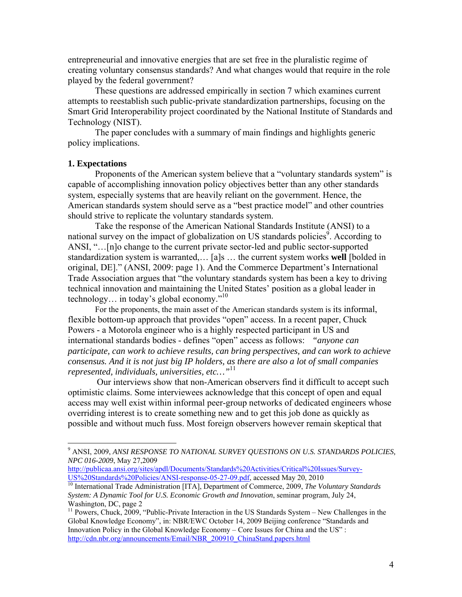entrepreneurial and innovative energies that are set free in the pluralistic regime of creating voluntary consensus standards? And what changes would that require in the role played by the federal government?

 These questions are addressed empirically in section 7 which examines current attempts to reestablish such public-private standardization partnerships, focusing on the Smart Grid Interoperability project coordinated by the National Institute of Standards and Technology (NIST).

 The paper concludes with a summary of main findings and highlights generic policy implications.

#### **1. Expectations**

 $\overline{a}$ 

 Proponents of the American system believe that a "voluntary standards system" is capable of accomplishing innovation policy objectives better than any other standards system, especially systems that are heavily reliant on the government. Hence, the American standards system should serve as a "best practice model" and other countries should strive to replicate the voluntary standards system.

 Take the response of the American National Standards Institute (ANSI) to a national survey on the impact of globalization on US standards policies<sup>9</sup>. According to ANSI, "…[n]o change to the current private sector-led and public sector-supported standardization system is warranted,… [a]s … the current system works **well** [bolded in original, DE]." (ANSI, 2009: page 1). And the Commerce Department's International Trade Association argues that "the voluntary standards system has been a key to driving technical innovation and maintaining the United States' position as a global leader in technology… in today's global economy."10

 For the proponents, the main asset of the American standards system is its informal, flexible bottom-up approach that provides "open" access. In a recent paper, Chuck Powers - a Motorola engineer who is a highly respected participant in US and international standards bodies - defines "open" access as follows: *"anyone can participate, can work to achieve results, can bring perspectives, and can work to achieve consensus. And it is not just big IP holders, as there are also a lot of small companies represented, individuals, universities, etc…"*<sup>11</sup>

Our interviews show that non-American observers find it difficult to accept such optimistic claims. Some interviewees acknowledge that this concept of open and equal access may well exist within informal peer-group networks of dedicated engineers whose overriding interest is to create something new and to get this job done as quickly as possible and without much fuss. Most foreign observers however remain skeptical that

<sup>9</sup> ANSI, 2009, *ANSI RESPONSE TO NATIONAL SURVEY QUESTIONS ON U.S. STANDARDS POLICIES, NPC 016-2009*, May 27,2009

http://publicaa.ansi.org/sites/apdl/Documents/Standards%20Activities/Critical%20Issues/Survey-<br>US%20Standards%20Policies/ANSI-response-05-27-09.pdf, accessed May 20, 2010

<sup>&</sup>lt;sup>10</sup> International Trade Administration [ITA], Department of Commerce, 2009, *The Voluntary Standards System: A Dynamic Tool for U.S. Economic Growth and Innovation*, seminar program, July 24, Washington, DC, page 2

<sup>&</sup>lt;sup>11</sup> Powers, Chuck, 2009, "Public-Private Interaction in the US Standards System – New Challenges in the Global Knowledge Economy", in: NBR/EWC October 14, 2009 Beijing conference "Standards and Innovation Policy in the Global Knowledge Economy – Core Issues for China and the US" : http://cdn.nbr.org/announcements/Email/NBR\_200910\_ChinaStand.papers.html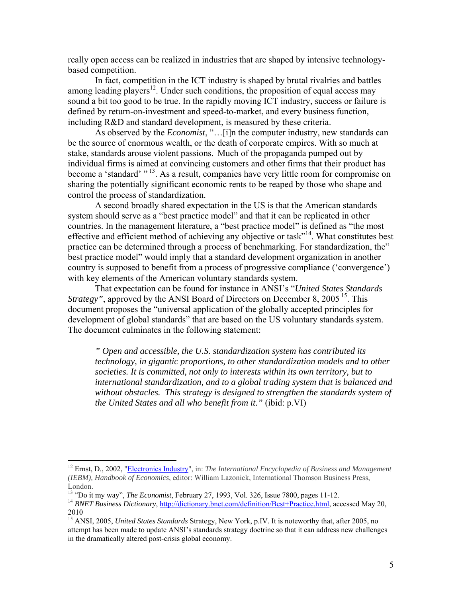really open access can be realized in industries that are shaped by intensive technologybased competition.

 In fact, competition in the ICT industry is shaped by brutal rivalries and battles among leading players<sup>12</sup>. Under such conditions, the proposition of equal access may sound a bit too good to be true. In the rapidly moving ICT industry, success or failure is defined by return-on-investment and speed-to-market, and every business function, including R&D and standard development, is measured by these criteria.

 As observed by the *Economist*, "…[i]n the computer industry, new standards can be the source of enormous wealth, or the death of corporate empires. With so much at stake, standards arouse violent passions. Much of the propaganda pumped out by individual firms is aimed at convincing customers and other firms that their product has become a 'standard' "<sup>13</sup>. As a result, companies have very little room for compromise on sharing the potentially significant economic rents to be reaped by those who shape and control the process of standardization.

 A second broadly shared expectation in the US is that the American standards system should serve as a "best practice model" and that it can be replicated in other countries. In the management literature, a "best practice model" is defined as "the most effective and efficient method of achieving any objective or task"<sup>14</sup>. What constitutes best practice can be determined through a process of benchmarking. For standardization, the" best practice model" would imply that a standard development organization in another country is supposed to benefit from a process of progressive compliance ('convergence') with key elements of the American voluntary standards system.

 That expectation can be found for instance in ANSI's "*United States Standards Strategy"*, approved by the ANSI Board of Directors on December 8, 2005<sup>15</sup>. This document proposes the "universal application of the globally accepted principles for development of global standards" that are based on the US voluntary standards system. The document culminates in the following statement:

*" Open and accessible, the U.S. standardization system has contributed its technology, in gigantic proportions, to other standardization models and to other societies. It is committed, not only to interests within its own territory, but to international standardization, and to a global trading system that is balanced and without obstacles. This strategy is designed to strengthen the standards system of the United States and all who benefit from it."* (ibid: p.VI)

<sup>12</sup> Ernst, D., 2002, "Electronics Industry", in: *The International Encyclopedia of Business and Management (IEBM), Handbook of Economics*, editor: William Lazonick, International Thomson Business Press, London.<br><sup>13</sup> "Do it my way", *The Economist*, February 27, 1993, Vol. 326, Issue 7800, pages 11-12.

<sup>&</sup>lt;sup>14</sup> BNET Business Dictionary, http://dictionary.bnet.com/definition/Best+Practice.html, accessed May 20, 2010

<sup>15</sup> ANSI, 2005, *United States Standards* Strategy, New York, p.IV. It is noteworthy that, after 2005, no attempt has been made to update ANSI's standards strategy doctrine so that it can address new challenges in the dramatically altered post-crisis global economy.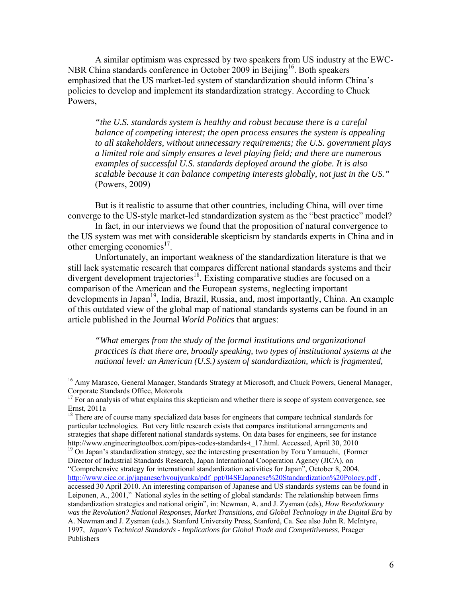A similar optimism was expressed by two speakers from US industry at the EWC-NBR China standards conference in October 2009 in Beijing<sup>16</sup>. Both speakers emphasized that the US market-led system of standardization should inform China's policies to develop and implement its standardization strategy. According to Chuck Powers,

*"the U.S. standards system is healthy and robust because there is a careful balance of competing interest; the open process ensures the system is appealing to all stakeholders, without unnecessary requirements; the U.S. government plays a limited role and simply ensures a level playing field; and there are numerous examples of successful U.S. standards deployed around the globe. It is also scalable because it can balance competing interests globally, not just in the US."* (Powers, 2009)

 But is it realistic to assume that other countries, including China, will over time converge to the US-style market-led standardization system as the "best practice" model?

 In fact, in our interviews we found that the proposition of natural convergence to the US system was met with considerable skepticism by standards experts in China and in other emerging economies $^{17}$ .

 Unfortunately, an important weakness of the standardization literature is that we still lack systematic research that compares different national standards systems and their divergent development trajectories<sup>18</sup>. Existing comparative studies are focused on a comparison of the American and the European systems, neglecting important developments in Japan<sup>19</sup>, India, Brazil, Russia, and, most importantly, China. An example of this outdated view of the global map of national standards systems can be found in an article published in the Journal *World Politics* that argues:

*"What emerges from the study of the formal institutions and organizational practices is that there are, broadly speaking, two types of institutional systems at the national level: an American (U.S.) system of standardization, which is fragmented,* 

<sup>&</sup>lt;sup>16</sup> Amy Marasco, General Manager, Standards Strategy at Microsoft, and Chuck Powers, General Manager, Corporate Standards Office, Motorola<br><sup>17</sup> For an analysis of what explains this skepticism and whether there is scope of system convergence, see

Ernst, 2011a

<sup>&</sup>lt;sup>18</sup> There are of course many specialized data bases for engineers that compare technical standards for particular technologies. But very little research exists that compares institutional arrangements and strategies that shape different national standards systems. On data bases for engineers, see for instance http://www.engineeringtoolbox.com/pipes-codes-standards-t\_17.html. Accessed, April 30, 2010<br><sup>19</sup> On Japan's standardization strategy, see the interesting presentation by Toru Yamauchi, (Former

Director of Industrial Standards Research, Japan International Cooperation Agency (JICA), on "Comprehensive strategy for international standardization activities for Japan", October 8, 2004. http://www.cicc.or.jp/japanese/hyoujyunka/pdf\_ppt/04SEJapanese%20Standardization%20Polocy.pdf , accessed 30 April 2010. An interesting comparison of Japanese and US standards systems can be found in Leiponen, A., 2001," National styles in the setting of global standards: The relationship between firms standardization strategies and national origin", in: Newman, A. and J. Zysman (eds), *How Revolutionary was the Revolution? National Responses, Market Transitions, and Global Technology in the Digital Era* by A. Newman and J. Zysman (eds.). Stanford University Press, Stanford, Ca. See also John R. McIntyre, 1997, *Japan's Technical Standards - Implications for Global Trade and Competitiveness*, Praeger Publishers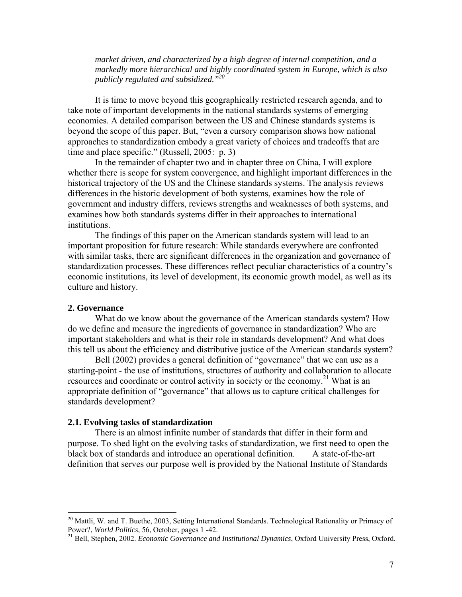*market driven, and characterized by a high degree of internal competition, and a markedly more hierarchical and highly coordinated system in Europe, which is also publicly regulated and subsidized."20*

 It is time to move beyond this geographically restricted research agenda, and to take note of important developments in the national standards systems of emerging economies. A detailed comparison between the US and Chinese standards systems is beyond the scope of this paper. But, "even a cursory comparison shows how national approaches to standardization embody a great variety of choices and tradeoffs that are time and place specific." (Russell, 2005: p. 3)

 In the remainder of chapter two and in chapter three on China, I will explore whether there is scope for system convergence, and highlight important differences in the historical trajectory of the US and the Chinese standards systems. The analysis reviews differences in the historic development of both systems, examines how the role of government and industry differs, reviews strengths and weaknesses of both systems, and examines how both standards systems differ in their approaches to international institutions.

 The findings of this paper on the American standards system will lead to an important proposition for future research: While standards everywhere are confronted with similar tasks, there are significant differences in the organization and governance of standardization processes. These differences reflect peculiar characteristics of a country's economic institutions, its level of development, its economic growth model, as well as its culture and history.

#### **2. Governance**

 $\overline{a}$ 

What do we know about the governance of the American standards system? How do we define and measure the ingredients of governance in standardization? Who are important stakeholders and what is their role in standards development? And what does this tell us about the efficiency and distributive justice of the American standards system?

Bell (2002) provides a general definition of "governance" that we can use as a starting-point - the use of institutions, structures of authority and collaboration to allocate resources and coordinate or control activity in society or the economy.<sup>21</sup> What is an appropriate definition of "governance" that allows us to capture critical challenges for standards development?

#### **2.1. Evolving tasks of standardization**

 There is an almost infinite number of standards that differ in their form and purpose. To shed light on the evolving tasks of standardization, we first need to open the black box of standards and introduce an operational definition. A state-of-the-art definition that serves our purpose well is provided by the National Institute of Standards

<sup>&</sup>lt;sup>20</sup> Mattli, W. and T. Buethe, 2003, Setting International Standards. Technological Rationality or Primacy of Power?, *World Politics*, 56, October, pages  $1 - 42$ .

<sup>&</sup>lt;sup>21</sup> Bell, Stephen, 2002. *Economic Governance and Institutional Dynamics*, Oxford University Press, Oxford.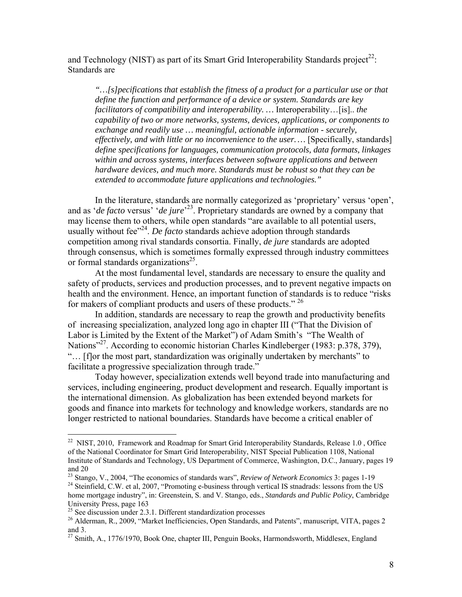and Technology (NIST) as part of its Smart Grid Interoperability Standards project<sup>22</sup>: Standards are

*"…[s]pecifications that establish the fitness of a product for a particular use or that define the function and performance of a device or system. Standards are key facilitators of compatibility and interoperability. …* Interoperability…[is].. *the capability of two or more networks, systems, devices, applications, or components to exchange and readily use … meaningful, actionable information - securely, effectively, and with little or no inconvenience to the user. …* [Specifically, standards] *define specifications for languages, communication protocols, data formats, linkages within and across systems, interfaces between software applications and between hardware devices, and much more. Standards must be robust so that they can be extended to accommodate future applications and technologies."*

 In the literature, standards are normally categorized as 'proprietary' versus 'open', and as '*de facto* versus' '*de jure*' 23. Proprietary standards are owned by a company that may license them to others, while open standards "are available to all potential users, usually without fee<sup>"24</sup>. *De facto* standards achieve adoption through standards competition among rival standards consortia. Finally, *de jure* standards are adopted through consensus, which is sometimes formally expressed through industry committees or formal standards organizations<sup>25</sup>.

 At the most fundamental level, standards are necessary to ensure the quality and safety of products, services and production processes, and to prevent negative impacts on health and the environment. Hence, an important function of standards is to reduce "risks for makers of compliant products and users of these products."<sup>26</sup>

 In addition, standards are necessary to reap the growth and productivity benefits of increasing specialization, analyzed long ago in chapter III ("That the Division of Labor is Limited by the Extent of the Market") of Adam Smith's "The Wealth of Nations<sup>"27</sup>. According to economic historian Charles Kindleberger (1983: p.378, 379), "… [f]or the most part, standardization was originally undertaken by merchants" to facilitate a progressive specialization through trade."

 Today however, specialization extends well beyond trade into manufacturing and services, including engineering, product development and research. Equally important is the international dimension. As globalization has been extended beyond markets for goods and finance into markets for technology and knowledge workers, standards are no longer restricted to national boundaries. Standards have become a critical enabler of

 $22$  NIST, 2010, Framework and Roadmap for Smart Grid Interoperability Standards, Release 1.0, Office of the National Coordinator for Smart Grid Interoperability, NIST Special Publication 1108, National Institute of Standards and Technology, US Department of Commerce, Washington, D.C., January, pages 19 and 20<br> $^{23}$  Stango, V., 2004, "The economics of standards wars", *Review of Network Economics* 3: pages 1-19

<sup>&</sup>lt;sup>24</sup> Steinfield, C.W. et al, 2007, "Promoting e-business through vertical IS stnadrads: lessons from the US home mortgage industry", in: Greenstein, S. and V. Stango, eds., *Standards and Public Policy*, Cambridge University Press, page 163

 $25$  See discussion under 2.3.1. Different standardization processes

<sup>&</sup>lt;sup>26</sup> Alderman, R., 2009, "Market Inefficiencies, Open Standards, and Patents", manuscript, VITA, pages 2 and 3.

 $^{27}$  Smith, A., 1776/1970, Book One, chapter III, Penguin Books, Harmondsworth, Middlesex, England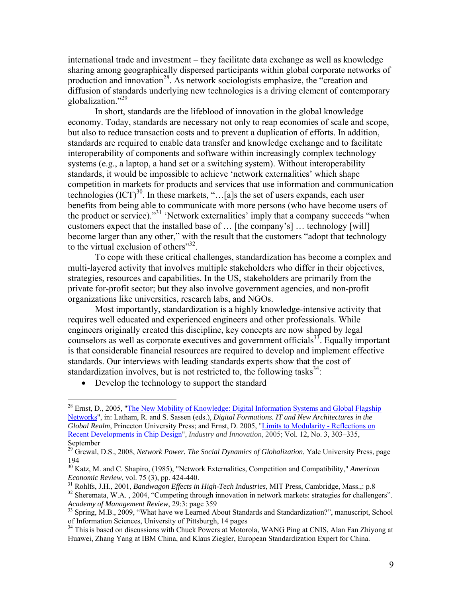international trade and investment – they facilitate data exchange as well as knowledge sharing among geographically dispersed participants within global corporate networks of production and innovation<sup>28</sup>. As network sociologists emphasize, the "creation and diffusion of standards underlying new technologies is a driving element of contemporary globalization."29

 In short, standards are the lifeblood of innovation in the global knowledge economy. Today, standards are necessary not only to reap economies of scale and scope, but also to reduce transaction costs and to prevent a duplication of efforts. In addition, standards are required to enable data transfer and knowledge exchange and to facilitate interoperability of components and software within increasingly complex technology systems (e.g., a laptop, a hand set or a switching system). Without interoperability standards, it would be impossible to achieve 'network externalities' which shape competition in markets for products and services that use information and communication technologies  $(ICT)^{30}$ . In these markets, "...[a]s the set of users expands, each user benefits from being able to communicate with more persons (who have become users of the product or service)."<sup>31</sup> 'Network externalities' imply that a company succeeds "when customers expect that the installed base of … [the company's] … technology [will] become larger than any other," with the result that the customers "adopt that technology to the virtual exclusion of others $"32$ .

 To cope with these critical challenges, standardization has become a complex and multi-layered activity that involves multiple stakeholders who differ in their objectives, strategies, resources and capabilities. In the US, stakeholders are primarily from the private for-profit sector; but they also involve government agencies, and non-profit organizations like universities, research labs, and NGOs.

 Most importantly, standardization is a highly knowledge-intensive activity that requires well educated and experienced engineers and other professionals. While engineers originally created this discipline, key concepts are now shaped by legal counselors as well as corporate executives and government officials<sup>33</sup>. Equally important is that considerable financial resources are required to develop and implement effective standards. Our interviews with leading standards experts show that the cost of standardization involves, but is not restricted to, the following tasks<sup>34</sup>:

• Develop the technology to support the standard

<sup>&</sup>lt;sup>28</sup> Ernst, D., 2005, "The New Mobility of Knowledge: Digital Information Systems and Global Flagship Networks", in: Latham, R. and S. Sassen (eds.), *Digital Formations. IT and New Architectures in the Global Realm*, Princeton University Press; and Ernst, D. 2005, "Limits to Modularity - Reflections on Recent Developments in Chip Design", *Industry and Innovation*, 2005; Vol. 12, No. 3, 303–335, September

<sup>&</sup>lt;sup>29</sup> Grewal, D.S., 2008, *Network Power. The Social Dynamics of Globalization*, Yale University Press, page 194

<sup>30</sup> Katz, M. and C. Shapiro, (1985), "Network Externalities, Competition and Compatibility," *American Economic Review*, vol. 75 (3), pp. 424-440.<br><sup>31</sup> Rohlfs, J.H., 2001, *Bandwagon Effects in High-Tech Industries*, MIT Press, Cambridge, Mass.,: p.8<br><sup>32</sup> Sheremata, W.A., 2004, "Competing through innovation in network mark

*Academy of Management Review*, 29:3: page 359<br><sup>33</sup> Spring, M.B., 2009, "What have we Learned About Standards and Standardization?", manuscript, School

of Information Sciences, University of Pittsburgh, 14 pages

<sup>&</sup>lt;sup>34</sup> This is based on discussions with Chuck Powers at Motorola, WANG Ping at CNIS, Alan Fan Zhiyong at Huawei, Zhang Yang at IBM China, and Klaus Ziegler, European Standardization Expert for China.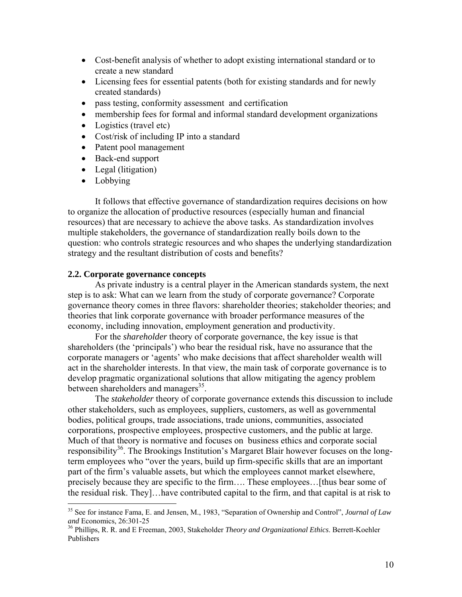- Cost-benefit analysis of whether to adopt existing international standard or to create a new standard
- Licensing fees for essential patents (both for existing standards and for newly created standards)
- pass testing, conformity assessment and certification
- membership fees for formal and informal standard development organizations
- Logistics (travel etc)
- Cost/risk of including IP into a standard
- Patent pool management
- Back-end support
- Legal (litigation)
- Lobbying

 $\overline{a}$ 

 It follows that effective governance of standardization requires decisions on how to organize the allocation of productive resources (especially human and financial resources) that are necessary to achieve the above tasks. As standardization involves multiple stakeholders, the governance of standardization really boils down to the question: who controls strategic resources and who shapes the underlying standardization strategy and the resultant distribution of costs and benefits?

#### **2.2. Corporate governance concepts**

 As private industry is a central player in the American standards system, the next step is to ask: What can we learn from the study of corporate governance? Corporate governance theory comes in three flavors: shareholder theories; stakeholder theories; and theories that link corporate governance with broader performance measures of the economy, including innovation, employment generation and productivity.

 For the *shareholder* theory of corporate governance, the key issue is that shareholders (the 'principals') who bear the residual risk, have no assurance that the corporate managers or 'agents' who make decisions that affect shareholder wealth will act in the shareholder interests. In that view, the main task of corporate governance is to develop pragmatic organizational solutions that allow mitigating the agency problem between shareholders and managers<sup>35</sup>.

 The *stakeholder* theory of corporate governance extends this discussion to include other stakeholders, such as employees, suppliers, customers, as well as governmental bodies, political groups, trade associations, trade unions, communities, associated corporations, prospective employees, prospective customers, and the public at large. Much of that theory is normative and focuses on business ethics and corporate social responsibility<sup>36</sup>. The Brookings Institution's Margaret Blair however focuses on the longterm employees who "over the years, build up firm-specific skills that are an important part of the firm's valuable assets, but which the employees cannot market elsewhere, precisely because they are specific to the firm…. These employees…[thus bear some of the residual risk. They]…have contributed capital to the firm, and that capital is at risk to

<sup>35</sup> See for instance Fama, E. and Jensen, M., 1983, "Separation of Ownership and Control", *Journal of Law* 

<sup>&</sup>lt;sup>36</sup> Phillips, R. R. and E Freeman, 2003, Stakeholder *Theory and Organizational Ethics*. Berrett-Koehler Publishers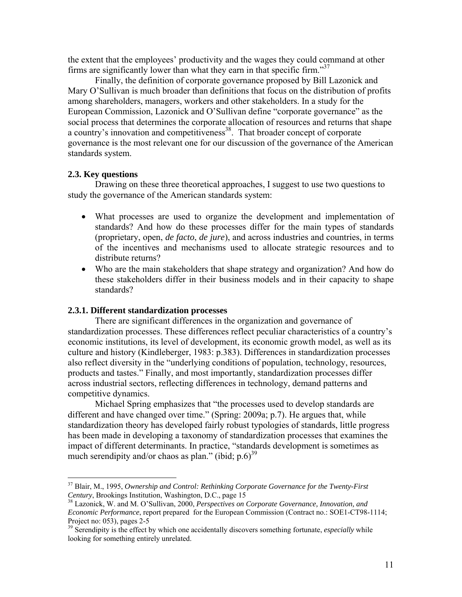the extent that the employees' productivity and the wages they could command at other firms are significantly lower than what they earn in that specific firm. $137$ 

 Finally, the definition of corporate governance proposed by Bill Lazonick and Mary O'Sullivan is much broader than definitions that focus on the distribution of profits among shareholders, managers, workers and other stakeholders. In a study for the European Commission, Lazonick and O'Sullivan define "corporate governance" as the social process that determines the corporate allocation of resources and returns that shape a country's innovation and competitiveness<sup>38</sup>. That broader concept of corporate governance is the most relevant one for our discussion of the governance of the American standards system.

#### **2.3. Key questions**

 $\overline{a}$ 

 Drawing on these three theoretical approaches, I suggest to use two questions to study the governance of the American standards system:

- What processes are used to organize the development and implementation of standards? And how do these processes differ for the main types of standards (proprietary, open, *de facto*, *de jure*), and across industries and countries, in terms of the incentives and mechanisms used to allocate strategic resources and to distribute returns?
- Who are the main stakeholders that shape strategy and organization? And how do these stakeholders differ in their business models and in their capacity to shape standards?

#### **2.3.1. Different standardization processes**

 There are significant differences in the organization and governance of standardization processes. These differences reflect peculiar characteristics of a country's economic institutions, its level of development, its economic growth model, as well as its culture and history (Kindleberger, 1983: p.383). Differences in standardization processes also reflect diversity in the "underlying conditions of population, technology, resources, products and tastes." Finally, and most importantly, standardization processes differ across industrial sectors, reflecting differences in technology, demand patterns and competitive dynamics.

 Michael Spring emphasizes that "the processes used to develop standards are different and have changed over time." (Spring: 2009a; p.7). He argues that, while standardization theory has developed fairly robust typologies of standards, little progress has been made in developing a taxonomy of standardization processes that examines the impact of different determinants. In practice, "standards development is sometimes as much serendipity and/or chaos as plan." (ibid;  $p.6$ )<sup>39</sup>

<sup>37</sup> Blair, M., 1995, *Ownership and Control: Rethinking Corporate Governance for the Twenty-First Century*, Brookings Institution, Washington, D.C., page 15<br><sup>38</sup> Lazonick, W. and M. O'Sullivan, 2000, *Perspectives on Corporate Governance, Innovation, and* 

*Economic Performance*, report prepared for the European Commission (Contract no.: SOE1-CT98-1114; Project no: 053), pages 2-5

<sup>&</sup>lt;sup>39</sup> Serendipity is the effect by which one accidentally discovers something fortunate, *especially* while looking for something entirely unrelated.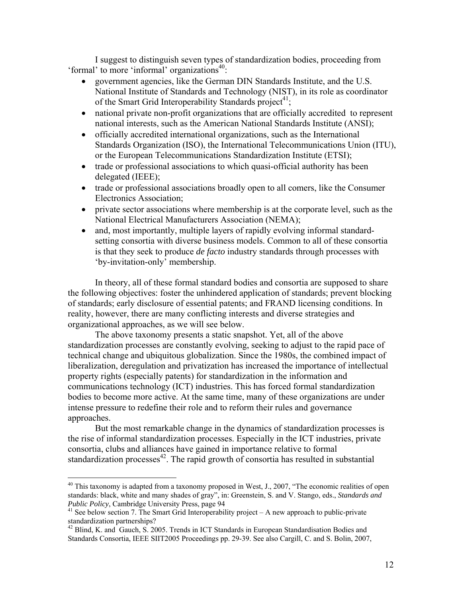I suggest to distinguish seven types of standardization bodies, proceeding from 'formal' to more 'informal' organizations $40$ :

- government agencies, like the German DIN Standards Institute, and the U.S. National Institute of Standards and Technology (NIST), in its role as coordinator of the Smart Grid Interoperability Standards project<sup>41</sup>;
- national private non-profit organizations that are officially accredited to represent national interests, such as the American National Standards Institute (ANSI);
- officially accredited international organizations, such as the International Standards Organization (ISO), the International Telecommunications Union (ITU), or the European Telecommunications Standardization Institute (ETSI);
- trade or professional associations to which quasi-official authority has been delegated (IEEE);
- trade or professional associations broadly open to all comers, like the Consumer Electronics Association;
- private sector associations where membership is at the corporate level, such as the National Electrical Manufacturers Association (NEMA);
- and, most importantly, multiple layers of rapidly evolving informal standardsetting consortia with diverse business models. Common to all of these consortia is that they seek to produce *de facto* industry standards through processes with 'by-invitation-only' membership.

 In theory, all of these formal standard bodies and consortia are supposed to share the following objectives: foster the unhindered application of standards; prevent blocking of standards; early disclosure of essential patents; and FRAND licensing conditions. In reality, however, there are many conflicting interests and diverse strategies and organizational approaches, as we will see below.

 The above taxonomy presents a static snapshot. Yet, all of the above standardization processes are constantly evolving, seeking to adjust to the rapid pace of technical change and ubiquitous globalization. Since the 1980s, the combined impact of liberalization, deregulation and privatization has increased the importance of intellectual property rights (especially patents) for standardization in the information and communications technology (ICT) industries. This has forced formal standardization bodies to become more active. At the same time, many of these organizations are under intense pressure to redefine their role and to reform their rules and governance approaches.

 But the most remarkable change in the dynamics of standardization processes is the rise of informal standardization processes. Especially in the ICT industries, private consortia, clubs and alliances have gained in importance relative to formal standardization processes $^{42}$ . The rapid growth of consortia has resulted in substantial

 $40$  This taxonomy is adapted from a taxonomy proposed in West, J., 2007, "The economic realities of open standards: black, white and many shades of gray", in: Greenstein, S. and V. Stango, eds., *Standards and Public Policy*, Cambridge University Press, page 94<br><sup>41</sup> See below section 7. The Smart Grid Interoperability project – A new approach to public-private

standardization partnerships?

<sup>&</sup>lt;sup>42</sup> Blind, K. and Gauch, S. 2005. Trends in ICT Standards in European Standardisation Bodies and Standards Consortia, IEEE SIIT2005 Proceedings pp. 29-39. See also Cargill, C. and S. Bolin, 2007,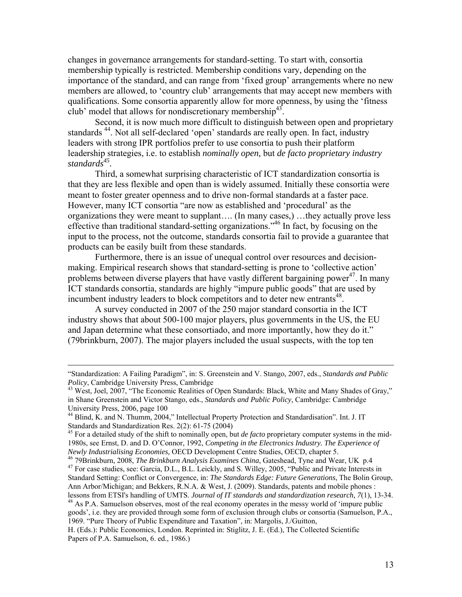changes in governance arrangements for standard-setting. To start with, consortia membership typically is restricted. Membership conditions vary, depending on the importance of the standard, and can range from 'fixed group' arrangements where no new members are allowed, to 'country club' arrangements that may accept new members with qualifications. Some consortia apparently allow for more openness, by using the 'fitness club' model that allows for nondiscretionary membership<sup>43</sup>.

 Second, it is now much more difficult to distinguish between open and proprietary standards<sup>44</sup>. Not all self-declared 'open' standards are really open. In fact, industry leaders with strong IPR portfolios prefer to use consortia to push their platform leadership strategies, i.e. to establish *nominally open,* but *de facto proprietary industry*  standards<sup>45</sup>.

 Third, a somewhat surprising characteristic of ICT standardization consortia is that they are less flexible and open than is widely assumed. Initially these consortia were meant to foster greater openness and to drive non-formal standards at a faster pace. However, many ICT consortia "are now as established and 'procedural' as the organizations they were meant to supplant…. (In many cases,) …they actually prove less effective than traditional standard-setting organizations."46 In fact, by focusing on the input to the process, not the outcome, standards consortia fail to provide a guarantee that products can be easily built from these standards.

Furthermore, there is an issue of unequal control over resources and decisionmaking. Empirical research shows that standard-setting is prone to 'collective action' problems between diverse players that have vastly different bargaining power<sup>47</sup>. In many ICT standards consortia, standards are highly "impure public goods" that are used by incumbent industry leaders to block competitors and to deter new entrants<sup>48</sup>.

A survey conducted in 2007 of the 250 major standard consortia in the ICT industry shows that about 500-100 major players, plus governments in the US, the EU and Japan determine what these consortiado, and more importantly, how they do it." (79brinkburn, 2007). The major players included the usual suspects, with the top ten

Newly Industrialising Economies, OECD Development Centre Studies, OECD, chapter 5.<br><sup>46</sup> 79Brinkburn, 2008, *The Brinkburn Analysis Examines China*, Gateshead, Tyne and Wear, UK p.4<br><sup>47</sup> For case studies, see: Garcia, D.L., Standard Setting: Conflict or Convergence, in: *The Standards Edge: Future Generations*, The Bolin Group, Ann Arbor/Michigan; and Bekkers, R.N.A. & West, J. (2009). Standards, patents and mobile phones :

lessons from ETSI's handling of UMTS. *Journal of IT standards and standardization research*, 7(1), 13-34. <sup>48</sup> As P.A. Samuelson observes, most of the real economy operates in the messy world of 'impure public goods', i.e. they are provided through some form of exclusion through clubs or consortia (Samuelson, P.A., 1969. "Pure Theory of Public Expenditure and Taxation", in: Margolis, J./Guitton,

H. (Eds.): Public Economics, London. Reprinted in: Stiglitz, J. E. (Ed.), The Collected Scientific Papers of P.A. Samuelson, 6. ed., 1986.)

 <sup>&</sup>quot;Standardization: A Failing Paradigm", in: S. Greenstein and V. Stango, 2007, eds., *Standards and Public Policy*, Cambridge University Press, Cambridge<br><sup>43</sup> West, Joel, 2007, "The Economic Realities of Open Standards: Black, White and Many Shades of Gray,"

in Shane Greenstein and Victor Stango, eds., *Standards and Public Policy,* Cambridge: Cambridge University Press, 2006, page 100

<sup>&</sup>lt;sup>44</sup> Blind, K. and N. Thumm, 2004," Intellectual Property Protection and Standardisation". Int. J. IT Standards and Standardization Res. 2(2): 61-75 (2004)

<sup>45</sup> For a detailed study of the shift to nominally open, but *de facto* proprietary computer systems in the mid-1980s, see Ernst, D. and D. O'Connor, 1992, *Competing in the Electronics Industry. The Experience of*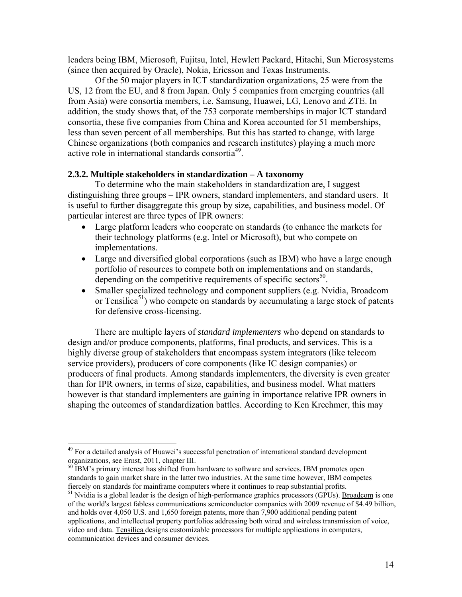leaders being IBM, Microsoft, Fujitsu, Intel, Hewlett Packard, Hitachi, Sun Microsystems (since then acquired by Oracle), Nokia, Ericsson and Texas Instruments.

Of the 50 major players in ICT standardization organizations, 25 were from the US, 12 from the EU, and 8 from Japan. Only 5 companies from emerging countries (all from Asia) were consortia members, i.e. Samsung, Huawei, LG, Lenovo and ZTE. In addition, the study shows that, of the 753 corporate memberships in major ICT standard consortia, these five companies from China and Korea accounted for 51 memberships, less than seven percent of all memberships. But this has started to change, with large Chinese organizations (both companies and research institutes) playing a much more active role in international standards consortia<sup>49</sup>.

#### **2.3.2. Multiple stakeholders in standardization – A taxonomy**

 To determine who the main stakeholders in standardization are, I suggest distinguishing three groups – IPR owners, standard implementers, and standard users. It is useful to further disaggregate this group by size, capabilities, and business model. Of particular interest are three types of IPR owners:

- Large platform leaders who cooperate on standards (to enhance the markets for their technology platforms (e.g. Intel or Microsoft), but who compete on implementations.
- Large and diversified global corporations (such as IBM) who have a large enough portfolio of resources to compete both on implementations and on standards, depending on the competitive requirements of specific sectors $50$ .
- Smaller specialized technology and component suppliers (e.g. Nvidia, Broadcom or Tensilica<sup>51</sup>) who compete on standards by accumulating a large stock of patents for defensive cross-licensing.

 There are multiple layers of *standard implementers* who depend on standards to design and/or produce components, platforms, final products, and services. This is a highly diverse group of stakeholders that encompass system integrators (like telecom service providers), producers of core components (like IC design companies) or producers of final products. Among standards implementers, the diversity is even greater than for IPR owners, in terms of size, capabilities, and business model. What matters however is that standard implementers are gaining in importance relative IPR owners in shaping the outcomes of standardization battles. According to Ken Krechmer, this may

 $49$  For a detailed analysis of Huawei's successful penetration of international standard development organizations, see Ernst, 2011, chapter III.

<sup>&</sup>lt;sup>50</sup> IBM's primary interest has shifted from hardware to software and services. IBM promotes open standards to gain market share in the latter two industries. At the same time however, IBM competes

fiercely on standards for mainframe computers where it continues to reap substantial profits.<br><sup>51</sup> Nvidia is a global leader is the design of high-performance graphics processors (GPUs). <u>Broadcom</u> is one of the world's largest fabless communications semiconductor companies with 2009 revenue of \$4.49 billion, and holds over 4,050 U.S. and 1,650 foreign patents, more than 7,900 additional pending patent applications, and intellectual property portfolios addressing both wired and wireless transmission of voice, video and data. Tensilica designs customizable processors for multiple applications in computers, communication devices and consumer devices.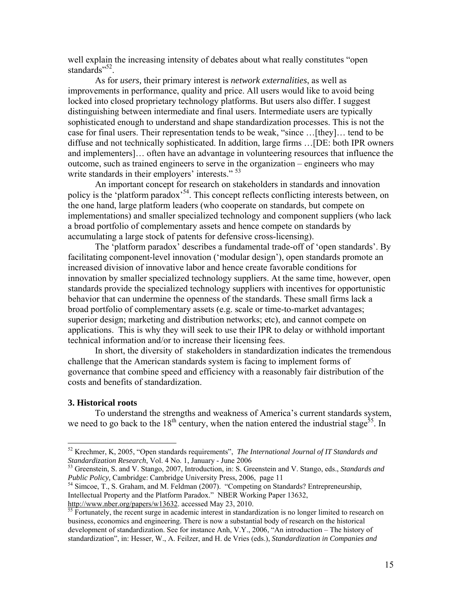well explain the increasing intensity of debates about what really constitutes "open standards"<sup>52</sup>.

 As for *users,* their primary interest is *network externalities*, as well as improvements in performance, quality and price. All users would like to avoid being locked into closed proprietary technology platforms. But users also differ. I suggest distinguishing between intermediate and final users. Intermediate users are typically sophisticated enough to understand and shape standardization processes. This is not the case for final users. Their representation tends to be weak, "since …[they]… tend to be diffuse and not technically sophisticated. In addition, large firms …[DE: both IPR owners and implementers]… often have an advantage in volunteering resources that influence the outcome, such as trained engineers to serve in the organization – engineers who may write standards in their employers' interests." <sup>53</sup>

 An important concept for research on stakeholders in standards and innovation policy is the 'platform paradox<sup>54</sup>. This concept reflects conflicting interests between, on the one hand, large platform leaders (who cooperate on standards, but compete on implementations) and smaller specialized technology and component suppliers (who lack a broad portfolio of complementary assets and hence compete on standards by accumulating a large stock of patents for defensive cross-licensing).

 The 'platform paradox' describes a fundamental trade-off of 'open standards'. By facilitating component-level innovation ('modular design'), open standards promote an increased division of innovative labor and hence create favorable conditions for innovation by smaller specialized technology suppliers. At the same time, however, open standards provide the specialized technology suppliers with incentives for opportunistic behavior that can undermine the openness of the standards. These small firms lack a broad portfolio of complementary assets (e.g. scale or time-to-market advantages; superior design; marketing and distribution networks; etc), and cannot compete on applications. This is why they will seek to use their IPR to delay or withhold important technical information and/or to increase their licensing fees.

 In short, the diversity of stakeholders in standardization indicates the tremendous challenge that the American standards system is facing to implement forms of governance that combine speed and efficiency with a reasonably fair distribution of the costs and benefits of standardization.

#### **3. Historical roots**

1

 To understand the strengths and weakness of America's current standards system, we need to go back to the 18<sup>th</sup> century, when the nation entered the industrial stage<sup>55</sup>. In

Intellectual Property and the Platform Paradox." NBER Working Paper 13632, http://www.nber.org/papers/w13632. accessed May 23, 2010.<br><sup>55</sup> Fortunately, the recent surge in academic interest in standardization is no longer limited to research on

<sup>52</sup> Krechmer, K, 2005, "Open standards requirements", *The International Journal of IT Standards and* 

<sup>&</sup>lt;sup>53</sup> Greenstein, S. and V. Stango, 2007, Introduction, in: S. Greenstein and V. Stango, eds., *Standards and Public Policy, Cambridge: Cambridge University Press, 2006, page 11*<br><sup>54</sup> Simcoe, T., S. Graham, and M. Feldman (2007). "Competing on Standards? Entrepreneurship,

business, economics and engineering. There is now a substantial body of research on the historical development of standardization. See for instance Anh, V.Y., 2006, "An introduction – The history of standardization", in: Hesser, W., A. Feilzer, and H. de Vries (eds.), *Standardization in Companies and*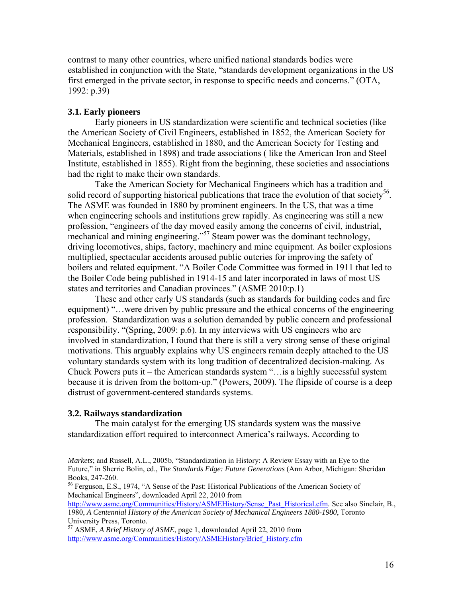contrast to many other countries, where unified national standards bodies were established in conjunction with the State, "standards development organizations in the US first emerged in the private sector, in response to specific needs and concerns." (OTA, 1992: p.39)

#### **3.1. Early pioneers**

 Early pioneers in US standardization were scientific and technical societies (like the American Society of Civil Engineers, established in 1852, the American Society for Mechanical Engineers, established in 1880, and the American Society for Testing and Materials, established in 1898) and trade associations ( like the American Iron and Steel Institute, established in 1855). Right from the beginning, these societies and associations had the right to make their own standards.

 Take the American Society for Mechanical Engineers which has a tradition and solid record of supporting historical publications that trace the evolution of that society<sup>56</sup>. The ASME was founded in 1880 by prominent engineers. In the US, that was a time when engineering schools and institutions grew rapidly. As engineering was still a new profession, "engineers of the day moved easily among the concerns of civil, industrial, mechanical and mining engineering."<sup>57</sup> Steam power was the dominant technology, driving locomotives, ships, factory, machinery and mine equipment. As boiler explosions multiplied, spectacular accidents aroused public outcries for improving the safety of boilers and related equipment. "A Boiler Code Committee was formed in 1911 that led to the Boiler Code being published in 1914-15 and later incorporated in laws of most US states and territories and Canadian provinces." (ASME 2010:p.1)

 These and other early US standards (such as standards for building codes and fire equipment) "…were driven by public pressure and the ethical concerns of the engineering profession. Standardization was a solution demanded by public concern and professional responsibility. "(Spring, 2009: p.6). In my interviews with US engineers who are involved in standardization, I found that there is still a very strong sense of these original motivations. This arguably explains why US engineers remain deeply attached to the US voluntary standards system with its long tradition of decentralized decision-making. As Chuck Powers puts it – the American standards system "…is a highly successful system because it is driven from the bottom-up." (Powers, 2009). The flipside of course is a deep distrust of government-centered standards systems.

#### **3.2. Railways standardization**

1

 The main catalyst for the emerging US standards system was the massive standardization effort required to interconnect America's railways. According to

*Markets*; and Russell, A.L., 2005b, "Standardization in History: A Review Essay with an Eye to the Future," in Sherrie Bolin, ed., *The Standards Edge: Future Generations* (Ann Arbor, Michigan: Sheridan Books, 247-260.

<sup>&</sup>lt;sup>56</sup> Ferguson, E.S., 1974, "A Sense of the Past: Historical Publications of the American Society of Mechanical Engineers", downloaded April 22, 2010 from

http://www.asme.org/Communities/History/ASMEHistory/Sense\_Past\_Historical.cfm. See also Sinclair, B., 1980, *A Centennial History of the American Society of Mechanical Engineers 1880-1980*, Toronto University Press, Toronto.

<sup>57</sup> ASME, *A Brief History of ASME*, page 1, downloaded April 22, 2010 from http://www.asme.org/Communities/History/ASMEHistory/Brief\_History.cfm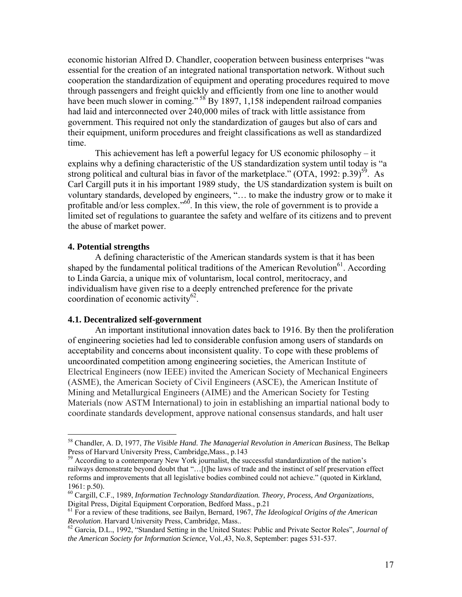economic historian Alfred D. Chandler, cooperation between business enterprises "was essential for the creation of an integrated national transportation network. Without such cooperation the standardization of equipment and operating procedures required to move through passengers and freight quickly and efficiently from one line to another would have been much slower in coming."  $58$  By 1897, 1,158 independent railroad companies had laid and interconnected over 240,000 miles of track with little assistance from government. This required not only the standardization of gauges but also of cars and their equipment, uniform procedures and freight classifications as well as standardized time.

 This achievement has left a powerful legacy for US economic philosophy – it explains why a defining characteristic of the US standardization system until today is "a strong political and cultural bias in favor of the marketplace." (OTA, 1992:  $p.39$ )<sup>59</sup>. As Carl Cargill puts it in his important 1989 study, the US standardization system is built on voluntary standards, developed by engineers, "… to make the industry grow or to make it profitable and/or less complex."<sup>60</sup>. In this view, the role of government is to provide a limited set of regulations to guarantee the safety and welfare of its citizens and to prevent the abuse of market power.

#### **4. Potential strengths**

 $\overline{a}$ 

 A defining characteristic of the American standards system is that it has been shaped by the fundamental political traditions of the American Revolution<sup>61</sup>. According to Linda Garcia, a unique mix of voluntarism, local control, meritocracy, and individualism have given rise to a deeply entrenched preference for the private coordination of economic activity $62$ .

#### **4.1. Decentralized self-government**

 An important institutional innovation dates back to 1916. By then the proliferation of engineering societies had led to considerable confusion among users of standards on acceptability and concerns about inconsistent quality. To cope with these problems of uncoordinated competition among engineering societies, the American Institute of Electrical Engineers (now IEEE) invited the American Society of Mechanical Engineers (ASME), the American Society of Civil Engineers (ASCE), the American Institute of Mining and Metallurgical Engineers (AIME) and the American Society for Testing Materials (now ASTM International) to join in establishing an impartial national body to coordinate standards development, approve national consensus standards, and halt user

<sup>58</sup> Chandler, A. D, 1977, *The Visible Hand. The Managerial Revolution in American Business*, The Belkap Press of Harvard University Press, Cambridge,Mass., p.143

 $59$  According to a contemporary New York journalist, the successful standardization of the nation's railways demonstrate beyond doubt that "…[t]he laws of trade and the instinct of self preservation effect reforms and improvements that all legislative bodies combined could not achieve." (quoted in Kirkland, 1961: p.50).

<sup>60</sup> Cargill, C.F., 1989, *Information Technology Standardization. Theory, Process, And Organizations*, Digital Press, Digital Equipment Corporation, Bedford Mass., p.21

<sup>&</sup>lt;sup>61</sup> For a review of these traditions, see Bailyn, Bernard, 1967, *The Ideological Origins of the American Revolution*. Harvard University Press, Cambridge, Mass..

<sup>&</sup>lt;sup>62</sup> Garcia, D.L., 1992, "Standard Setting in the United States: Public and Private Sector Roles", *Journal of the American Society for Information Science*, Vol.,43, No.8, September: pages 531-537.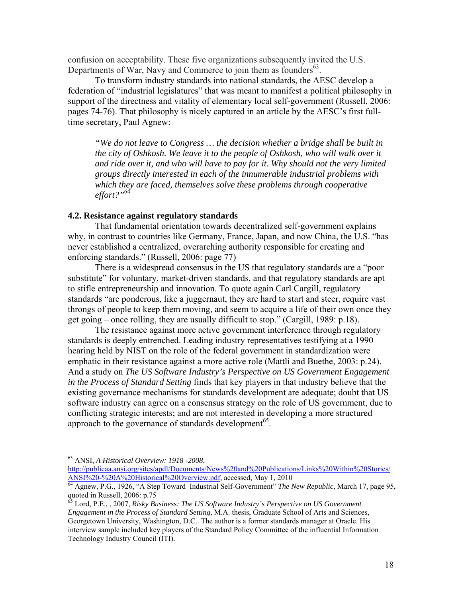confusion on acceptability. These five organizations subsequently invited the U.S. Departments of War, Navy and Commerce to join them as founders<sup>63</sup>.

 To transform industry standards into national standards, the AESC develop a federation of "industrial legislatures" that was meant to manifest a political philosophy in support of the directness and vitality of elementary local self-government (Russell, 2006: pages 74-76). That philosophy is nicely captured in an article by the AESC's first fulltime secretary, Paul Agnew:

*"We do not leave to Congress … the decision whether a bridge shall be built in the city of Oshkosh. We leave it to the people of Oshkosh, who will walk over it and ride over it, and who will have to pay for it. Why should not the very limited groups directly interested in each of the innumerable industrial problems with which they are faced, themselves solve these problems through cooperative effort?"*<sup>64</sup>

#### **4.2. Resistance against regulatory standards**

 That fundamental orientation towards decentralized self-government explains why, in contrast to countries like Germany, France, Japan, and now China, the U.S. "has never established a centralized, overarching authority responsible for creating and enforcing standards." (Russell, 2006: page 77)

 There is a widespread consensus in the US that regulatory standards are a "poor substitute" for voluntary, market-driven standards, and that regulatory standards are apt to stifle entrepreneurship and innovation. To quote again Carl Cargill, regulatory standards "are ponderous, like a juggernaut, they are hard to start and steer, require vast throngs of people to keep them moving, and seem to acquire a life of their own once they get going – once rolling, they are usually difficult to stop." (Cargill, 1989: p.18).

 The resistance against more active government interference through regulatory standards is deeply entrenched. Leading industry representatives testifying at a 1990 hearing held by NIST on the role of the federal government in standardization were emphatic in their resistance against a more active role (Mattli and Buethe, 2003: p.24). And a study on *The US Software Industry's Perspective on US Government Engagement in the Process of Standard Setting* finds that key players in that industry believe that the existing governance mechanisms for standards development are adequate; doubt that US software industry can agree on a consensus strategy on the role of US government, due to conflicting strategic interests; and are not interested in developing a more structured approach to the governance of standards development<sup>65</sup>.

1

<sup>63</sup> ANSI, *A Historical Overview: 1918 -2008*,

http://publicaa.ansi.org/sites/apdl/Documents/News%20and%20Publications/Links%20Within%20Stories/<br>ANSI%20-%20A%20Historical%20Overview.pdf, accessed, May 1, 2010

ANDI WEB TO BELLY BELLY BELLY BELLY ACCESSING TO LATER SPINS 200 LIGHTS, MAGE AGRICAL AGRICAL AGRICAL AGRICAL A<br><sup>64</sup> Agnew, P.G., 1926, "A Step Toward Industrial Self-Government" *The New Republic*, March 17, page 95, quoted in Russell, 2006: p.75

<sup>65</sup> Lord, P.E., , 2007, *Risky Business: The US Software Industry's Perspective on US Government Engagement in the Process of Standard Setting,* M.A. thesis, Graduate School of Arts and Sciences, Georgetown University, Washington, D.C.. The author is a former standards manager at Oracle. His interview sample included key players of the Standard Policy Committee of the influential Information Technology Industry Council (ITI).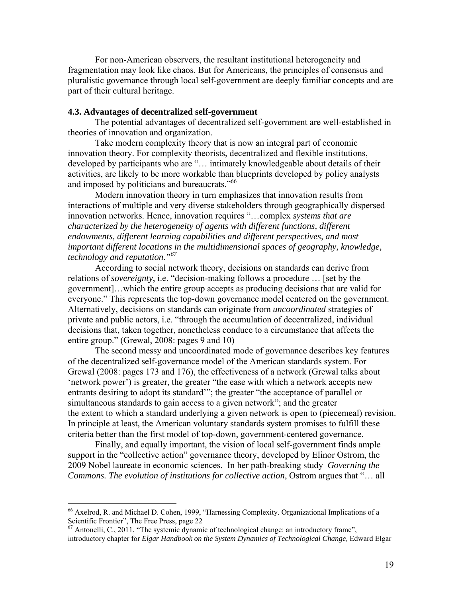For non-American observers, the resultant institutional heterogeneity and fragmentation may look like chaos. But for Americans, the principles of consensus and pluralistic governance through local self-government are deeply familiar concepts and are part of their cultural heritage.

#### **4.3. Advantages of decentralized self-government**

 The potential advantages of decentralized self-government are well-established in theories of innovation and organization.

 Take modern complexity theory that is now an integral part of economic innovation theory. For complexity theorists, decentralized and flexible institutions, developed by participants who are "… intimately knowledgeable about details of their activities, are likely to be more workable than blueprints developed by policy analysts and imposed by politicians and bureaucrats."<sup>66</sup>

 Modern innovation theory in turn emphasizes that innovation results from interactions of multiple and very diverse stakeholders through geographically dispersed innovation networks. Hence, innovation requires "…complex *systems that are characterized by the heterogeneity of agents with different functions, different endowments, different learning capabilities and different perspectives, and most important different locations in the multidimensional spaces of geography, knowledge, technology and reputation."67*

 According to social network theory, decisions on standards can derive from relations of *sovereignty*, i.e. "decision-making follows a procedure … [set by the government]…which the entire group accepts as producing decisions that are valid for everyone." This represents the top-down governance model centered on the government. Alternatively, decisions on standards can originate from *uncoordinated* strategies of private and public actors, i.e. "through the accumulation of decentralized, individual decisions that, taken together, nonetheless conduce to a circumstance that affects the entire group." (Grewal, 2008: pages 9 and 10)

 The second messy and uncoordinated mode of governance describes key features of the decentralized self-governance model of the American standards system. For Grewal (2008: pages 173 and 176), the effectiveness of a network (Grewal talks about 'network power') is greater, the greater "the ease with which a network accepts new entrants desiring to adopt its standard'"; the greater "the acceptance of parallel or simultaneous standards to gain access to a given network"; and the greater the extent to which a standard underlying a given network is open to (piecemeal) revision. In principle at least, the American voluntary standards system promises to fulfill these criteria better than the first model of top-down, government-centered governance.

 Finally, and equally important, the vision of local self-government finds ample support in the "collective action" governance theory, developed by Elinor Ostrom, the 2009 Nobel laureate in economic sciences. In her path-breaking study *Governing the Commons. The evolution of institutions for collective action*, Ostrom argues that "… all

 $66$  Axelrod, R. and Michael D. Cohen, 1999, "Harnessing Complexity. Organizational Implications of a Scientific Frontier", The Free Press, page 22

<sup>&</sup>lt;sup>67</sup> Antonelli, C., 2011, "The systemic dynamic of technological change: an introductory frame", introductory chapter for *Elgar Handbook on the System Dynamics of Technological Change,* Edward Elgar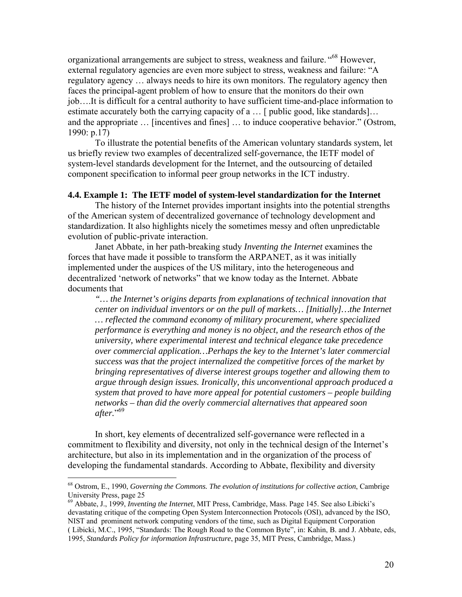organizational arrangements are subject to stress, weakness and failure. "<sup>68</sup> However, external regulatory agencies are even more subject to stress, weakness and failure: "A regulatory agency … always needs to hire its own monitors. The regulatory agency then faces the principal-agent problem of how to ensure that the monitors do their own job….It is difficult for a central authority to have sufficient time-and-place information to estimate accurately both the carrying capacity of a ... [ public good, like standards]... and the appropriate … [incentives and fines] … to induce cooperative behavior." (Ostrom, 1990: p.17)

 To illustrate the potential benefits of the American voluntary standards system, let us briefly review two examples of decentralized self-governance, the IETF model of system-level standards development for the Internet, and the outsourcing of detailed component specification to informal peer group networks in the ICT industry.

#### **4.4. Example 1: The IETF model of system-level standardization for the Internet**

The history of the Internet provides important insights into the potential strengths of the American system of decentralized governance of technology development and standardization. It also highlights nicely the sometimes messy and often unpredictable evolution of public-private interaction.

 Janet Abbate, in her path-breaking study *Inventing the Internet* examines the forces that have made it possible to transform the ARPANET, as it was initially implemented under the auspices of the US military, into the heterogeneous and decentralized 'network of networks" that we know today as the Internet. Abbate documents that

*"… the Internet's origins departs from explanations of technical innovation that center on individual inventors or on the pull of markets… [Initially]…the Internet … reflected the command economy of military procurement, where specialized performance is everything and money is no object, and the research ethos of the university, where experimental interest and technical elegance take precedence over commercial application…Perhaps the key to the Internet's later commercial success was that the project internalized the competitive forces of the market by bringing representatives of diverse interest groups together and allowing them to argue through design issues. Ironically, this unconventional approach produced a system that proved to have more appeal for potential customers – people building networks – than did the overly commercial alternatives that appeared soon after.*" 69

 In short, key elements of decentralized self-governance were reflected in a commitment to flexibility and diversity, not only in the technical design of the Internet's architecture, but also in its implementation and in the organization of the process of developing the fundamental standards. According to Abbate, flexibility and diversity

<sup>68</sup> Ostrom, E., 1990, *Governing the Commons. The evolution of institutions for collective action*, Cambrige University Press, page 25

<sup>69</sup> Abbate, J., 1999, *Inventing the Internet*, MIT Press, Cambridge, Mass. Page 145. See also Libicki's devastating critique of the competing Open System Interconnection Protocols (OSI), advanced by the ISO, NIST and prominent network computing vendors of the time, such as Digital Equipment Corporation ( Libicki, M.C., 1995, "Standards: The Rough Road to the Common Byte", in: Kahin, B. and J. Abbate, eds, 1995, *Standards Policy for information Infrastructure*, page 35, MIT Press, Cambridge, Mass.)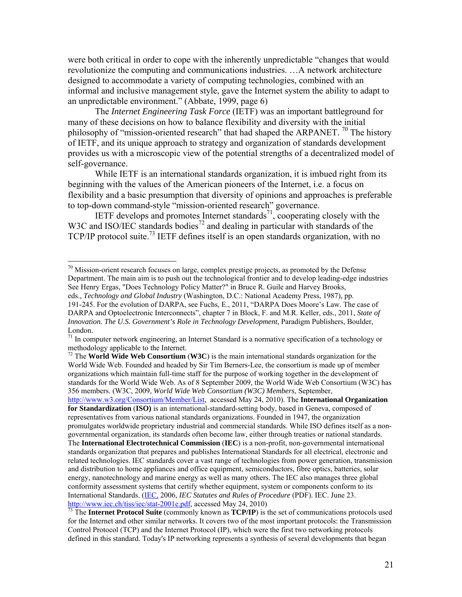were both critical in order to cope with the inherently unpredictable "changes that would revolutionize the computing and communications industries. …A network architecture designed to accommodate a variety of computing technologies, combined with an informal and inclusive management style, gave the Internet system the ability to adapt to an unpredictable environment." (Abbate, 1999, page 6)

 The *Internet Engineering Task Force* (IETF) was an important battleground for many of these decisions on how to balance flexibility and diversity with the initial philosophy of "mission-oriented research" that had shaped the ARPANET. <sup>70</sup> The history of IETF, and its unique approach to strategy and organization of standards development provides us with a microscopic view of the potential strengths of a decentralized model of self-governance.

 While IETF is an international standards organization, it is imbued right from its beginning with the values of the American pioneers of the Internet, i.e. a focus on flexibility and a basic presumption that diversity of opinions and approaches is preferable to top-down command-style "mission-oriented research" governance.

IETF develops and promotes Internet standards<sup>71</sup>, cooperating closely with the W3C and ISO/IEC standards bodies<sup>72</sup> and dealing in particular with standards of the TCP/IP protocol suite.<sup>73</sup> IETF defines itself is an open standards organization, with no

 $\overline{a}$ 

72 The **World Wide Web Consortium** (**W3C**) is the main international standards organization for the World Wide Web. Founded and headed by Sir Tim Berners-Lee, the consortium is made up of member organizations which maintain full-time staff for the purpose of working together in the development of standards for the World Wide Web. As of 8 September 2009, the World Wide Web Consortium (W3C) has 356 members. (W3C, 2009, *World Wide Web Consortium (W3C) Members*, September,

http://www.w3.org/Consortium/Member/List, accessed May 24, 2010). The **International Organization for Standardization** (**ISO)** is an international-standard-setting body, based in Geneva, composed of representatives from various national standards organizations. Founded in 1947, the organization promulgates worldwide proprietary industrial and commercial standards. While ISO defines itself as a nongovernmental organization, its standards often become law, either through treaties or national standards. The **International Electrotechnical Commission** (**IEC**) is a non-profit, non-governmental international standards organization that prepares and publishes International Standards for all electrical, electronic and related technologies. IEC standards cover a vast range of technologies from power generation, transmission and distribution to home appliances and office equipment, semiconductors, fibre optics, batteries, solar energy, nanotechnology and marine energy as well as many others. The IEC also manages three global conformity assessment systems that certify whether equipment, system or components conform to its International Standards. (IEC, 2006, *IEC Statutes and Rules of Procedure* (PDF). IEC. June 23.

http://www.iec.ch/tiss/iec/stat-2001e.pdf, accessed May 24, 2010) 73 The **Internet Protocol Suite** (commonly known as **TCP/IP**) is the set of communications protocols used for the Internet and other similar networks. It covers two of the most important protocols: the Transmission Control Protocol (TCP) and the Internet Protocol (IP), which were the first two networking protocols defined in this standard. Today's IP networking represents a synthesis of several developments that began

 $70$  Mission-orient research focuses on large, complex prestige projects, as promoted by the Defense Department. The main aim is to push out the technological frontier and to develop leading-edge industries See Henry Ergas, "Does Technology Policy Matter?" in Bruce R. Guile and Harvey Brooks,

eds., *Technology and Global Industry* (Washington, D.C.: National Academy Press, 1987), pp. 191-245. For the evolution of DARPA, see Fuchs, E., 2011, "DARPA Does Moore's Law. The case of DARPA and Optoelectronic Interconnects", chapter 7 in Block, F. and M.R. Keller, eds., 2011, *State of Innovation. The U.S. Government's Role in Technology Development*, Paradigm Publishers, Boulder, London.

 $71$  In computer network engineering, an Internet Standard is a normative specification of a technology or methodology applicable to the Internet.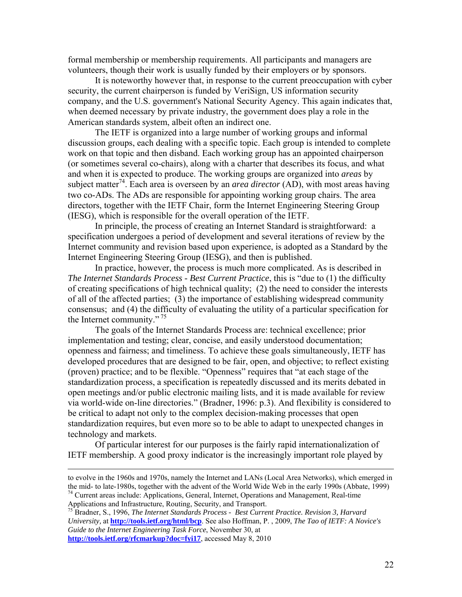formal membership or membership requirements. All participants and managers are volunteers, though their work is usually funded by their employers or by sponsors.

 It is noteworthy however that, in response to the current preoccupation with cyber security, the current chairperson is funded by VeriSign, US information security company, and the U.S. government's National Security Agency. This again indicates that, when deemed necessary by private industry, the government does play a role in the American standards system, albeit often an indirect one.

 The IETF is organized into a large number of working groups and informal discussion groups, each dealing with a specific topic. Each group is intended to complete work on that topic and then disband. Each working group has an appointed chairperson (or sometimes several co-chairs), along with a charter that describes its focus, and what and when it is expected to produce. The working groups are organized into *areas* by subject matter<sup>74</sup>. Each area is overseen by an *area director* (AD), with most areas having two co-ADs. The ADs are responsible for appointing working group chairs. The area directors, together with the IETF Chair, form the Internet Engineering Steering Group (IESG), which is responsible for the overall operation of the IETF.

In principle, the process of creating an Internet Standard is straightforward: a specification undergoes a period of development and several iterations of review by the Internet community and revision based upon experience, is adopted as a Standard by the Internet Engineering Steering Group (IESG), and then is published.

 In practice, however, the process is much more complicated. As is described in *The Internet Standards Process - Best Current Practice*, this is "due to (1) the difficulty of creating specifications of high technical quality; (2) the need to consider the interests of all of the affected parties; (3) the importance of establishing widespread community consensus; and (4) the difficulty of evaluating the utility of a particular specification for the Internet community." <sup>75</sup>

The goals of the Internet Standards Process are: technical excellence; prior implementation and testing; clear, concise, and easily understood documentation; openness and fairness; and timeliness. To achieve these goals simultaneously, IETF has developed procedures that are designed to be fair, open, and objective; to reflect existing (proven) practice; and to be flexible. "Openness" requires that "at each stage of the standardization process, a specification is repeatedly discussed and its merits debated in open meetings and/or public electronic mailing lists, and it is made available for review via world-wide on-line directories." (Bradner, 1996: p.3). And flexibility is considered to be critical to adapt not only to the complex decision-making processes that open standardization requires, but even more so to be able to adapt to unexpected changes in technology and markets.

 Of particular interest for our purposes is the fairly rapid internationalization of IETF membership. A good proxy indicator is the increasingly important role played by

to evolve in the 1960s and 1970s, namely the Internet and LANs (Local Area Networks), which emerged in the mid- to late-1980s, together with the advent of the World Wide Web in the early 1990s (Abbate, 1999) <sup>74</sup> Current areas include: Applications, General, Internet, Operations and Management, Real-time

Applications and Infrastructure, Routing, Security, and Transport.<br><sup>75</sup> Bradner, S., 1996, *The Internet Standards Process - Best Current Practice. Revision 3, Harvard University,* at **http://tools.ietf.org/html/bcp**. See also Hoffman, P. , 2009, *The Tao of IETF: A Novice's Guide to the Internet Engineering Task Force*, November 30, at **http://tools.ietf.org/rfcmarkup?doc=fyi17**, accessed May 8, 2010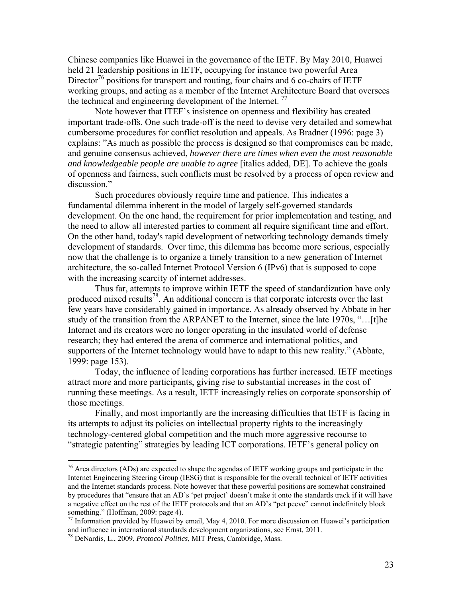Chinese companies like Huawei in the governance of the IETF. By May 2010, Huawei held 21 leadership positions in IETF, occupying for instance two powerful Area Director<sup>76</sup> positions for transport and routing, four chairs and 6 co-chairs of IETF working groups, and acting as a member of the Internet Architecture Board that oversees the technical and engineering development of the Internet.<sup>77</sup>

 Note however that ITEF's insistence on openness and flexibility has created important trade-offs. One such trade-off is the need to devise very detailed and somewhat cumbersome procedures for conflict resolution and appeals. As Bradner (1996: page 3) explains: "As much as possible the process is designed so that compromises can be made, and genuine consensus achieved, *however there are times when even the most reasonable and knowledgeable people are unable to agree* [italics added, DE]. To achieve the goals of openness and fairness, such conflicts must be resolved by a process of open review and discussion."

 Such procedures obviously require time and patience. This indicates a fundamental dilemma inherent in the model of largely self-governed standards development. On the one hand, the requirement for prior implementation and testing, and the need to allow all interested parties to comment all require significant time and effort. On the other hand, today's rapid development of networking technology demands timely development of standards. Over time, this dilemma has become more serious, especially now that the challenge is to organize a timely transition to a new generation of Internet architecture, the so-called Internet Protocol Version 6 (IPv6) that is supposed to cope with the increasing scarcity of internet addresses.

 Thus far, attempts to improve within IETF the speed of standardization have only produced mixed results<sup>78</sup>. An additional concern is that corporate interests over the last few years have considerably gained in importance. As already observed by Abbate in her study of the transition from the ARPANET to the Internet, since the late 1970s, "…[t]he Internet and its creators were no longer operating in the insulated world of defense research; they had entered the arena of commerce and international politics, and supporters of the Internet technology would have to adapt to this new reality." (Abbate, 1999: page 153).

 Today, the influence of leading corporations has further increased. IETF meetings attract more and more participants, giving rise to substantial increases in the cost of running these meetings. As a result, IETF increasingly relies on corporate sponsorship of those meetings.

 Finally, and most importantly are the increasing difficulties that IETF is facing in its attempts to adjust its policies on intellectual property rights to the increasingly technology-centered global competition and the much more aggressive recourse to "strategic patenting" strategies by leading ICT corporations. IETF's general policy on

 $76$  Area directors (ADs) are expected to shape the agendas of IETF working groups and participate in the Internet Engineering Steering Group (IESG) that is responsible for the overall technical of IETF activities and the Internet standards process. Note however that these powerful positions are somewhat constrained by procedures that "ensure that an AD's 'pet project' doesn't make it onto the standards track if it will have a negative effect on the rest of the IETF protocols and that an AD's "pet peeve" cannot indefinitely block something." (Hoffman, 2009: page 4).

<sup>&</sup>lt;sup>77</sup> Information provided by Huawei by email, May 4, 2010. For more discussion on Huawei's participation and influence in international standards development organizations, see Ernst, 2011.

<sup>78</sup> DeNardis, L., 2009, *Protocol Politics*, MIT Press, Cambridge, Mass.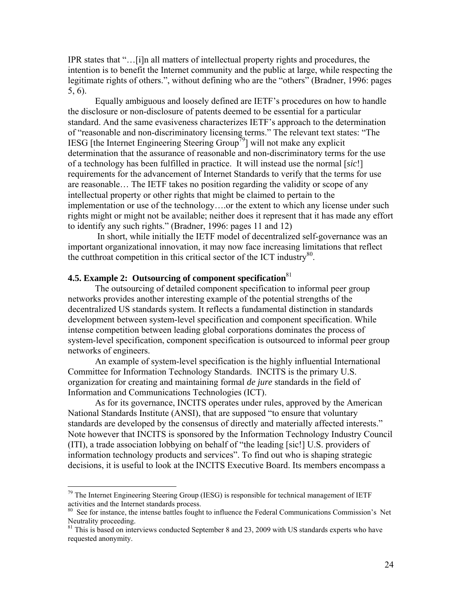IPR states that "…[i]n all matters of intellectual property rights and procedures, the intention is to benefit the Internet community and the public at large, while respecting the legitimate rights of others.", without defining who are the "others" (Bradner, 1996: pages 5, 6).

 Equally ambiguous and loosely defined are IETF's procedures on how to handle the disclosure or non-disclosure of patents deemed to be essential for a particular standard. And the same evasiveness characterizes IETF's approach to the determination of "reasonable and non-discriminatory licensing terms." The relevant text states: "The IESG [the Internet Engineering Steering Group<sup>79</sup>] will not make any explicit determination that the assurance of reasonable and non-discriminatory terms for the use of a technology has been fulfilled in practice. It will instead use the normal [*sic*!] requirements for the advancement of Internet Standards to verify that the terms for use are reasonable… The IETF takes no position regarding the validity or scope of any intellectual property or other rights that might be claimed to pertain to the implementation or use of the technology….or the extent to which any license under such rights might or might not be available; neither does it represent that it has made any effort to identify any such rights." (Bradner, 1996: pages 11 and 12)

 In short, while initially the IETF model of decentralized self-governance was an important organizational innovation, it may now face increasing limitations that reflect the cutthroat competition in this critical sector of the ICT industry $80$ .

### **4.5. Example 2: Outsourcing of component specification**<sup>81</sup>

 $\overline{a}$ 

The outsourcing of detailed component specification to informal peer group networks provides another interesting example of the potential strengths of the decentralized US standards system. It reflects a fundamental distinction in standards development between system-level specification and component specification. While intense competition between leading global corporations dominates the process of system-level specification, component specification is outsourced to informal peer group networks of engineers.

 An example of system-level specification is the highly influential International Committee for Information Technology Standards. INCITS is the primary U.S. organization for creating and maintaining formal *de jure* standards in the field of Information and Communications Technologies (ICT).

 As for its governance, INCITS operates under rules, approved by the American National Standards Institute (ANSI), that are supposed "to ensure that voluntary standards are developed by the consensus of directly and materially affected interests." Note however that INCITS is sponsored by the Information Technology Industry Council (ITI), a trade association lobbying on behalf of "the leading [sic!] U.S. providers of information technology products and services". To find out who is shaping strategic decisions, it is useful to look at the INCITS Executive Board. Its members encompass a

 $79$  The Internet Engineering Steering Group (IESG) is responsible for technical management of IETF activities and the Internet standards process.

<sup>&</sup>lt;sup>80</sup> See for instance, the intense battles fought to influence the Federal Communications Commission's Net Neutrality proceeding.

<sup>&</sup>lt;sup>81</sup> This is based on interviews conducted September 8 and 23, 2009 with US standards experts who have requested anonymity.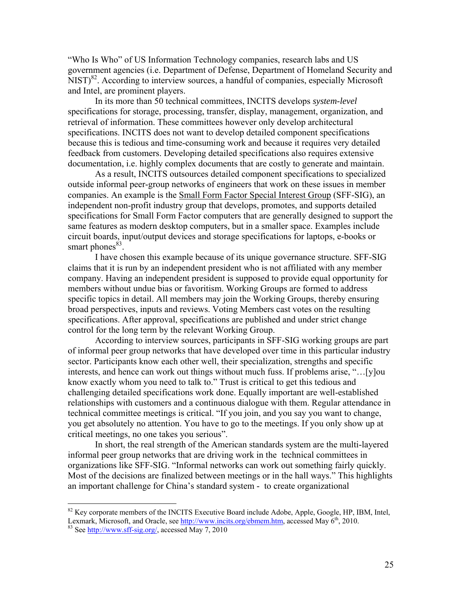"Who Is Who" of US Information Technology companies, research labs and US government agencies (i.e. Department of Defense, Department of Homeland Security and NIST)<sup>82</sup>. According to interview sources, a handful of companies, especially Microsoft and Intel, are prominent players.

 In its more than 50 technical committees, INCITS develops *system-level* specifications for storage, processing, transfer, display, management, organization, and retrieval of information. These committees however only develop architectural specifications. INCITS does not want to develop detailed component specifications because this is tedious and time-consuming work and because it requires very detailed feedback from customers. Developing detailed specifications also requires extensive documentation, i.e. highly complex documents that are costly to generate and maintain.

 As a result, INCITS outsources detailed component specifications to specialized outside informal peer-group networks of engineers that work on these issues in member companies. An example is the Small Form Factor Special Interest Group (SFF-SIG), an independent non-profit industry group that develops, promotes, and supports detailed specifications for Small Form Factor computers that are generally designed to support the same features as modern desktop computers, but in a smaller space. Examples include circuit boards, input/output devices and storage specifications for laptops, e-books or smart phones $83$ .

 I have chosen this example because of its unique governance structure. SFF-SIG claims that it is run by an independent president who is not affiliated with any member company. Having an independent president is supposed to provide equal opportunity for members without undue bias or favoritism. Working Groups are formed to address specific topics in detail. All members may join the Working Groups, thereby ensuring broad perspectives, inputs and reviews. Voting Members cast votes on the resulting specifications. After approval, specifications are published and under strict change control for the long term by the relevant Working Group.

 According to interview sources, participants in SFF-SIG working groups are part of informal peer group networks that have developed over time in this particular industry sector. Participants know each other well, their specialization, strengths and specific interests, and hence can work out things without much fuss. If problems arise, "…[y]ou know exactly whom you need to talk to." Trust is critical to get this tedious and challenging detailed specifications work done. Equally important are well-established relationships with customers and a continuous dialogue with them. Regular attendance in technical committee meetings is critical. "If you join, and you say you want to change, you get absolutely no attention. You have to go to the meetings. If you only show up at critical meetings, no one takes you serious".

 In short, the real strength of the American standards system are the multi-layered informal peer group networks that are driving work in the technical committees in organizations like SFF-SIG. "Informal networks can work out something fairly quickly. Most of the decisions are finalized between meetings or in the hall ways." This highlights an important challenge for China's standard system - to create organizational

 $82$  Key corporate members of the INCITS Executive Board include Adobe, Apple, Google, HP, IBM, Intel, Lexmark, Microsoft, and Oracle, see http://www.incits.org/ebmem.htm, accessed May  $6<sup>th</sup>$ , 2010. 83 See http://www.sff-sig.org/, accessed May 7, 2010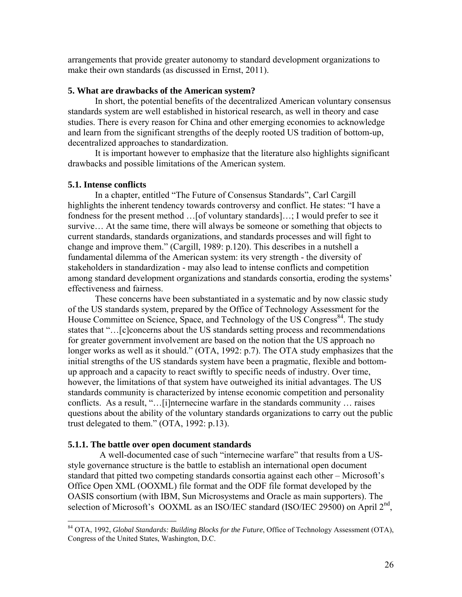arrangements that provide greater autonomy to standard development organizations to make their own standards (as discussed in Ernst, 2011).

#### **5. What are drawbacks of the American system?**

In short, the potential benefits of the decentralized American voluntary consensus standards system are well established in historical research, as well in theory and case studies. There is every reason for China and other emerging economies to acknowledge and learn from the significant strengths of the deeply rooted US tradition of bottom-up, decentralized approaches to standardization.

 It is important however to emphasize that the literature also highlights significant drawbacks and possible limitations of the American system.

#### **5.1. Intense conflicts**

 $\overline{a}$ 

In a chapter, entitled "The Future of Consensus Standards", Carl Cargill highlights the inherent tendency towards controversy and conflict. He states: "I have a fondness for the present method …[of voluntary standards]…; I would prefer to see it survive… At the same time, there will always be someone or something that objects to current standards, standards organizations, and standards processes and will fight to change and improve them." (Cargill, 1989: p.120). This describes in a nutshell a fundamental dilemma of the American system: its very strength - the diversity of stakeholders in standardization - may also lead to intense conflicts and competition among standard development organizations and standards consortia, eroding the systems' effectiveness and fairness.

 These concerns have been substantiated in a systematic and by now classic study of the US standards system, prepared by the Office of Technology Assessment for the House Committee on Science, Space, and Technology of the US Congress<sup>84</sup>. The study states that "…[c]concerns about the US standards setting process and recommendations for greater government involvement are based on the notion that the US approach no longer works as well as it should." (OTA, 1992: p.7). The OTA study emphasizes that the initial strengths of the US standards system have been a pragmatic, flexible and bottomup approach and a capacity to react swiftly to specific needs of industry. Over time, however, the limitations of that system have outweighed its initial advantages. The US standards community is characterized by intense economic competition and personality conflicts. As a result, "…[i]nternecine warfare in the standards community … raises questions about the ability of the voluntary standards organizations to carry out the public trust delegated to them." (OTA, 1992: p.13).

#### **5.1.1. The battle over open document standards**

 A well-documented case of such "internecine warfare" that results from a USstyle governance structure is the battle to establish an international open document standard that pitted two competing standards consortia against each other – Microsoft's Office Open XML (OOXML) file format and the ODF file format developed by the OASIS consortium (with IBM, Sun Microsystems and Oracle as main supporters). The selection of Microsoft's OOXML as an ISO/IEC standard (ISO/IEC 29500) on April  $2<sup>nd</sup>$ ,

<sup>84</sup> OTA, 1992, *Global Standards: Building Blocks for the Future*, Office of Technology Assessment (OTA), Congress of the United States, Washington, D.C.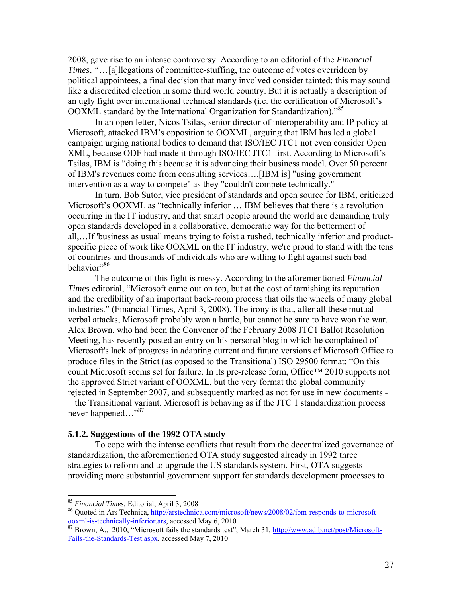2008, gave rise to an intense controversy. According to an editorial of the *Financial Times*, *"*…[a]llegations of committee-stuffing, the outcome of votes overridden by political appointees, a final decision that many involved consider tainted: this may sound like a discredited election in some third world country. But it is actually a description of an ugly fight over international technical standards (i.e. the certification of Microsoft's OOXML standard by the International Organization for Standardization).<sup>85</sup>

 In an open letter, Nicos Tsilas, senior director of interoperability and IP policy at Microsoft, attacked IBM's opposition to OOXML, arguing that IBM has led a global campaign urging national bodies to demand that ISO/IEC JTC1 not even consider Open XML, because ODF had made it through ISO/IEC JTC1 first. According to Microsoft's Tsilas, IBM is "doing this because it is advancing their business model. Over 50 percent of IBM's revenues come from consulting services….[IBM is] "using government intervention as a way to compete" as they "couldn't compete technically."

 In turn, Bob Sutor, vice president of standards and open source for IBM, criticized Microsoft's OOXML as "technically inferior … IBM believes that there is a revolution occurring in the IT industry, and that smart people around the world are demanding truly open standards developed in a collaborative, democratic way for the betterment of all,…If 'business as usual' means trying to foist a rushed, technically inferior and productspecific piece of work like OOXML on the IT industry, we're proud to stand with the tens of countries and thousands of individuals who are willing to fight against such bad behavior"86

 The outcome of this fight is messy. According to the aforementioned *Financial Times* editorial, "Microsoft came out on top, but at the cost of tarnishing its reputation and the credibility of an important back-room process that oils the wheels of many global industries." (Financial Times, April 3, 2008). The irony is that, after all these mutual verbal attacks, Microsoft probably won a battle, but cannot be sure to have won the war. Alex Brown, who had been the Convener of the February 2008 JTC1 Ballot Resolution Meeting, has recently posted an entry on his personal blog in which he complained of Microsoft's lack of progress in adapting current and future versions of Microsoft Office to produce files in the Strict (as opposed to the Transitional) ISO 29500 format: "On this count Microsoft seems set for failure. In its pre-release form, Office™ 2010 supports not the approved Strict variant of OOXML, but the very format the global community rejected in September 2007, and subsequently marked as not for use in new documents -

the Transitional variant. Microsoft is behaving as if the JTC 1 standardization process never happened…"<sup>87</sup>

#### **5.1.2. Suggestions of the 1992 OTA study**

 To cope with the intense conflicts that result from the decentralized governance of standardization, the aforementioned OTA study suggested already in 1992 three strategies to reform and to upgrade the US standards system. First, OTA suggests providing more substantial government support for standards development processes to

<sup>&</sup>lt;sup>85</sup> Financial Times, Editorial, April 3, 2008

<sup>&</sup>lt;sup>86</sup> Quoted in Ars Technica, http://arstechnica.com/microsoft/news/2008/02/ibm-responds-to-microsoftooxml-is-technically-inferior.ars, accessed May 6, 2010<br><sup>87</sup> Brown, A., 2010, "Microsoft fails the standards test", March 31, http://www.adjb.net/post/Microsoft-

Fails-the-Standards-Test.aspx, accessed May 7, 2010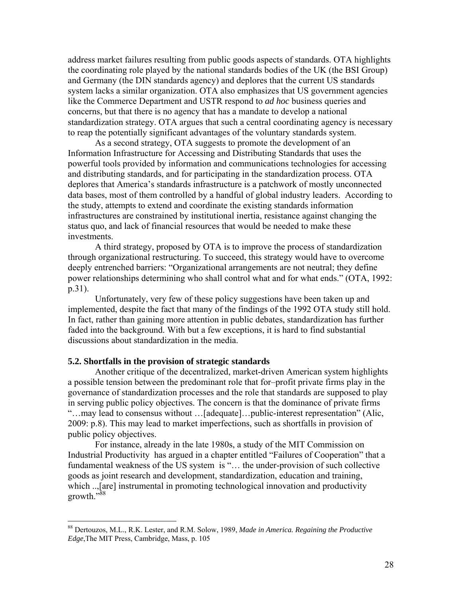address market failures resulting from public goods aspects of standards. OTA highlights the coordinating role played by the national standards bodies of the UK (the BSI Group) and Germany (the DIN standards agency) and deplores that the current US standards system lacks a similar organization. OTA also emphasizes that US government agencies like the Commerce Department and USTR respond to *ad hoc* business queries and concerns, but that there is no agency that has a mandate to develop a national standardization strategy. OTA argues that such a central coordinating agency is necessary to reap the potentially significant advantages of the voluntary standards system.

 As a second strategy, OTA suggests to promote the development of an Information Infrastructure for Accessing and Distributing Standards that uses the powerful tools provided by information and communications technologies for accessing and distributing standards, and for participating in the standardization process. OTA deplores that America's standards infrastructure is a patchwork of mostly unconnected data bases, most of them controlled by a handful of global industry leaders. According to the study, attempts to extend and coordinate the existing standards information infrastructures are constrained by institutional inertia, resistance against changing the status quo, and lack of financial resources that would be needed to make these investments.

 A third strategy, proposed by OTA is to improve the process of standardization through organizational restructuring. To succeed, this strategy would have to overcome deeply entrenched barriers: "Organizational arrangements are not neutral; they define power relationships determining who shall control what and for what ends." (OTA, 1992: p.31).

 Unfortunately, very few of these policy suggestions have been taken up and implemented, despite the fact that many of the findings of the 1992 OTA study still hold. In fact, rather than gaining more attention in public debates, standardization has further faded into the background. With but a few exceptions, it is hard to find substantial discussions about standardization in the media.

#### **5.2. Shortfalls in the provision of strategic standards**

1

Another critique of the decentralized, market-driven American system highlights a possible tension between the predominant role that for–profit private firms play in the governance of standardization processes and the role that standards are supposed to play in serving public policy objectives. The concern is that the dominance of private firms "…may lead to consensus without …[adequate]…public-interest representation" (Alic, 2009: p.8). This may lead to market imperfections, such as shortfalls in provision of public policy objectives.

 For instance, already in the late 1980s, a study of the MIT Commission on Industrial Productivity has argued in a chapter entitled "Failures of Cooperation" that a fundamental weakness of the US system is "… the under-provision of such collective goods as joint research and development, standardization, education and training, which ...[are] instrumental in promoting technological innovation and productivity growth."88

<sup>88</sup> Dertouzos, M.L., R.K. Lester, and R.M. Solow, 1989, *Made in America. Regaining the Productive Edge*,The MIT Press, Cambridge, Mass, p. 105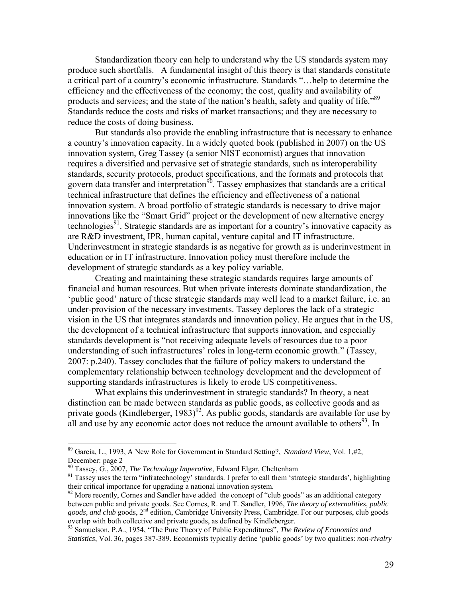Standardization theory can help to understand why the US standards system may produce such shortfalls. A fundamental insight of this theory is that standards constitute a critical part of a country's economic infrastructure. Standards "…help to determine the efficiency and the effectiveness of the economy; the cost, quality and availability of products and services; and the state of the nation's health, safety and quality of life."<sup>89</sup> Standards reduce the costs and risks of market transactions; and they are necessary to reduce the costs of doing business.

 But standards also provide the enabling infrastructure that is necessary to enhance a country's innovation capacity. In a widely quoted book (published in 2007) on the US innovation system, Greg Tassey (a senior NIST economist) argues that innovation requires a diversified and pervasive set of strategic standards, such as interoperability standards, security protocols, product specifications, and the formats and protocols that govern data transfer and interpretation<sup>90</sup>. Tassey emphasizes that standards are a critical technical infrastructure that defines the efficiency and effectiveness of a national innovation system. A broad portfolio of strategic standards is necessary to drive major innovations like the "Smart Grid" project or the development of new alternative energy technologies<sup>91</sup>. Strategic standards are as important for a country's innovative capacity as are R&D investment, IPR, human capital, venture capital and IT infrastructure. Underinvestment in strategic standards is as negative for growth as is underinvestment in education or in IT infrastructure. Innovation policy must therefore include the development of strategic standards as a key policy variable.

Creating and maintaining these strategic standards requires large amounts of financial and human resources. But when private interests dominate standardization, the 'public good' nature of these strategic standards may well lead to a market failure, i.e. an under-provision of the necessary investments. Tassey deplores the lack of a strategic vision in the US that integrates standards and innovation policy. He argues that in the US, the development of a technical infrastructure that supports innovation, and especially standards development is "not receiving adequate levels of resources due to a poor understanding of such infrastructures' roles in long-term economic growth." (Tassey, 2007: p.240). Tassey concludes that the failure of policy makers to understand the complementary relationship between technology development and the development of supporting standards infrastructures is likely to erode US competitiveness.

 What explains this underinvestment in strategic standards? In theory, a neat distinction can be made between standards as public goods, as collective goods and as private goods (Kindleberger, 1983)<sup>92</sup>. As public goods, standards are available for use by all and use by any economic actor does not reduce the amount available to others<sup>93</sup>. In

<sup>89</sup> Garcia, L., 1993, A New Role for Government in Standard Setting?, *Standard View*, Vol. 1,#2, December: page 2<br><sup>90</sup> Tassey, G., 2007, *The Technology Imperative*, Edward Elgar, Cheltenham

<sup>&</sup>lt;sup>91</sup> Tassey uses the term "infratechnology' standards. I prefer to call them 'strategic standards', highlighting their critical importance for upgrading a national innovation system.

<sup>&</sup>lt;sup>92</sup> More recently, Cornes and Sandler have added the concept of "club goods" as an additional category between public and private goods. See Cornes, R. and T. Sandler, 1996, *The theory of externalities, public*  goods, and club goods, 2<sup>nd</sup> edition, Cambridge University Press, Cambridge. For our purposes, club goods overlap with both collective and private goods, as defined by Kindleberger.

<sup>&</sup>lt;sup>93</sup> Samuelson, P.A., 1954, "The Pure Theory of Public Expenditures", *The Review of Economics and Statistics*, Vol. 36, pages 387-389. Economists typically define 'public goods' by two qualities: *non-rivalry*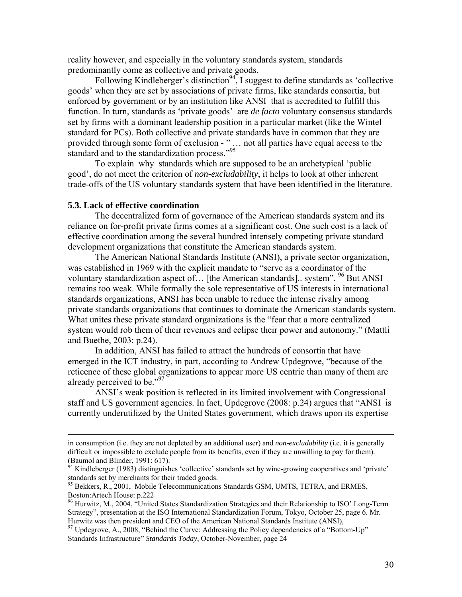reality however, and especially in the voluntary standards system, standards predominantly come as collective and private goods.

Following Kindleberger's distinction<sup>94</sup>, I suggest to define standards as 'collective goods' when they are set by associations of private firms, like standards consortia, but enforced by government or by an institution like ANSI that is accredited to fulfill this function. In turn, standards as 'private goods' are *de facto* voluntary consensus standards set by firms with a dominant leadership position in a particular market (like the Wintel standard for PCs). Both collective and private standards have in common that they are provided through some form of exclusion - " … not all parties have equal access to the standard and to the standardization process."<sup>95</sup>

 To explain why standards which are supposed to be an archetypical 'public good', do not meet the criterion of *non-excludability*, it helps to look at other inherent trade-offs of the US voluntary standards system that have been identified in the literature.

#### **5.3. Lack of effective coordination**

 The decentralized form of governance of the American standards system and its reliance on for-profit private firms comes at a significant cost. One such cost is a lack of effective coordination among the several hundred intensely competing private standard development organizations that constitute the American standards system.

 The American National Standards Institute (ANSI), a private sector organization, was established in 1969 with the explicit mandate to "serve as a coordinator of the voluntary standardization aspect of... [the American standards].. system".  $\frac{96}{10}$  But ANSI remains too weak. While formally the sole representative of US interests in international standards organizations, ANSI has been unable to reduce the intense rivalry among private standards organizations that continues to dominate the American standards system. What unites these private standard organizations is the "fear that a more centralized system would rob them of their revenues and eclipse their power and autonomy." (Mattli and Buethe, 2003: p.24).

 In addition, ANSI has failed to attract the hundreds of consortia that have emerged in the ICT industry, in part, according to Andrew Updegrove, "because of the reticence of these global organizations to appear more US centric than many of them are already perceived to be."<sup>97</sup>

 ANSI's weak position is reflected in its limited involvement with Congressional staff and US government agencies. In fact, Updegrove (2008: p.24) argues that "ANSI is currently underutilized by the United States government, which draws upon its expertise

in consumption (i.e. they are not depleted by an additional user) and *non-excludability* (i.e. it is generally difficult or impossible to exclude people from its benefits, even if they are unwilling to pay for them). (Baumol and Blinder, 1991: 617).

 $^{94}$  Kindleberger (1983) distinguishes 'collective' standards set by wine-growing cooperatives and 'private' standards set by merchants for their traded goods.

<sup>&</sup>lt;sup>95</sup> Bekkers, R., 2001, Mobile Telecommunications Standards GSM, UMTS, TETRA, and ERMES, Boston:Artech House: p.222

<sup>&</sup>lt;sup>96</sup> Hurwitz, M., 2004, "United States Standardization Strategies and their Relationship to ISO' Long-Term Strategy", presentation at the ISO International Standardization Forum, Tokyo, October 25, page 6. Mr. Hurwitz was then president and CEO of the American National Standards Institute (ANSI), 97 Updegrove, A., 2008, "Behind the Curve: Addressing the Policy dependencies of a "Bottom-Up"

Standards Infrastructure" *Standards Today*, October-November, page 24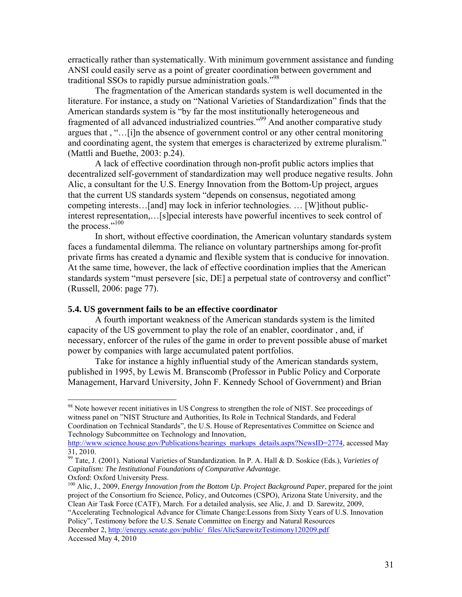erractically rather than systematically. With minimum government assistance and funding ANSI could easily serve as a point of greater coordination between government and traditional SSOs to rapidly pursue administration goals."98

 The fragmentation of the American standards system is well documented in the literature. For instance, a study on "National Varieties of Standardization" finds that the American standards system is "by far the most institutionally heterogeneous and fragmented of all advanced industrialized countries."99 And another comparative study argues that , "…[i]n the absence of government control or any other central monitoring and coordinating agent, the system that emerges is characterized by extreme pluralism." (Mattli and Buethe, 2003: p.24).

 A lack of effective coordination through non-profit public actors implies that decentralized self-government of standardization may well produce negative results. John Alic, a consultant for the U.S. Energy Innovation from the Bottom-Up project, argues that the current US standards system "depends on consensus, negotiated among competing interests…[and] may lock in inferior technologies. … [W]ithout publicinterest representation,…[s]pecial interests have powerful incentives to seek control of the process."<sup>100</sup>

 In short, without effective coordination, the American voluntary standards system faces a fundamental dilemma. The reliance on voluntary partnerships among for-profit private firms has created a dynamic and flexible system that is conducive for innovation. At the same time, however, the lack of effective coordination implies that the American standards system "must persevere [sic, DE] a perpetual state of controversy and conflict" (Russell, 2006: page 77).

#### **5.4. US government fails to be an effective coordinator**

 $\overline{a}$ 

 A fourth important weakness of the American standards system is the limited capacity of the US government to play the role of an enabler, coordinator , and, if necessary, enforcer of the rules of the game in order to prevent possible abuse of market power by companies with large accumulated patent portfolios.

 Take for instance a highly influential study of the American standards system, published in 1995, by Lewis M. Branscomb (Professor in Public Policy and Corporate Management, Harvard University, John F. Kennedy School of Government) and Brian

<sup>&</sup>lt;sup>98</sup> Note however recent initiatives in US Congress to strengthen the role of NIST. See proceedings of witness panel on "NIST Structure and Authorities, Its Role in Technical Standards, and Federal Coordination on Technical Standards", the U.S. House of Representatives Committee on Science and Technology Subcommittee on Technology and Innovation,

http://www.science.house.gov/Publications/hearings\_markups\_details.aspx?NewsID=2774, accessed May 31, 2010.

<sup>99</sup> Tate, J. (2001). National Varieties of Standardization. In P. A. Hall & D. Soskice (Eds.), *Varieties of Capitalism: The Institutional Foundations of Comparative Advantage*. Oxford: Oxford University Press.

<sup>100</sup> Alic, J., 2009, *Energy Innovation from the Bottom Up. Project Background Paper*, prepared for the joint project of the Consortium fro Science, Policy, and Outcomes (CSPO), Arizona State University, and the Clean Air Task Force (CATF), March. For a detailed analysis, see Alic, J. and D. Sarewitz, 2009,

<sup>&</sup>quot;Accelerating Technological Advance for Climate Change:Lessons from Sixty Years of U.S. Innovation Policy", Testimony before the U.S. Senate Committee on Energy and Natural Resources December 2, http://energy.senate.gov/public/\_files/AlicSarewitzTestimony120209.pdf Accessed May 4, 2010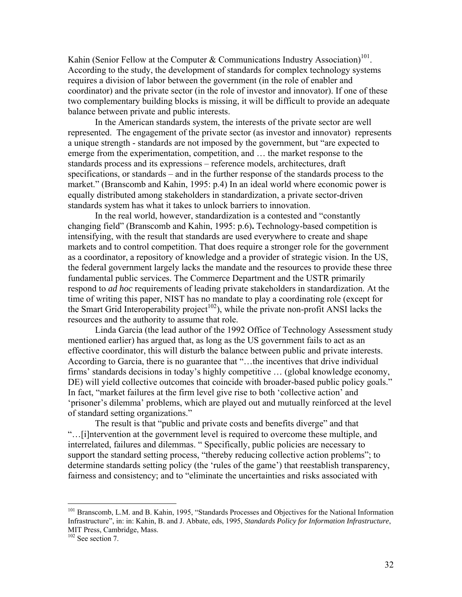Kahin (Senior Fellow at the Computer & Communications Industry Association)<sup>101</sup>. According to the study, the development of standards for complex technology systems requires a division of labor between the government (in the role of enabler and coordinator) and the private sector (in the role of investor and innovator). If one of these two complementary building blocks is missing, it will be difficult to provide an adequate balance between private and public interests.

 In the American standards system, the interests of the private sector are well represented. The engagement of the private sector (as investor and innovator) represents a unique strength - standards are not imposed by the government, but "are expected to emerge from the experimentation, competition, and … the market response to the standards process and its expressions – reference models, architectures, draft specifications, or standards – and in the further response of the standards process to the market." (Branscomb and Kahin, 1995: p.4) In an ideal world where economic power is equally distributed among stakeholders in standardization, a private sector-driven standards system has what it takes to unlock barriers to innovation.

 In the real world, however, standardization is a contested and "constantly changing field" (Branscomb and Kahin, 1995: p.6)**.** Technology-based competition is intensifying, with the result that standards are used everywhere to create and shape markets and to control competition. That does require a stronger role for the government as a coordinator, a repository of knowledge and a provider of strategic vision. In the US, the federal government largely lacks the mandate and the resources to provide these three fundamental public services. The Commerce Department and the USTR primarily respond to *ad hoc* requirements of leading private stakeholders in standardization. At the time of writing this paper, NIST has no mandate to play a coordinating role (except for the Smart Grid Interoperability project<sup>102</sup>), while the private non-profit ANSI lacks the resources and the authority to assume that role.

 Linda Garcia (the lead author of the 1992 Office of Technology Assessment study mentioned earlier) has argued that, as long as the US government fails to act as an effective coordinator, this will disturb the balance between public and private interests. According to Garcia, there is no guarantee that "…the incentives that drive individual firms' standards decisions in today's highly competitive … (global knowledge economy, DE) will yield collective outcomes that coincide with broader-based public policy goals." In fact, "market failures at the firm level give rise to both 'collective action' and 'prisoner's dilemma' problems, which are played out and mutually reinforced at the level of standard setting organizations."

 The result is that "public and private costs and benefits diverge" and that "…[i]ntervention at the government level is required to overcome these multiple, and interrelated, failures and dilemmas. " Specifically, public policies are necessary to support the standard setting process, "thereby reducing collective action problems"; to determine standards setting policy (the 'rules of the game') that reestablish transparency, fairness and consistency; and to "eliminate the uncertainties and risks associated with

<sup>&</sup>lt;sup>101</sup> Branscomb, L.M. and B. Kahin, 1995, "Standards Processes and Objectives for the National Information Infrastructure", in: in: Kahin, B. and J. Abbate, eds, 1995, *Standards Policy for Information Infrastructure*, MIT Press, Cambridge, Mass.

<sup>&</sup>lt;sup>102</sup> See section 7.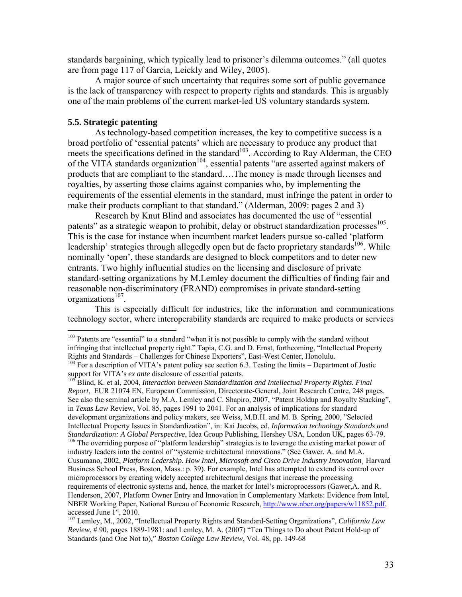standards bargaining, which typically lead to prisoner's dilemma outcomes." (all quotes are from page 117 of Garcia, Leickly and Wiley, 2005).

 A major source of such uncertainty that requires some sort of public governance is the lack of transparency with respect to property rights and standards. This is arguably one of the main problems of the current market-led US voluntary standards system.

#### **5.5. Strategic patenting**

 $\overline{a}$ 

 As technology-based competition increases, the key to competitive success is a broad portfolio of 'essential patents' which are necessary to produce any product that meets the specifications defined in the standard<sup>103</sup>. According to Ray Alderman, the CEO of the VITA standards organization<sup>104</sup>, essential patents "are asserted against makers of products that are compliant to the standard….The money is made through licenses and royalties, by asserting those claims against companies who, by implementing the requirements of the essential elements in the standard, must infringe the patent in order to make their products compliant to that standard." (Alderman, 2009: pages 2 and 3)

Research by Knut Blind and associates has documented the use of "essential patents" as a strategic weapon to prohibit, delay or obstruct standardization processes<sup>105</sup>. This is the case for instance when incumbent market leaders pursue so-called 'platform leadership' strategies through allegedly open but de facto proprietary standards<sup>106</sup>. While nominally 'open', these standards are designed to block competitors and to deter new entrants. Two highly influential studies on the licensing and disclosure of private standard-setting organizations by M.Lemley document the difficulties of finding fair and reasonable non-discriminatory (FRAND) compromises in private standard-setting organizations<sup>107</sup>.

This is especially difficult for industries, like the information and communications technology sector, where interoperability standards are required to make products or services

<sup>105</sup> Blind, K. et al, 2004, *Interaction between Standardization and Intellectual Property Rights. Final Report*, EUR 21074 EN, European Commission, Directorate-General, Joint Research Centre, 248 pages. See also the seminal article by M.A. Lemley and C. Shapiro, 2007, "Patent Holdup and Royalty Stacking", in *Texas Law* Review, Vol. 85, pages 1991 to 2041. For an analysis of implications for standard development organizations and policy makers, see Weiss, M.B.H. and M. B. Spring, 2000, "Selected Intellectual Property Issues in Standardization", in: Kai Jacobs, ed, *Information technology Standards and Standardization: A Global Perspective*, Idea Group Publishing, Hershey USA, London UK, pages 63-79. <sup>106</sup> The overriding purpose of "platform leadership" strategies is to leverage the existing market power of industry leaders into the control of "systemic architectural innovations." (See Gawer, A. and M.A. Cusumano, 2002, *Platform Ledership. How Intel, Microsoft and Cisco Drive Industry Innovation*¸ Harvard Business School Press, Boston, Mass.: p. 39). For example, Intel has attempted to extend its control over microprocessors by creating widely accepted architectural designs that increase the processing requirements of electronic systems and, hence, the market for Intel's microprocessors (Gawer,A. and R. Henderson, 2007, Platform Owner Entry and Innovation in Complementary Markets: Evidence from Intel, NBER Working Paper, National Bureau of Economic Research, http://www.nber.org/papers/w11852.pdf, accessed June 1<sup>st</sup>, 2010.

<sup>107</sup> Lemley, M., 2002, "Intellectual Property Rights and Standard-Setting Organizations", *California Law Review*, # 90, pages 1889-1981: and Lemley, M. A. (2007) "Ten Things to Do about Patent Hold-up of Standards (and One Not to)," *Boston College Law Review*, Vol. 48, pp. 149-68

<sup>&</sup>lt;sup>103</sup> Patents are "essential" to a standard "when it is not possible to comply with the standard without infringing that intellectual property right." Tapia, C.G. and D. Ernst, forthcoming, "Intellectual Property Rights and Standards – Challenges for Chinese Exporters", East-West Center, Honolulu.

<sup>&</sup>lt;sup>104</sup> For a description of VITA's patent policy see section 6.3. Testing the limits – Department of Justic support for VITA's *ex ante* disclosure of essential patents.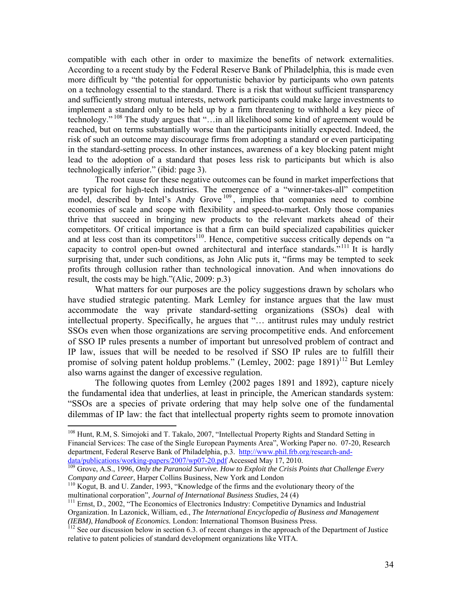compatible with each other in order to maximize the benefits of network externalities. According to a recent study by the Federal Reserve Bank of Philadelphia, this is made even more difficult by "the potential for opportunistic behavior by participants who own patents on a technology essential to the standard. There is a risk that without sufficient transparency and sufficiently strong mutual interests, network participants could make large investments to implement a standard only to be held up by a firm threatening to withhold a key piece of technology." 108 The study argues that "…in all likelihood some kind of agreement would be reached, but on terms substantially worse than the participants initially expected. Indeed, the risk of such an outcome may discourage firms from adopting a standard or even participating in the standard-setting process. In other instances, awareness of a key blocking patent might lead to the adoption of a standard that poses less risk to participants but which is also technologically inferior." (ibid: page 3).

The root cause for these negative outcomes can be found in market imperfections that are typical for high-tech industries. The emergence of a "winner-takes-all" competition model, described by Intel's Andy Grove<sup>109</sup>, implies that companies need to combine economies of scale and scope with flexibility and speed-to-market. Only those companies thrive that succeed in bringing new products to the relevant markets ahead of their competitors. Of critical importance is that a firm can build specialized capabilities quicker and at less cost than its competitors<sup>110</sup>. Hence, competitive success critically depends on "a capacity to control open-but owned architectural and interface standards.<sup>"111</sup> It is hardly surprising that, under such conditions, as John Alic puts it, "firms may be tempted to seek profits through collusion rather than technological innovation. And when innovations do result, the costs may be high."(Alic, 2009: p.3)

What matters for our purposes are the policy suggestions drawn by scholars who have studied strategic patenting. Mark Lemley for instance argues that the law must accommodate the way private standard-setting organizations (SSOs) deal with intellectual property. Specifically, he argues that "… antitrust rules may unduly restrict SSOs even when those organizations are serving procompetitive ends. And enforcement of SSO IP rules presents a number of important but unresolved problem of contract and IP law, issues that will be needed to be resolved if SSO IP rules are to fulfill their promise of solving patent holdup problems." (Lemley, 2002: page  $1891$ )<sup>112</sup> But Lemley also warns against the danger of excessive regulation.

The following quotes from Lemley (2002 pages 1891 and 1892), capture nicely the fundamental idea that underlies, at least in principle, the American standards system: "SSOs are a species of private ordering that may help solve one of the fundamental dilemmas of IP law: the fact that intellectual property rights seem to promote innovation

<sup>&</sup>lt;sup>108</sup> Hunt, R.M, S. Simojoki and T. Takalo, 2007, "Intellectual Property Rights and Standard Setting in Financial Services: The case of the Single European Payments Area", Working Paper no. 07-20, Research department, Federal Reserve Bank of Philadelphia, p.3. http://www.phil.frb.org/research-anddata/publications/working-papers/2007/wp07-20.pdf Accessed May 17, 2010.<br><sup>109</sup> Grove, A.S., 1996, *Only the Paranoid Survive. How to Exploit the Crisis Points that Challenge Every* 

*Company and Career*, Harper Collins Business, New York and London <sup>110</sup> Kogut, B. and U. Zander, 1993, "Knowledge of the firms and the evolutionary theory of the multinational corporation", *Journal of International Busin* 

<sup>&</sup>lt;sup>111</sup> Ernst, D., 2002, "The Economics of Electronics Industry: Competitive Dynamics and Industrial Organization. In Lazonick, William, ed., *The International Encyclopedia of Business and Management*

<sup>&</sup>lt;sup>112</sup> See our discussion below in section 6.3. of recent changes in the approach of the Department of Justice relative to patent policies of standard development organizations like VITA.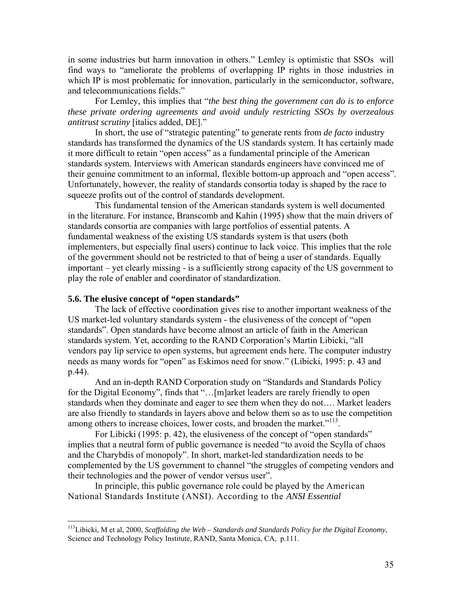in some industries but harm innovation in others." Lemley is optimistic that SSOs will find ways to "ameliorate the problems of overlapping IP rights in those industries in which IP is most problematic for innovation, particularly in the semiconductor, software, and telecommunications fields."

For Lemley, this implies that "*the best thing the government can do is to enforce these private ordering agreements and avoid unduly restricting SSOs by overzealous antitrust scrutiny* [italics added, DE]."

 In short, the use of "strategic patenting" to generate rents from *de facto* industry standards has transformed the dynamics of the US standards system. It has certainly made it more difficult to retain "open access" as a fundamental principle of the American standards system. Interviews with American standards engineers have convinced me of their genuine commitment to an informal, flexible bottom-up approach and "open access". Unfortunately, however, the reality of standards consortia today is shaped by the race to squeeze profits out of the control of standards development.

 This fundamental tension of the American standards system is well documented in the literature. For instance, Branscomb and Kahin (1995) show that the main drivers of standards consortia are companies with large portfolios of essential patents. A fundamental weakness of the existing US standards system is that users (both implementers, but especially final users) continue to lack voice. This implies that the role of the government should not be restricted to that of being a user of standards. Equally important – yet clearly missing - is a sufficiently strong capacity of the US government to play the role of enabler and coordinator of standardization.

#### **5.6. The elusive concept of "open standards"**

 $\overline{a}$ 

 The lack of effective coordination gives rise to another important weakness of the US market-led voluntary standards system - the elusiveness of the concept of "open standards". Open standards have become almost an article of faith in the American standards system. Yet, according to the RAND Corporation's Martin Libicki, "all vendors pay lip service to open systems, but agreement ends here. The computer industry needs as many words for "open" as Eskimos need for snow." (Libicki, 1995: p. 43 and p.44).

 And an in-depth RAND Corporation study on "Standards and Standards Policy for the Digital Economy", finds that "…[m]arket leaders are rarely friendly to open standards when they dominate and eager to see them when they do not…. Market leaders are also friendly to standards in layers above and below them so as to use the competition among others to increase choices, lower costs, and broaden the market."<sup>113</sup>.

For Libicki (1995: p. 42), the elusiveness of the concept of "open standards" implies that a neutral form of public governance is needed "to avoid the Scylla of chaos and the Charybdis of monopoly". In short, market-led standardization needs to be complemented by the US government to channel "the struggles of competing vendors and their technologies and the power of vendor versus user".

 In principle, this public governance role could be played by the American National Standards Institute (ANSI). According to the *ANSI Essential* 

<sup>113</sup>Libicki, M et al, 2000, *Scaffolding the Web – Standards and Standards Policy for the Digital Economy*, Science and Technology Policy Institute, RAND, Santa Monica, CA, p.111.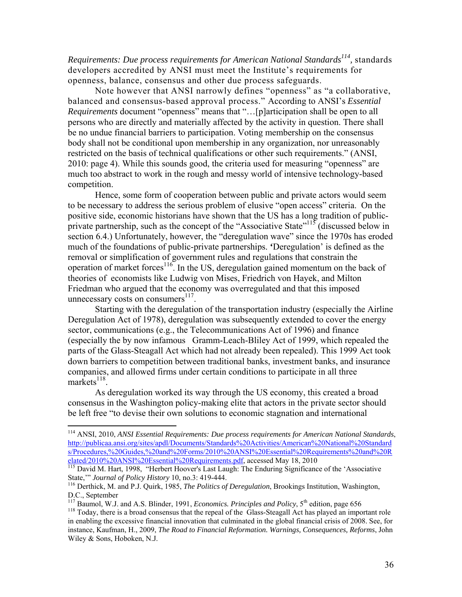*Requirements: Due process requirements for American National Standards*<sup>114</sup>, standards developers accredited by ANSI must meet the Institute's requirements for openness, balance, consensus and other due process safeguards.

 Note however that ANSI narrowly defines "openness" as "a collaborative, balanced and consensus-based approval process." According to ANSI's *Essential Requirements* document "openness" means that "…[p]articipation shall be open to all persons who are directly and materially affected by the activity in question. There shall be no undue financial barriers to participation. Voting membership on the consensus body shall not be conditional upon membership in any organization, nor unreasonably restricted on the basis of technical qualifications or other such requirements." (ANSI, 2010: page 4). While this sounds good, the criteria used for measuring "openness" are much too abstract to work in the rough and messy world of intensive technology-based competition.

 Hence, some form of cooperation between public and private actors would seem to be necessary to address the serious problem of elusive "open access" criteria. On the positive side, economic historians have shown that the US has a long tradition of publicprivate partnership, such as the concept of the "Associative State"<sup>115</sup> (discussed below in section 6.4.) Unfortunately, however, the "deregulation wave" since the 1970s has eroded much of the foundations of public-private partnerships. **'**Deregulation' is defined as the removal or simplification of government rules and regulations that constrain the operation of market forces<sup>116</sup>. In the US, deregulation gained momentum on the back of theories of economists like Ludwig von Mises, Friedrich von Hayek, and Milton Friedman who argued that the economy was overregulated and that this imposed unnecessary costs on consumers $^{117}$ .

 Starting with the deregulation of the transportation industry (especially the Airline Deregulation Act of 1978), deregulation was subsequently extended to cover the energy sector, communications (e.g., the Telecommunications Act of 1996) and finance (especially the by now infamous Gramm-Leach-Bliley Act of 1999, which repealed the parts of the Glass-Steagall Act which had not already been repealed). This 1999 Act took down barriers to competition between traditional banks, investment banks, and insurance companies, and allowed firms under certain conditions to participate in all three markets $^{118}$ .

 As deregulation worked its way through the US economy, this created a broad consensus in the Washington policy-making elite that actors in the private sector should be left free "to devise their own solutions to economic stagnation and international

1

<sup>114</sup> ANSI, 2010, *ANSI Essential Requirements: Due process requirements for American National Standards*, http://publicaa.ansi.org/sites/apdl/Documents/Standards%20Activities/American%20National%20Standard s/Procedures,%20Guides,%20and%20Forms/2010%20ANSI%20Essential%20Requirements%20and%20R elated/2010%20ANSI%20Essential%20Requirements.pdf, accessed May 18, 2010<br><sup>115</sup> David M. Hart, 1998, "Herbert Hoover's Last Laugh: The Enduring Significance of the 'Associative

State," *Journal of Policy History* 10, no.3: 419-444.<br><sup>116</sup> Derthick, M. and P.J. Quirk, 1985, *The Politics of Deregulation*, Brookings Institution, Washington,

D.C., September<br><sup>117</sup> Baumol, W.J. and A.S. Blinder, 1991, *Economics. Principles and Policy*, 5<sup>th</sup> edition, page 656

<sup>&</sup>lt;sup>118</sup> Today, there is a broad consensus that the repeal of the Glass-Steagall Act has played an important role in enabling the excessive financial innovation that culminated in the global financial crisis of 2008. See, for instance, Kaufman, H., 2009, *The Road to Financial Reformation. Warnings, Consequences, Reforms*, John Wiley & Sons, Hoboken, N.J.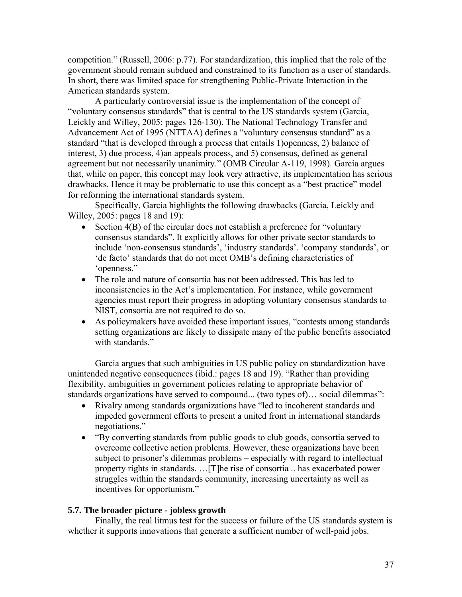competition." (Russell, 2006: p.77). For standardization, this implied that the role of the government should remain subdued and constrained to its function as a user of standards. In short, there was limited space for strengthening Public-Private Interaction in the American standards system.

 A particularly controversial issue is the implementation of the concept of "voluntary consensus standards" that is central to the US standards system (Garcia, Leickly and Willey, 2005: pages 126-130). The National Technology Transfer and Advancement Act of 1995 (NTTAA) defines a "voluntary consensus standard" as a standard "that is developed through a process that entails 1)openness, 2) balance of interest, 3) due process, 4)an appeals process, and 5) consensus, defined as general agreement but not necessarily unanimity." (OMB Circular A-119, 1998). Garcia argues that, while on paper, this concept may look very attractive, its implementation has serious drawbacks. Hence it may be problematic to use this concept as a "best practice" model for reforming the international standards system.

 Specifically, Garcia highlights the following drawbacks (Garcia, Leickly and Willey, 2005: pages 18 and 19):

- Section 4(B) of the circular does not establish a preference for "voluntary" consensus standards". It explicitly allows for other private sector standards to include 'non-consensus standards', 'industry standards'. 'company standards', or 'de facto' standards that do not meet OMB's defining characteristics of 'openness."
- The role and nature of consortia has not been addressed. This has led to inconsistencies in the Act's implementation. For instance, while government agencies must report their progress in adopting voluntary consensus standards to NIST, consortia are not required to do so.
- As policymakers have avoided these important issues, "contests among standards setting organizations are likely to dissipate many of the public benefits associated with standards"

 Garcia argues that such ambiguities in US public policy on standardization have unintended negative consequences (ibid.: pages 18 and 19). "Rather than providing flexibility, ambiguities in government policies relating to appropriate behavior of standards organizations have served to compound... (two types of)… social dilemmas":

- Rivalry among standards organizations have "led to incoherent standards and impeded government efforts to present a united front in international standards negotiations."
- "By converting standards from public goods to club goods, consortia served to overcome collective action problems. However, these organizations have been subject to prisoner's dilemmas problems – especially with regard to intellectual property rights in standards. …[T]he rise of consortia .. has exacerbated power struggles within the standards community, increasing uncertainty as well as incentives for opportunism."

#### **5.7. The broader picture - jobless growth**

Finally, the real litmus test for the success or failure of the US standards system is whether it supports innovations that generate a sufficient number of well-paid jobs.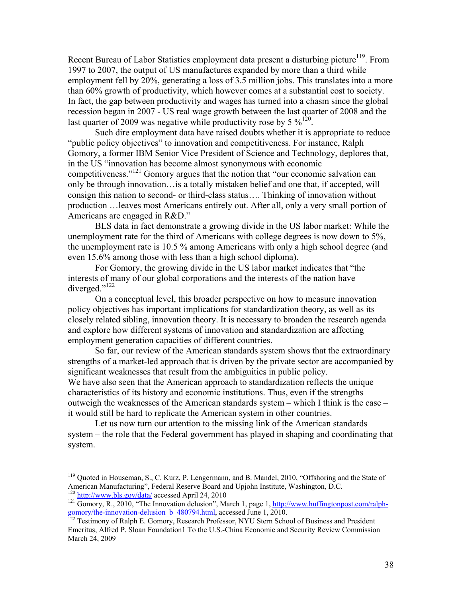Recent Bureau of Labor Statistics employment data present a disturbing picture<sup>119</sup>. From 1997 to 2007, the output of US manufactures expanded by more than a third while employment fell by 20%, generating a loss of 3.5 million jobs. This translates into a more than 60% growth of productivity, which however comes at a substantial cost to society. In fact, the gap between productivity and wages has turned into a chasm since the global recession began in 2007 - US real wage growth between the last quarter of 2008 and the last quarter of 2009 was negative while productivity rose by 5  $\frac{\%^{120}}{\%}$ .

 Such dire employment data have raised doubts whether it is appropriate to reduce "public policy objectives" to innovation and competitiveness. For instance, Ralph Gomory, a former IBM Senior Vice President of Science and Technology, deplores that, in the US "innovation has become almost synonymous with economic competitiveness."121 Gomory argues that the notion that "our economic salvation can only be through innovation…is a totally mistaken belief and one that, if accepted, will consign this nation to second- or third-class status…. Thinking of innovation without production …leaves most Americans entirely out. After all, only a very small portion of Americans are engaged in R&D."

 BLS data in fact demonstrate a growing divide in the US labor market: While the unemployment rate for the third of Americans with college degrees is now down to 5%, the unemployment rate is 10.5 % among Americans with only a high school degree (and even 15.6% among those with less than a high school diploma).

 For Gomory, the growing divide in the US labor market indicates that "the interests of many of our global corporations and the interests of the nation have diverged."<sup>122</sup>

 On a conceptual level, this broader perspective on how to measure innovation policy objectives has important implications for standardization theory, as well as its closely related sibling, innovation theory. It is necessary to broaden the research agenda and explore how different systems of innovation and standardization are affecting employment generation capacities of different countries.

 So far, our review of the American standards system shows that the extraordinary strengths of a market-led approach that is driven by the private sector are accompanied by significant weaknesses that result from the ambiguities in public policy. We have also seen that the American approach to standardization reflects the unique characteristics of its history and economic institutions. Thus, even if the strengths outweigh the weaknesses of the American standards system – which I think is the case – it would still be hard to replicate the American system in other countries.

 Let us now turn our attention to the missing link of the American standards system – the role that the Federal government has played in shaping and coordinating that system.

1

<sup>&</sup>lt;sup>119</sup> Quoted in Houseman, S., C. Kurz, P. Lengermann, and B. Mandel, 2010, "Offshoring and the State of American Manufacturing", Federal Reserve Board and Upjohn Institute, Washington, D.C.<br><sup>120</sup> http://www.bls.gov/data/ accessed April 24, 2010<br><sup>121</sup> Gomory, R., 2010, "The Innovation delusion", March 1, page 1, http://www.hu

gomory/the-innovation-delusion\_b\_480794.html, accessed June 1, 2010. 122 Testimony of Ralph E. Gomory, Research Professor, NYU Stern School of Business and President

Emeritus, Alfred P. Sloan Foundation1 To the U.S.-China Economic and Security Review Commission March 24, 2009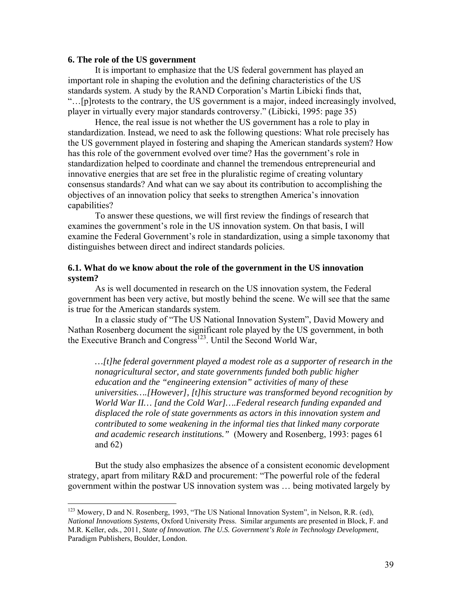#### **6. The role of the US government**

 $\overline{a}$ 

 It is important to emphasize that the US federal government has played an important role in shaping the evolution and the defining characteristics of the US standards system. A study by the RAND Corporation's Martin Libicki finds that, "…[p]rotests to the contrary, the US government is a major, indeed increasingly involved, player in virtually every major standards controversy." (Libicki, 1995: page 35)

 Hence, the real issue is not whether the US government has a role to play in standardization. Instead, we need to ask the following questions: What role precisely has the US government played in fostering and shaping the American standards system? How has this role of the government evolved over time? Has the government's role in standardization helped to coordinate and channel the tremendous entrepreneurial and innovative energies that are set free in the pluralistic regime of creating voluntary consensus standards? And what can we say about its contribution to accomplishing the objectives of an innovation policy that seeks to strengthen America's innovation capabilities?

 To answer these questions, we will first review the findings of research that examines the government's role in the US innovation system. On that basis, I will examine the Federal Government's role in standardization, using a simple taxonomy that distinguishes between direct and indirect standards policies.

#### **6.1. What do we know about the role of the government in the US innovation system?**

 As is well documented in research on the US innovation system, the Federal government has been very active, but mostly behind the scene. We will see that the same is true for the American standards system.

 In a classic study of "The US National Innovation System", David Mowery and Nathan Rosenberg document the significant role played by the US government, in both the Executive Branch and Congress<sup>123</sup>. Until the Second World War,

*…[t]he federal government played a modest role as a supporter of research in the nonagricultural sector, and state governments funded both public higher education and the "engineering extension" activities of many of these universities….[However], [t]his structure was transformed beyond recognition by World War II… [and the Cold War]….Federal research funding expanded and displaced the role of state governments as actors in this innovation system and contributed to some weakening in the informal ties that linked many corporate and academic research institutions."* (Mowery and Rosenberg, 1993: pages 61 and 62)

 But the study also emphasizes the absence of a consistent economic development strategy, apart from military R&D and procurement: "The powerful role of the federal government within the postwar US innovation system was … being motivated largely by

<sup>&</sup>lt;sup>123</sup> Mowery, D and N. Rosenberg, 1993, "The US National Innovation System", in Nelson, R.R. (ed), *National Innovations Systems,* Oxford University Press. Similar arguments are presented in Block, F. and M.R. Keller, eds., 2011, *State of Innovation. The U.S. Government's Role in Technology Development*, Paradigm Publishers, Boulder, London.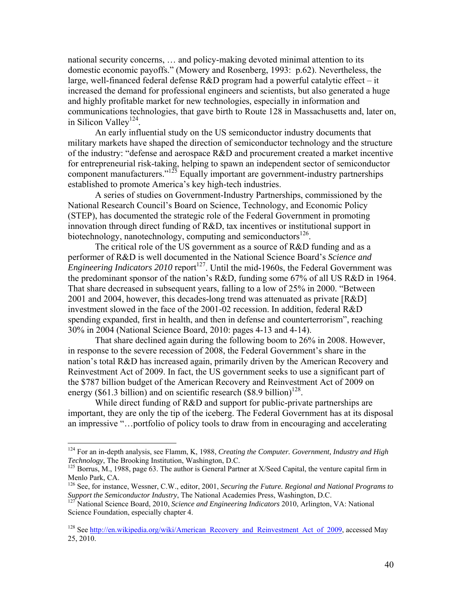national security concerns, … and policy-making devoted minimal attention to its domestic economic payoffs." (Mowery and Rosenberg, 1993: p.62). Nevertheless, the large, well-financed federal defense R&D program had a powerful catalytic effect – it increased the demand for professional engineers and scientists, but also generated a huge and highly profitable market for new technologies, especially in information and communications technologies, that gave birth to Route 128 in Massachusetts and, later on, in Silicon Valley<sup>124</sup>.

 An early influential study on the US semiconductor industry documents that military markets have shaped the direction of semiconductor technology and the structure of the industry: "defense and aerospace R&D and procurement created a market incentive for entrepreneurial risk-taking, helping to spawn an independent sector of semiconductor component manufacturers." $125$  Equally important are government-industry partnerships established to promote America's key high-tech industries.

 A series of studies on Government-Industry Partnerships, commissioned by the National Research Council's Board on Science, Technology, and Economic Policy (STEP), has documented the strategic role of the Federal Government in promoting innovation through direct funding of R&D, tax incentives or institutional support in biotechnology, nanotechnology, computing and semiconductors<sup>126</sup>.

 The critical role of the US government as a source of R&D funding and as a performer of R&D is well documented in the National Science Board's *Science and Engineering Indicators 2010* report<sup>127</sup>. Until the mid-1960s, the Federal Government was the predominant sponsor of the nation's R&D, funding some 67% of all US R&D in 1964. That share decreased in subsequent years, falling to a low of 25% in 2000. "Between 2001 and 2004, however, this decades-long trend was attenuated as private [R&D] investment slowed in the face of the 2001-02 recession. In addition, federal R&D spending expanded, first in health, and then in defense and counterterrorism", reaching 30% in 2004 (National Science Board, 2010: pages 4-13 and 4-14).

 That share declined again during the following boom to 26% in 2008. However, in response to the severe recession of 2008, the Federal Government's share in the nation's total R&D has increased again, primarily driven by the American Recovery and Reinvestment Act of 2009. In fact, the US government seeks to use a significant part of the \$787 billion budget of the American Recovery and Reinvestment Act of 2009 on energy (\$61.3 billion) and on scientific research (\$8.9 billion)<sup>128</sup>.

While direct funding of R&D and support for public-private partnerships are important, they are only the tip of the iceberg. The Federal Government has at its disposal an impressive "…portfolio of policy tools to draw from in encouraging and accelerating

<sup>&</sup>lt;sup>124</sup> For an in-depth analysis, see Flamm, K, 1988, *Creating the Computer. Government, Industry and High Technology*, The Brooking Institution, Washington, D.C.

<sup>&</sup>lt;sup>125</sup> Borrus, M., 1988, page 63. The author is General Partner at X/Seed Capital, the venture capital firm in Menlo Park, CA.

<sup>&</sup>lt;sup>126</sup> See, for instance, Wessner, C.W., editor, 2001, *Securing the Future. Regional and National Programs to Support the Semiconductor Industry*, The National Academies Press, Washington, D.C.

<sup>&</sup>lt;sup>127</sup> National Science Board, 2010, *Science and Engineering Indicators* 2010, Arlington, VA: National Science Foundation, especially chapter 4.

<sup>&</sup>lt;sup>128</sup> See http://en.wikipedia.org/wiki/American\_Recovery\_and\_Reinvestment\_Act\_of\_2009, accessed May 25, 2010.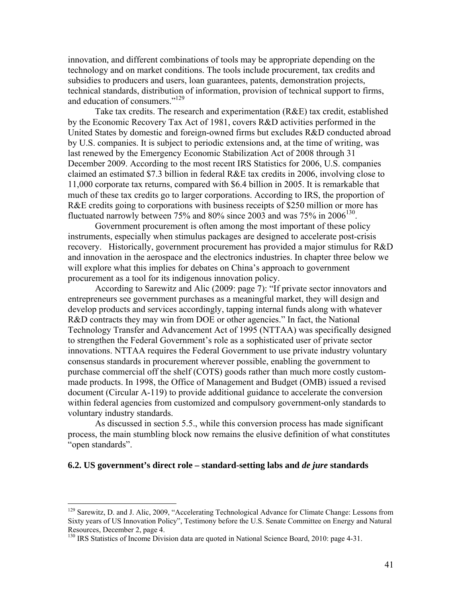innovation, and different combinations of tools may be appropriate depending on the technology and on market conditions. The tools include procurement, tax credits and subsidies to producers and users, loan guarantees, patents, demonstration projects, technical standards, distribution of information, provision of technical support to firms, and education of consumers."129

 Take tax credits. The research and experimentation (R&E) tax credit, established by the Economic Recovery Tax Act of 1981, covers R&D activities performed in the United States by domestic and foreign-owned firms but excludes R&D conducted abroad by U.S. companies. It is subject to periodic extensions and, at the time of writing, was last renewed by the Emergency Economic Stabilization Act of 2008 through 31 December 2009. According to the most recent IRS Statistics for 2006, U.S. companies claimed an estimated \$7.3 billion in federal R&E tax credits in 2006, involving close to 11,000 corporate tax returns, compared with \$6.4 billion in 2005. It is remarkable that much of these tax credits go to larger corporations. According to IRS, the proportion of R&E credits going to corporations with business receipts of \$250 million or more has fluctuated narrowly between 75% and 80% since 2003 and was 75% in  $2006^{130}$ .

 Government procurement is often among the most important of these policy instruments, especially when stimulus packages are designed to accelerate post-crisis recovery. Historically, government procurement has provided a major stimulus for R&D and innovation in the aerospace and the electronics industries. In chapter three below we will explore what this implies for debates on China's approach to government procurement as a tool for its indigenous innovation policy.

 According to Sarewitz and Alic (2009: page 7): "If private sector innovators and entrepreneurs see government purchases as a meaningful market, they will design and develop products and services accordingly, tapping internal funds along with whatever R&D contracts they may win from DOE or other agencies." In fact, the National Technology Transfer and Advancement Act of 1995 (NTTAA) was specifically designed to strengthen the Federal Government's role as a sophisticated user of private sector innovations. NTTAA requires the Federal Government to use private industry voluntary consensus standards in procurement wherever possible, enabling the government to purchase commercial off the shelf (COTS) goods rather than much more costly custommade products. In 1998, the Office of Management and Budget (OMB) issued a revised document (Circular A-119) to provide additional guidance to accelerate the conversion within federal agencies from customized and compulsory government-only standards to voluntary industry standards.

 As discussed in section 5.5., while this conversion process has made significant process, the main stumbling block now remains the elusive definition of what constitutes "open standards".

#### **6.2. US government's direct role – standard-setting labs and** *de jure* **standards**

<sup>&</sup>lt;sup>129</sup> Sarewitz, D. and J. Alic, 2009, "Accelerating Technological Advance for Climate Change: Lessons from Sixty years of US Innovation Policy", Testimony before the U.S. Senate Committee on Energy and Natural Resources, December 2, page 4.

<sup>&</sup>lt;sup>130</sup> IRS Statistics of Income Division data are quoted in National Science Board, 2010: page 4-31.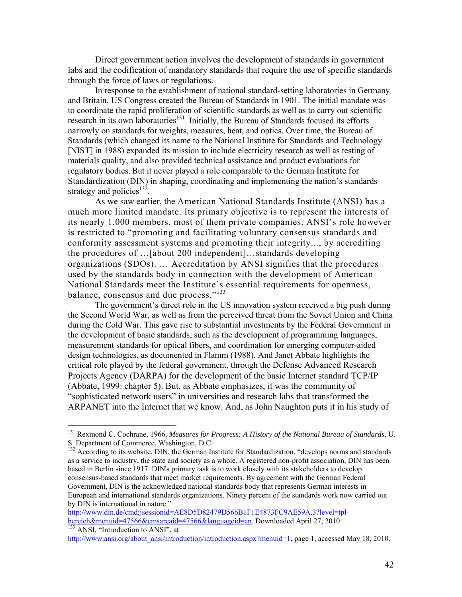Direct government action involves the development of standards in government labs and the codification of mandatory standards that require the use of specific standards through the force of laws or regulations.

In response to the establishment of national standard-setting laboratories in Germany and Britain, US Congress created the Bureau of Standards in 1901. The initial mandate was to coordinate the rapid proliferation of scientific standards as well as to carry out scientific research in its own laboratories<sup>131</sup>. Initially, the Bureau of Standards focused its efforts narrowly on standards for weights, measures, heat, and optics. Over time, the Bureau of Standards (which changed its name to the National Institute for Standards and Technology [NIST] in 1988) expanded its mission to include electricity research as well as testing of materials quality, and also provided technical assistance and product evaluations for regulatory bodies. But it never played a role comparable to the German Institute for Standardization (DIN) in shaping, coordinating and implementing the nation's standards strategy and policies<sup>132</sup>.

As we saw earlier, the American National Standards Institute (ANSI) has a much more limited mandate. Its primary objective is to represent the interests of its nearly 1,000 members, most of them private companies. ANSI's role however is restricted to "promoting and facilitating voluntary consensus standards and conformity assessment systems and promoting their integrity..., by accrediting the procedures of …[about 200 independent]…standards developing organizations (SDOs). … Accreditation by ANSI signifies that the procedures used by the standards body in connection with the development of American National Standards meet the Institute's essential requirements for openness, balance, consensus and due process."<sup>133</sup>

The government's direct role in the US innovation system received a big push during the Second World War, as well as from the perceived threat from the Soviet Union and China during the Cold War. This gave rise to substantial investments by the Federal Government in the development of basic standards, such as the development of programming languages, measurement standards for optical fibers, and coordination for emerging computer-aided design technologies, as documented in Flamm (1988). And Janet Abbate highlights the critical role played by the federal government, through the Defense Advanced Research Projects Agency (DARPA) for the development of the basic Internet standard TCP/IP (Abbate, 1999: chapter 5). But, as Abbate emphasizes, it was the community of "sophisticated network users" in universities and research labs that transformed the ARPANET into the Internet that we know. And, as John Naughton puts it in his study of

<sup>131</sup> Rexmond C. Cochrane, 1966, *Measures for Progress: A History of the National Bureau of Standards*, U. S. Department of Commerce, Washington, D.C.

<sup>&</sup>lt;sup>132</sup> According to its website, DIN, the German Institute for Standardization, "develops norms and standards" as a service to industry, the state and society as a whole. A registered non-profit association, DIN has been based in Berlin since 1917. DIN's primary task is to work closely with its stakeholders to develop consensus-based standards that meet market requirements. By agreement with the German Federal Government, DIN is the acknowledged national standards body that represents German interests in European and international standards organizations. Ninety percent of the standards work now carried out by DIN is international in nature."

http://www.din.de/cmd;jsessionid=AE8D5D82479D566B1F1E4873FC9AE59A.3?level=tplbereich&menuid=47566&cmsareaid=47566&languageid=en. Downloaded April 27, 2010<sup>133</sup> ANSI, "Introduction to ANSI", at

http://www.ansi.org/about\_ansi/introduction/introduction.aspx?menuid=1, page 1, accessed May 18, 2010.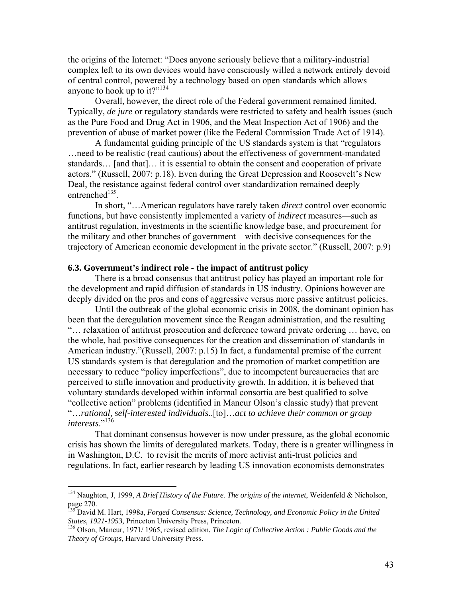the origins of the Internet: "Does anyone seriously believe that a military-industrial complex left to its own devices would have consciously willed a network entirely devoid of central control, powered by a technology based on open standards which allows anyone to hook up to it?" $134$ 

 Overall, however, the direct role of the Federal government remained limited. Typically, *de jure* or regulatory standards were restricted to safety and health issues (such as the Pure Food and Drug Act in 1906, and the Meat Inspection Act of 1906) and the prevention of abuse of market power (like the Federal Commission Trade Act of 1914).

 A fundamental guiding principle of the US standards system is that "regulators …need to be realistic (read cautious) about the effectiveness of government-mandated standards… [and that]… it is essential to obtain the consent and cooperation of private actors." (Russell, 2007: p.18). Even during the Great Depression and Roosevelt's New Deal, the resistance against federal control over standardization remained deeply entrenched $135$ .

 In short, "…American regulators have rarely taken *direct* control over economic functions, but have consistently implemented a variety of *indirect* measures—such as antitrust regulation, investments in the scientific knowledge base, and procurement for the military and other branches of government—with decisive consequences for the trajectory of American economic development in the private sector." (Russell, 2007: p.9)

#### **6.3. Government's indirect role - the impact of antitrust policy**

There is a broad consensus that antitrust policy has played an important role for the development and rapid diffusion of standards in US industry. Opinions however are deeply divided on the pros and cons of aggressive versus more passive antitrust policies.

 Until the outbreak of the global economic crisis in 2008, the dominant opinion has been that the deregulation movement since the Reagan administration, and the resulting "… relaxation of antitrust prosecution and deference toward private ordering … have, on the whole, had positive consequences for the creation and dissemination of standards in American industry."(Russell, 2007: p.15) In fact, a fundamental premise of the current US standards system is that deregulation and the promotion of market competition are necessary to reduce "policy imperfections", due to incompetent bureaucracies that are perceived to stifle innovation and productivity growth. In addition, it is believed that voluntary standards developed within informal consortia are best qualified to solve "collective action" problems (identified in Mancur Olson's classic study) that prevent "…*rational, self-interested individuals*..[to]…*act to achieve their common or group interests*."136

 That dominant consensus however is now under pressure, as the global economic crisis has shown the limits of deregulated markets. Today, there is a greater willingness in in Washington, D.C. to revisit the merits of more activist anti-trust policies and regulations. In fact, earlier research by leading US innovation economists demonstrates

1

<sup>134</sup> Naughton, J, 1999, *A Brief History of the Future. The origins of the internet*, Weidenfeld & Nicholson, page 270.

<sup>135</sup> David M. Hart, 1998a, *Forged Consensus: Science, Technology, and Economic Policy in the United States, 1921-1953,* Princeton University Press, Princeton. 136 Olson, Mancur, 1971/ 1965, revised edition, *The Logic of Collective Action : Public Goods and the* 

*Theory of Groups*, Harvard University Press.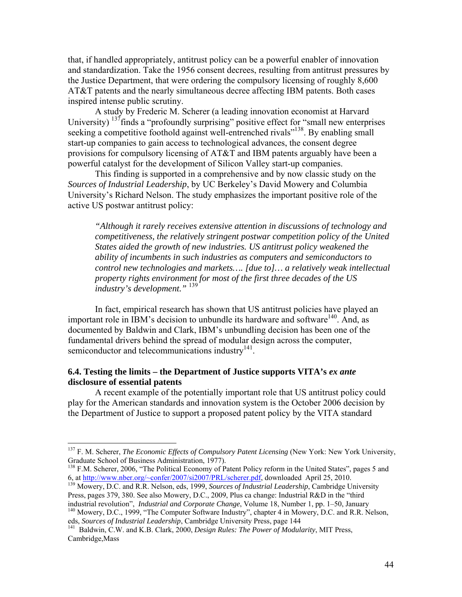that, if handled appropriately, antitrust policy can be a powerful enabler of innovation and standardization. Take the 1956 consent decrees, resulting from antitrust pressures by the Justice Department, that were ordering the compulsory licensing of roughly 8,600 AT&T patents and the nearly simultaneous decree affecting IBM patents. Both cases inspired intense public scrutiny.

A study by Frederic M. Scherer (a leading innovation economist at Harvard University)  $137$  finds a "profoundly surprising" positive effect for "small new enterprises seeking a competitive foothold against well-entrenched rivals<sup>"138</sup>. By enabling small start-up companies to gain access to technological advances, the consent degree provisions for compulsory licensing of AT&T and IBM patents arguably have been a powerful catalyst for the development of Silicon Valley start-up companies.

 This finding is supported in a comprehensive and by now classic study on the *Sources of Industrial Leadership*, by UC Berkeley's David Mowery and Columbia University's Richard Nelson. The study emphasizes the important positive role of the active US postwar antitrust policy:

*"Although it rarely receives extensive attention in discussions of technology and competitiveness, the relatively stringent postwar competition policy of the United States aided the growth of new industries. US antitrust policy weakened the ability of incumbents in such industries as computers and semiconductors to control new technologies and markets…. [due to]… a relatively weak intellectual property rights environment for most of the first three decades of the US industry's development."* <sup>139</sup>

 In fact, empirical research has shown that US antitrust policies have played an important role in IBM's decision to unbundle its hardware and software<sup>140</sup>. And, as documented by Baldwin and Clark, IBM's unbundling decision has been one of the fundamental drivers behind the spread of modular design across the computer, semiconductor and telecommunications industry<sup>141</sup>.

#### **6.4. Testing the limits – the Department of Justice supports VITA's** *ex ante* **disclosure of essential patents**

1

A recent example of the potentially important role that US antitrust policy could play for the American standards and innovation system is the October 2006 decision by the Department of Justice to support a proposed patent policy by the VITA standard

<sup>140</sup> Mowery, D.C., 1999, "The Computer Software Industry", chapter 4 in Mowery, D.C. and R.R. Nelson, eds, *Sources of Industrial Leadership*, Cambridge University Press, page 144

<sup>&</sup>lt;sup>137</sup> F. M. Scherer, *The Economic Effects of Compulsory Patent Licensing* (New York: New York University, Graduate School of Business Administration, 1977).

<sup>&</sup>lt;sup>138</sup> F.M. Scherer, 2006, "The Political Economy of Patent Policy reform in the United States", pages 5 and 6, at http://www.nber.org/~confer/2007/<u>si2007/PRL/scherer.pdf</u>, downloaded April 25, 2010.

<sup>&</sup>lt;sup>139</sup> Mowery, D.C. and R.R. Nelson, eds, 1999, *Sources of Industrial Leadership*, Cambridge University Press, pages 379, 380. See also Mowery, D.C., 2009, Plus ca change: Industrial R&D in the "third industrial revolution", *Industrial and Corporate Change*, Volume 18, Number 1, pp. 1–50, January

<sup>&</sup>lt;sup>141</sup> Baldwin, C.W. and K.B. Clark, 2000, *Design Rules: The Power of Modularity*, MIT Press, Cambridge,Mass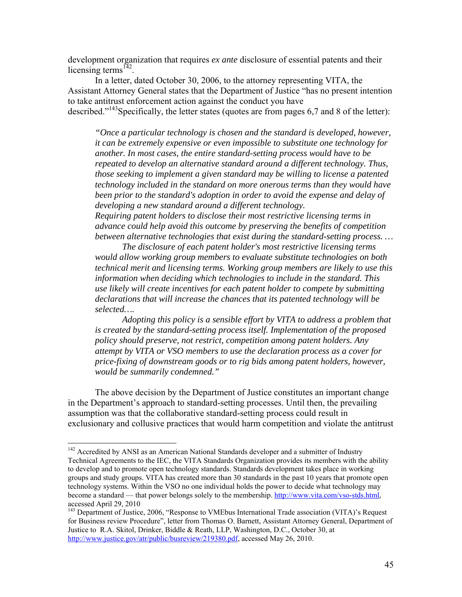development organization that requires *ex ante* disclosure of essential patents and their licensing terms<sup>142</sup>.

 In a letter, dated October 30, 2006, to the attorney representing VITA, the Assistant Attorney General states that the Department of Justice "has no present intention to take antitrust enforcement action against the conduct you have described."<sup>143</sup>Specifically, the letter states (quotes are from pages 6,7 and 8 of the letter):

*"Once a particular technology is chosen and the standard is developed, however, it can be extremely expensive or even impossible to substitute one technology for another. In most cases, the entire standard-setting process would have to be repeated to develop an alternative standard around a different technology. Thus, those seeking to implement a given standard may be willing to license a patented technology included in the standard on more onerous terms than they would have been prior to the standard's adoption in order to avoid the expense and delay of developing a new standard around a different technology.* 

*Requiring patent holders to disclose their most restrictive licensing terms in advance could help avoid this outcome by preserving the benefits of competition between alternative technologies that exist during the standard-setting process. …* 

 *The disclosure of each patent holder's most restrictive licensing terms would allow working group members to evaluate substitute technologies on both technical merit and licensing terms. Working group members are likely to use this information when deciding which technologies to include in the standard. This use likely will create incentives for each patent holder to compete by submitting declarations that will increase the chances that its patented technology will be selected….* 

 *Adopting this policy is a sensible effort by VITA to address a problem that is created by the standard-setting process itself. Implementation of the proposed policy should preserve, not restrict, competition among patent holders. Any attempt by VITA or VSO members to use the declaration process as a cover for price-fixing of downstream goods or to rig bids among patent holders, however, would be summarily condemned."* 

 The above decision by the Department of Justice constitutes an important change in the Department's approach to standard-setting processes. Until then, the prevailing assumption was that the collaborative standard-setting process could result in exclusionary and collusive practices that would harm competition and violate the antitrust

1

<sup>&</sup>lt;sup>142</sup> Accredited by ANSI as an American National Standards developer and a submitter of Industry Technical Agreements to the IEC, the VITA Standards Organization provides its members with the ability to develop and to promote open technology standards. Standards development takes place in working groups and study groups. VITA has created more than 30 standards in the past 10 years that promote open technology systems. Within the VSO no one individual holds the power to decide what technology may become a standard — that power belongs solely to the membership. http://www.vita.com/vso-stds.html, accessed April 29, 2010

<sup>&</sup>lt;sup>143</sup> Department of Justice, 2006, "Response to VMEbus International Trade association (VITA)'s Request for Business review Procedure", letter from Thomas O. Barnett, Assistant Attorney General, Department of Justice to R.A. Skitol, Drinker, Biddle & Reath, LLP, Washington, D.C., October 30, at http://www.justice.gov/atr/public/busreview/219380.pdf, accessed May 26, 2010.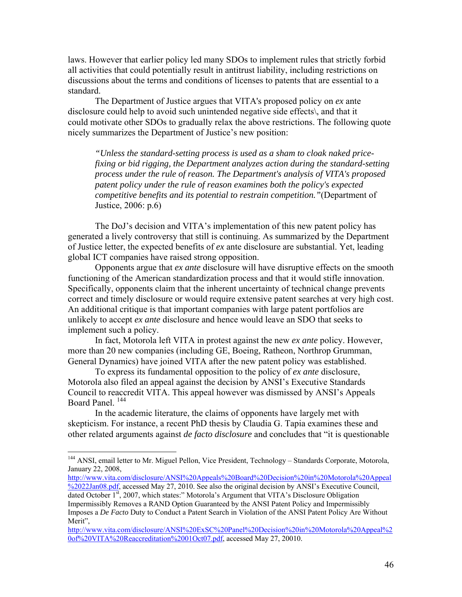laws. However that earlier policy led many SDOs to implement rules that strictly forbid all activities that could potentially result in antitrust liability, including restrictions on discussions about the terms and conditions of licenses to patents that are essential to a standard.

 The Department of Justice argues that VITA's proposed policy on *ex* ante disclosure could help to avoid such unintended negative side effects\, and that it could motivate other SDOs to gradually relax the above restrictions. The following quote nicely summarizes the Department of Justice's new position:

*"Unless the standard-setting process is used as a sham to cloak naked pricefixing or bid rigging, the Department analyzes action during the standard-setting process under the rule of reason. The Department's analysis of VITA's proposed patent policy under the rule of reason examines both the policy's expected competitive benefits and its potential to restrain competition."*(Department of Justice, 2006: p.6)

 The DoJ's decision and VITA's implementation of this new patent policy has generated a lively controversy that still is continuing. As summarized by the Department of Justice letter, the expected benefits of *ex* ante disclosure are substantial. Yet, leading global ICT companies have raised strong opposition.

 Opponents argue that *ex ante* disclosure will have disruptive effects on the smooth functioning of the American standardization process and that it would stifle innovation. Specifically, opponents claim that the inherent uncertainty of technical change prevents correct and timely disclosure or would require extensive patent searches at very high cost. An additional critique is that important companies with large patent portfolios are unlikely to accept *ex ante* disclosure and hence would leave an SDO that seeks to implement such a policy.

 In fact, Motorola left VITA in protest against the new *ex ante* policy. However, more than 20 new companies (including GE, Boeing, Ratheon, Northrop Grumman, General Dynamics) have joined VITA after the new patent policy was established.

 To express its fundamental opposition to the policy of *ex ante* disclosure, Motorola also filed an appeal against the decision by ANSI's Executive Standards Council to reaccredit VITA. This appeal however was dismissed by ANSI's Appeals Board Panel.<sup>144</sup>

 In the academic literature, the claims of opponents have largely met with skepticism. For instance, a recent PhD thesis by Claudia G. Tapia examines these and other related arguments against *de facto disclosure* and concludes that "it is questionable

1

http://www.vita.com/disclosure/ANSI%20Appeals%20Board%20Decision%20in%20Motorola%20Appeal

%2022Jan08.pdf, accessed May 27, 2010. See also the original decision by ANSI's Executive Council, dated October 1<sup>st</sup>, 2007, which states:" Motorola's Argument that VITA's Disclosure Obligation Impermissibly Removes a RAND Option Guaranteed by the ANSI Patent Policy and Impermissibly Imposes a *De Facto* Duty to Conduct a Patent Search in Violation of the ANSI Patent Policy Are Without Merit",

<sup>&</sup>lt;sup>144</sup> ANSI, email letter to Mr. Miguel Pellon, Vice President, Technology - Standards Corporate, Motorola, January 22, 2008,

http://www.vita.com/disclosure/ANSI%20ExSC%20Panel%20Decision%20in%20Motorola%20Appeal%2 0of%20VITA%20Reaccreditation%2001Oct07.pdf, accessed May 27, 20010.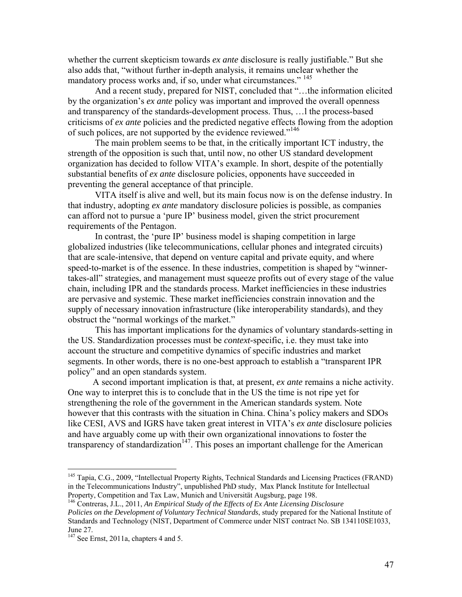whether the current skepticism towards *ex ante* disclosure is really justifiable." But she also adds that, "without further in-depth analysis, it remains unclear whether the mandatory process works and, if so, under what circumstances." 145

 And a recent study, prepared for NIST, concluded that "…the information elicited by the organization's *ex ante* policy was important and improved the overall openness and transparency of the standards-development process. Thus, …l the process-based criticisms of *ex ante* policies and the predicted negative effects flowing from the adoption of such polices, are not supported by the evidence reviewed."<sup>146</sup>

 The main problem seems to be that, in the critically important ICT industry, the strength of the opposition is such that, until now, no other US standard development organization has decided to follow VITA's example. In short, despite of the potentially substantial benefits of *ex ante* disclosure policies, opponents have succeeded in preventing the general acceptance of that principle.

 VITA itself is alive and well, but its main focus now is on the defense industry. In that industry, adopting *ex ante* mandatory disclosure policies is possible, as companies can afford not to pursue a 'pure IP' business model, given the strict procurement requirements of the Pentagon.

 In contrast, the 'pure IP' business model is shaping competition in large globalized industries (like telecommunications, cellular phones and integrated circuits) that are scale-intensive, that depend on venture capital and private equity, and where speed-to-market is of the essence. In these industries, competition is shaped by "winnertakes-all" strategies, and management must squeeze profits out of every stage of the value chain, including IPR and the standards process. Market inefficiencies in these industries are pervasive and systemic. These market inefficiencies constrain innovation and the supply of necessary innovation infrastructure (like interoperability standards), and they obstruct the "normal workings of the market."

 This has important implications for the dynamics of voluntary standards-setting in the US. Standardization processes must be *context-*specific, i.e. they must take into account the structure and competitive dynamics of specific industries and market segments. In other words, there is no one-best approach to establish a "transparent IPR policy" and an open standards system.

 A second important implication is that, at present, *ex ante* remains a niche activity. One way to interpret this is to conclude that in the US the time is not ripe yet for strengthening the role of the government in the American standards system. Note however that this contrasts with the situation in China. China's policy makers and SDOs like CESI, AVS and IGRS have taken great interest in VITA's *ex ante* disclosure policies and have arguably come up with their own organizational innovations to foster the transparency of standardization<sup>147</sup>. This poses an important challenge for the American

<sup>&</sup>lt;sup>145</sup> Tapia, C.G., 2009, "Intellectual Property Rights, Technical Standards and Licensing Practices (FRAND) in the Telecommunications Industry", unpublished PhD study, Max Planck Institute for Intellectual

<sup>&</sup>lt;sup>146</sup> Contreras, J.L., 2011, An Empirical Study of the Effects of Ex Ante Licensing Disclosure *Policies on the Development of Voluntary Technical Standards*, study prepared for the National Institute of Standards and Technology (NIST, Department of Commerce under NIST contract No. SB 134110SE1033, June 27.

 $147$  See Ernst, 2011a, chapters 4 and 5.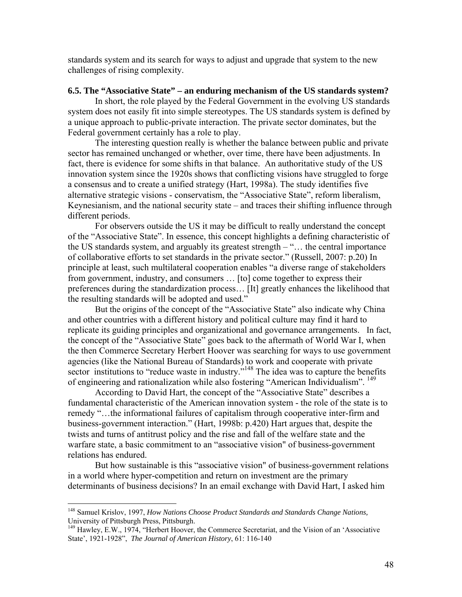standards system and its search for ways to adjust and upgrade that system to the new challenges of rising complexity.

#### **6.5. The "Associative State" – an enduring mechanism of the US standards system?**

In short, the role played by the Federal Government in the evolving US standards system does not easily fit into simple stereotypes. The US standards system is defined by a unique approach to public-private interaction. The private sector dominates, but the Federal government certainly has a role to play.

 The interesting question really is whether the balance between public and private sector has remained unchanged or whether, over time, there have been adjustments. In fact, there is evidence for some shifts in that balance. An authoritative study of the US innovation system since the 1920s shows that conflicting visions have struggled to forge a consensus and to create a unified strategy (Hart, 1998a). The study identifies five alternative strategic visions - conservatism, the "Associative State", reform liberalism, Keynesianism, and the national security state – and traces their shifting influence through different periods.

 For observers outside the US it may be difficult to really understand the concept of the "Associative State". In essence, this concept highlights a defining characteristic of the US standards system, and arguably its greatest strength – "… the central importance of collaborative efforts to set standards in the private sector." (Russell, 2007: p.20) In principle at least, such multilateral cooperation enables "a diverse range of stakeholders from government, industry, and consumers … [to] come together to express their preferences during the standardization process… [It] greatly enhances the likelihood that the resulting standards will be adopted and used."

 But the origins of the concept of the "Associative State" also indicate why China and other countries with a different history and political culture may find it hard to replicate its guiding principles and organizational and governance arrangements. In fact, the concept of the "Associative State" goes back to the aftermath of World War I, when the then Commerce Secretary Herbert Hoover was searching for ways to use government agencies (like the National Bureau of Standards) to work and cooperate with private sector institutions to "reduce waste in industry."<sup>148</sup> The idea was to capture the benefits of engineering and rationalization while also fostering "American Individualism". <sup>149</sup>

 According to David Hart, the concept of the "Associative State" describes a fundamental characteristic of the American innovation system - the role of the state is to remedy "…the informational failures of capitalism through cooperative inter-firm and business-government interaction." (Hart, 1998b: p.420) Hart argues that, despite the twists and turns of antitrust policy and the rise and fall of the welfare state and the warfare state, a basic commitment to an "associative vision" of business-government relations has endured.

 But how sustainable is this "associative vision" of business-government relations in a world where hyper-competition and return on investment are the primary determinants of business decisions? In an email exchange with David Hart, I asked him

<u>.</u>

<sup>&</sup>lt;sup>148</sup> Samuel Krislov, 1997, *How Nations Choose Product Standards and Standards Change Nations,*<br>University of Pittsburgh Press, Pittsburgh.

<sup>&</sup>lt;sup>149</sup> Hawley, E.W., 1974, "Herbert Hoover, the Commerce Secretariat, and the Vision of an 'Associative State', 1921-1928", *The Journal of American History*, 61: 116-140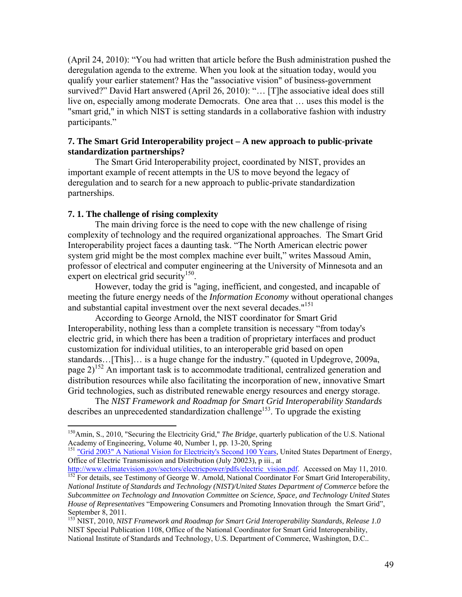(April 24, 2010): "You had written that article before the Bush administration pushed the deregulation agenda to the extreme. When you look at the situation today, would you qualify your earlier statement? Has the "associative vision" of business-government survived?" David Hart answered (April 26, 2010): "… [T]he associative ideal does still live on, especially among moderate Democrats. One area that … uses this model is the "smart grid," in which NIST is setting standards in a collaborative fashion with industry participants."

### **7. The Smart Grid Interoperability project – A new approach to public-private standardization partnerships?**

 The Smart Grid Interoperability project, coordinated by NIST, provides an important example of recent attempts in the US to move beyond the legacy of deregulation and to search for a new approach to public-private standardization partnerships.

#### **7. 1. The challenge of rising complexity**

 $\overline{a}$ 

 The main driving force is the need to cope with the new challenge of rising complexity of technology and the required organizational approaches. The Smart Grid Interoperability project faces a daunting task. "The North American electric power system grid might be the most complex machine ever built," writes Massoud Amin, professor of electrical and computer engineering at the University of Minnesota and an expert on electrical grid security<sup>150</sup>.

 However, today the grid is "aging, inefficient, and congested, and incapable of meeting the future energy needs of the *Information Economy* without operational changes and substantial capital investment over the next several decades."<sup>151</sup>

 According to George Arnold, the NIST coordinator for Smart Grid Interoperability, nothing less than a complete transition is necessary "from today's electric grid, in which there has been a tradition of proprietary interfaces and product customization for individual utilities, to an interoperable grid based on open standards…[This]… is a huge change for the industry." (quoted in Updegrove, 2009a, page  $2)^{152}$  An important task is to accommodate traditional, centralized generation and distribution resources while also facilitating the incorporation of new, innovative Smart Grid technologies, such as distributed renewable energy resources and energy storage.

 The *NIST Framework and Roadmap for Smart Grid Interoperability Standards* describes an unprecedented standardization challenge<sup>153</sup>. To upgrade the existing

<sup>150</sup>Amin, S., 2010, "Securing the Electricity Grid," *The Bridge*, quarterly publication of the U.S. National Academy of Engineering, Volume 40, Number 1, pp. 13-20, Spring

<sup>&</sup>lt;sup>151</sup> "Grid 2003" A National Vision for Electricity's Second 100 Years, United States Department of Energy, Office of Electric Transmission and Distribution (July 20023), p iii., at http://www.climatevision.gov/sectors/electricpower/pdfs/electric vision.pdf. Accessed on May 11, 2010.

 $\frac{152}{152}$  For details, see Testimony of George W. Arnold, National Coordinator For Smart Grid Interoperability, *National Institute of Standards and Technology (NIST)/United States Department of Commerce* before the *Subcommittee on Technology and Innovation Committee on Science, Space, and Technology United States House of Representatives* "Empowering Consumers and Promoting Innovation through the Smart Grid", September 8, 2011.

<sup>153</sup> NIST, 2010, *NIST Framework and Roadmap for Smart Grid Interoperability Standards, Release 1.0*  NIST Special Publication 1108, Office of the National Coordinator for Smart Grid Interoperability, National Institute of Standards and Technology, U.S. Department of Commerce, Washington, D.C..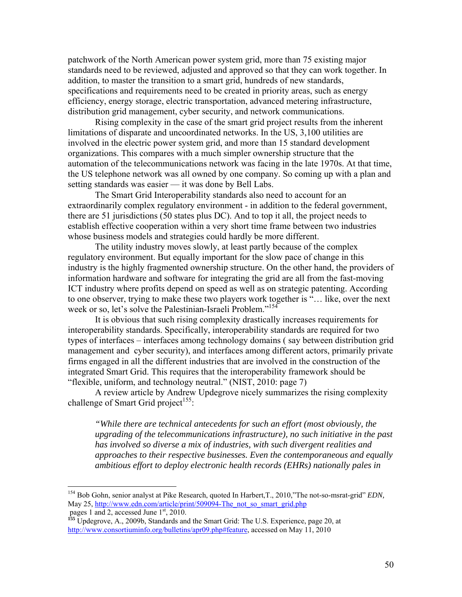patchwork of the North American power system grid, more than 75 existing major standards need to be reviewed, adjusted and approved so that they can work together. In addition, to master the transition to a smart grid, hundreds of new standards, specifications and requirements need to be created in priority areas, such as energy efficiency, energy storage, electric transportation, advanced metering infrastructure, distribution grid management, cyber security, and network communications.

 Rising complexity in the case of the smart grid project results from the inherent limitations of disparate and uncoordinated networks. In the US, 3,100 utilities are involved in the electric power system grid, and more than 15 standard development organizations. This compares with a much simpler ownership structure that the automation of the telecommunications network was facing in the late 1970s. At that time, the US telephone network was all owned by one company. So coming up with a plan and setting standards was easier — it was done by Bell Labs.

 The Smart Grid Interoperability standards also need to account for an extraordinarily complex regulatory environment - in addition to the federal government, there are 51 jurisdictions (50 states plus DC). And to top it all, the project needs to establish effective cooperation within a very short time frame between two industries whose business models and strategies could hardly be more different.

 The utility industry moves slowly, at least partly because of the complex regulatory environment. But equally important for the slow pace of change in this industry is the highly fragmented ownership structure. On the other hand, the providers of information hardware and software for integrating the grid are all from the fast-moving ICT industry where profits depend on speed as well as on strategic patenting. According to one observer, trying to make these two players work together is "… like, over the next week or so, let's solve the Palestinian-Israeli Problem."<sup>154</sup>

 It is obvious that such rising complexity drastically increases requirements for interoperability standards. Specifically, interoperability standards are required for two types of interfaces – interfaces among technology domains ( say between distribution grid management and cyber security), and interfaces among different actors, primarily private firms engaged in all the different industries that are involved in the construction of the integrated Smart Grid. This requires that the interoperability framework should be "flexible, uniform, and technology neutral." (NIST, 2010: page 7)

 A review article by Andrew Updegrove nicely summarizes the rising complexity challenge of Smart Grid project<sup>155</sup>:

*"While there are technical antecedents for such an effort (most obviously, the upgrading of the telecommunications infrastructure), no such initiative in the past has involved so diverse a mix of industries, with such divergent realities and approaches to their respective businesses. Even the contemporaneous and equally ambitious effort to deploy electronic health records (EHRs) nationally pales in* 

1

<sup>154</sup> Bob Gohn, senior analyst at Pike Research, quoted In Harbert,T., 2010,"The not-so-msrat-grid" *EDN,*  May 25, http://www.edn.com/article/print/509094-The\_not\_so\_smart\_grid.php pages 1 and 2, accessed June  $1<sup>st</sup>$ , 2010.

**<sup>155</sup>** Updegrove, A., 2009b, Standards and the Smart Grid: The U.S. Experience, page 20, at http://www.consortiuminfo.org/bulletins/apr09.php#feature, accessed on May 11, 2010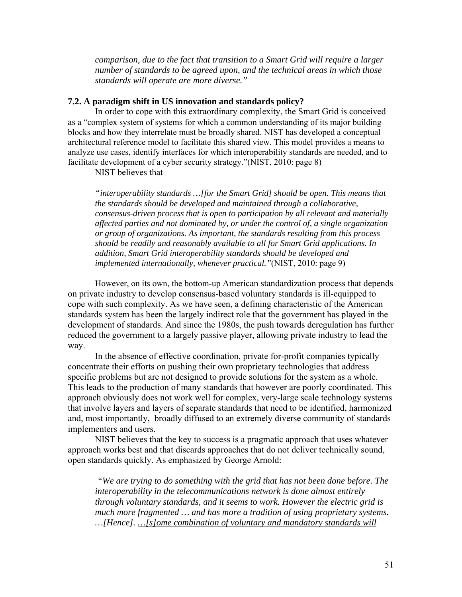*comparison, due to the fact that transition to a Smart Grid will require a larger number of standards to be agreed upon, and the technical areas in which those standards will operate are more diverse."*

#### **7.2. A paradigm shift in US innovation and standards policy?**

 In order to cope with this extraordinary complexity, the Smart Grid is conceived as a "complex system of systems for which a common understanding of its major building blocks and how they interrelate must be broadly shared. NIST has developed a conceptual architectural reference model to facilitate this shared view. This model provides a means to analyze use cases, identify interfaces for which interoperability standards are needed, and to facilitate development of a cyber security strategy."(NIST, 2010: page 8)

NIST believes that

*"interoperability standards …[for the Smart Grid] should be open. This means that the standards should be developed and maintained through a collaborative, consensus-driven process that is open to participation by all relevant and materially affected parties and not dominated by, or under the control of, a single organization or group of organizations. As important, the standards resulting from this process should be readily and reasonably available to all for Smart Grid applications. In addition, Smart Grid interoperability standards should be developed and implemented internationally, whenever practical."*(NIST, 2010: page 9)

 However, on its own, the bottom-up American standardization process that depends on private industry to develop consensus-based voluntary standards is ill-equipped to cope with such complexity. As we have seen, a defining characteristic of the American standards system has been the largely indirect role that the government has played in the development of standards. And since the 1980s, the push towards deregulation has further reduced the government to a largely passive player, allowing private industry to lead the way.

 In the absence of effective coordination, private for-profit companies typically concentrate their efforts on pushing their own proprietary technologies that address specific problems but are not designed to provide solutions for the system as a whole. This leads to the production of many standards that however are poorly coordinated. This approach obviously does not work well for complex, very-large scale technology systems that involve layers and layers of separate standards that need to be identified, harmonized and, most importantly, broadly diffused to an extremely diverse community of standards implementers and users.

 NIST believes that the key to success is a pragmatic approach that uses whatever approach works best and that discards approaches that do not deliver technically sound, open standards quickly. As emphasized by George Arnold:

 *"We are trying to do something with the grid that has not been done before. The interoperability in the telecommunications network is done almost entirely through voluntary standards, and it seems to work. However the electric grid is much more fragmented … and has more a tradition of using proprietary systems. …[Hence]. …[s]ome combination of voluntary and mandatory standards will*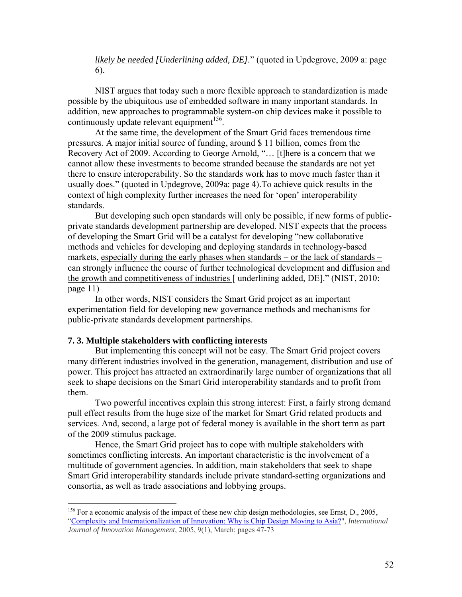*likely be needed [Underlining added, DE].*" (quoted in Updegrove, 2009 a: page 6).

 NIST argues that today such a more flexible approach to standardization is made possible by the ubiquitous use of embedded software in many important standards. In addition, new approaches to programmable system-on chip devices make it possible to continuously update relevant equipment $156$ .

 At the same time, the development of the Smart Grid faces tremendous time pressures. A major initial source of funding, around \$ 11 billion, comes from the Recovery Act of 2009. According to George Arnold, "… [t]here is a concern that we cannot allow these investments to become stranded because the standards are not yet there to ensure interoperability. So the standards work has to move much faster than it usually does." (quoted in Updegrove, 2009a: page 4).To achieve quick results in the context of high complexity further increases the need for 'open' interoperability standards.

 But developing such open standards will only be possible, if new forms of publicprivate standards development partnership are developed. NIST expects that the process of developing the Smart Grid will be a catalyst for developing "new collaborative methods and vehicles for developing and deploying standards in technology-based markets, especially during the early phases when standards – or the lack of standards – can strongly influence the course of further technological development and diffusion and the growth and competitiveness of industries [ underlining added, DE]." (NIST, 2010: page 11)

 In other words, NIST considers the Smart Grid project as an important experimentation field for developing new governance methods and mechanisms for public-private standards development partnerships.

#### **7. 3. Multiple stakeholders with conflicting interests**

 $\overline{a}$ 

 But implementing this concept will not be easy. The Smart Grid project covers many different industries involved in the generation, management, distribution and use of power. This project has attracted an extraordinarily large number of organizations that all seek to shape decisions on the Smart Grid interoperability standards and to profit from them.

 Two powerful incentives explain this strong interest: First, a fairly strong demand pull effect results from the huge size of the market for Smart Grid related products and services. And, second, a large pot of federal money is available in the short term as part of the 2009 stimulus package.

 Hence, the Smart Grid project has to cope with multiple stakeholders with sometimes conflicting interests. An important characteristic is the involvement of a multitude of government agencies. In addition, main stakeholders that seek to shape Smart Grid interoperability standards include private standard-setting organizations and consortia, as well as trade associations and lobbying groups.

<sup>&</sup>lt;sup>156</sup> For a economic analysis of the impact of these new chip design methodologies, see Ernst, D., 2005, "Complexity and Internationalization of Innovation: Why is Chip Design Moving to Asia?", *International Journal of Innovation Management*, 2005, 9(1), March: pages 47-73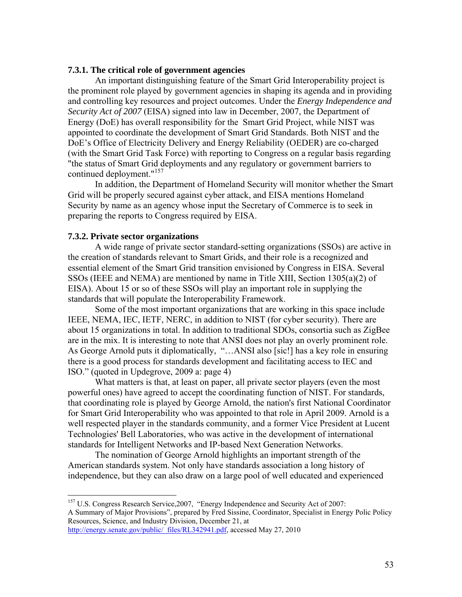#### **7.3.1. The critical role of government agencies**

An important distinguishing feature of the Smart Grid Interoperability project is the prominent role played by government agencies in shaping its agenda and in providing and controlling key resources and project outcomes. Under the *Energy Independence and Security Act of 2007* (EISA) signed into law in December, 2007, the Department of Energy (DoE) has overall responsibility for the Smart Grid Project, while NIST was appointed to coordinate the development of Smart Grid Standards. Both NIST and the DoE's Office of Electricity Delivery and Energy Reliability (OEDER) are co-charged (with the Smart Grid Task Force) with reporting to Congress on a regular basis regarding "the status of Smart Grid deployments and any regulatory or government barriers to continued deployment."<sup>157</sup>

 In addition, the Department of Homeland Security will monitor whether the Smart Grid will be properly secured against cyber attack, and EISA mentions Homeland Security by name as an agency whose input the Secretary of Commerce is to seek in preparing the reports to Congress required by EISA.

#### **7.3.2. Private sector organizations**

1

 A wide range of private sector standard-setting organizations (SSOs) are active in the creation of standards relevant to Smart Grids, and their role is a recognized and essential element of the Smart Grid transition envisioned by Congress in EISA. Several SSOs (IEEE and NEMA) are mentioned by name in Title XIII, Section 1305(a)(2) of EISA). About 15 or so of these SSOs will play an important role in supplying the standards that will populate the Interoperability Framework.

 Some of the most important organizations that are working in this space include IEEE, NEMA, IEC, IETF, NERC, in addition to NIST (for cyber security). There are about 15 organizations in total. In addition to traditional SDOs, consortia such as ZigBee are in the mix. It is interesting to note that ANSI does not play an overly prominent role. As George Arnold puts it diplomatically, "…ANSI also [sic!] has a key role in ensuring there is a good process for standards development and facilitating access to IEC and ISO." (quoted in Updegrove, 2009 a: page 4)

 What matters is that, at least on paper, all private sector players (even the most powerful ones) have agreed to accept the coordinating function of NIST. For standards, that coordinating role is played by George Arnold, the nation's first National Coordinator for Smart Grid Interoperability who was appointed to that role in April 2009. Arnold is a well respected player in the standards community, and a former Vice President at Lucent Technologies' Bell Laboratories, who was active in the development of international standards for Intelligent Networks and IP-based Next Generation Networks.

 The nomination of George Arnold highlights an important strength of the American standards system. Not only have standards association a long history of independence, but they can also draw on a large pool of well educated and experienced

<sup>&</sup>lt;sup>157</sup> U.S. Congress Research Service, 2007, "Energy Independence and Security Act of 2007: A Summary of Major Provisions", prepared by Fred Sissine, Coordinator, Specialist in Energy Polic Policy Resources, Science, and Industry Division, December 21, at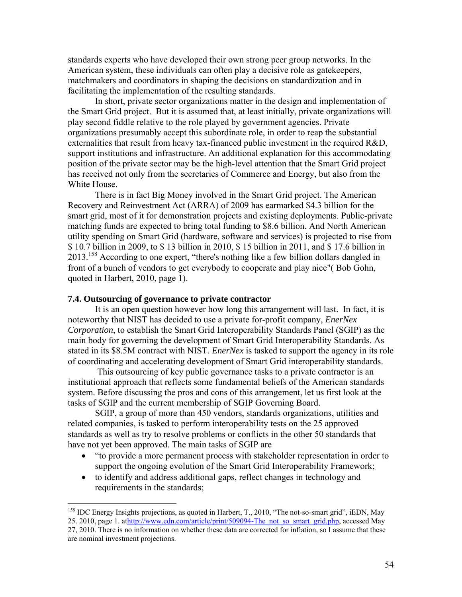standards experts who have developed their own strong peer group networks. In the American system, these individuals can often play a decisive role as gatekeepers, matchmakers and coordinators in shaping the decisions on standardization and in facilitating the implementation of the resulting standards.

 In short, private sector organizations matter in the design and implementation of the Smart Grid project. But it is assumed that, at least initially, private organizations will play second fiddle relative to the role played by government agencies. Private organizations presumably accept this subordinate role, in order to reap the substantial externalities that result from heavy tax-financed public investment in the required R&D, support institutions and infrastructure. An additional explanation for this accommodating position of the private sector may be the high-level attention that the Smart Grid project has received not only from the secretaries of Commerce and Energy, but also from the White House.

 There is in fact Big Money involved in the Smart Grid project. The American Recovery and Reinvestment Act (ARRA) of 2009 has earmarked \$4.3 billion for the smart grid, most of it for demonstration projects and existing deployments. Public-private matching funds are expected to bring total funding to \$8.6 billion. And North American utility spending on Smart Grid (hardware, software and services) is projected to rise from \$ 10.7 billion in 2009, to \$ 13 billion in 2010, \$ 15 billion in 2011, and \$ 17.6 billion in  $2013$ <sup>158</sup> According to one expert, "there's nothing like a few billion dollars dangled in front of a bunch of vendors to get everybody to cooperate and play nice"( Bob Gohn, quoted in Harbert, 2010, page 1).

#### **7.4. Outsourcing of governance to private contractor**

<u>.</u>

 It is an open question however how long this arrangement will last. In fact, it is noteworthy that NIST has decided to use a private for-profit company, *EnerNex Corporation*, to establish the Smart Grid Interoperability Standards Panel (SGIP) as the main body for governing the development of Smart Grid Interoperability Standards. As stated in its \$8.5M contract with NIST. *EnerNex* is tasked to support the agency in its role of coordinating and accelerating development of Smart Grid interoperability standards.

 This outsourcing of key public governance tasks to a private contractor is an institutional approach that reflects some fundamental beliefs of the American standards system. Before discussing the pros and cons of this arrangement, let us first look at the tasks of SGIP and the current membership of SGIP Governing Board.

 SGIP, a group of more than 450 vendors, standards organizations, utilities and related companies, is tasked to perform interoperability tests on the 25 approved standards as well as try to resolve problems or conflicts in the other 50 standards that have not yet been approved. The main tasks of SGIP are

- "to provide a more permanent process with stakeholder representation in order to support the ongoing evolution of the Smart Grid Interoperability Framework;
- to identify and address additional gaps, reflect changes in technology and requirements in the standards;

<sup>&</sup>lt;sup>158</sup> IDC Energy Insights projections, as quoted in Harbert, T., 2010, "The not-so-smart grid", iEDN, May 25. 2010, page 1. athttp://www.edn.com/article/print/509094-The\_not\_so\_smart\_grid.php, accessed May

<sup>27, 2010.</sup> There is no information on whether these data are corrected for inflation, so I assume that these are nominal investment projections.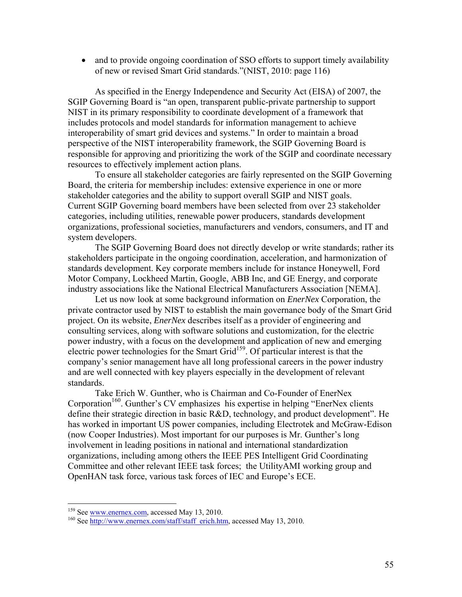• and to provide ongoing coordination of SSO efforts to support timely availability of new or revised Smart Grid standards."(NIST, 2010: page 116)

 As specified in the Energy Independence and Security Act (EISA) of 2007, the SGIP Governing Board is "an open, transparent public-private partnership to support NIST in its primary responsibility to coordinate development of a framework that includes protocols and model standards for information management to achieve interoperability of smart grid devices and systems." In order to maintain a broad perspective of the NIST interoperability framework, the SGIP Governing Board is responsible for approving and prioritizing the work of the SGIP and coordinate necessary resources to effectively implement action plans.

 To ensure all stakeholder categories are fairly represented on the SGIP Governing Board, the criteria for membership includes: extensive experience in one or more stakeholder categories and the ability to support overall SGIP and NIST goals. Current SGIP Governing board members have been selected from over 23 stakeholder categories, including utilities, renewable power producers, standards development organizations, professional societies, manufacturers and vendors, consumers, and IT and system developers.

 The SGIP Governing Board does not directly develop or write standards; rather its stakeholders participate in the ongoing coordination, acceleration, and harmonization of standards development. Key corporate members include for instance Honeywell, Ford Motor Company, Lockheed Martin, Google, ABB Inc, and GE Energy, and corporate industry associations like the National Electrical Manufacturers Association [NEMA].

 Let us now look at some background information on *EnerNex* Corporation, the private contractor used by NIST to establish the main governance body of the Smart Grid project. On its website, *EnerNex* describes itself as a provider of engineering and consulting services, along with software solutions and customization, for the electric power industry, with a focus on the development and application of new and emerging electric power technologies for the Smart Grid<sup>159</sup>. Of particular interest is that the company's senior management have all long professional careers in the power industry and are well connected with key players especially in the development of relevant standards.

 Take Erich W. Gunther, who is Chairman and Co-Founder of EnerNex Corporation<sup>160</sup>. Gunther's CV emphasizes his expertise in helping "EnerNex clients" define their strategic direction in basic R&D, technology, and product development". He has worked in important US power companies, including Electrotek and McGraw-Edison (now Cooper Industries). Most important for our purposes is Mr. Gunther's long involvement in leading positions in national and international standardization organizations, including among others the IEEE PES Intelligent Grid Coordinating Committee and other relevant IEEE task forces; the UtilityAMI working group and OpenHAN task force, various task forces of IEC and Europe's ECE.

<sup>&</sup>lt;sup>159</sup> See www.enernex.com, accessed May 13, 2010.

<sup>&</sup>lt;sup>160</sup> See http://www.enernex.com/staff/staff\_erich.htm, accessed May 13, 2010.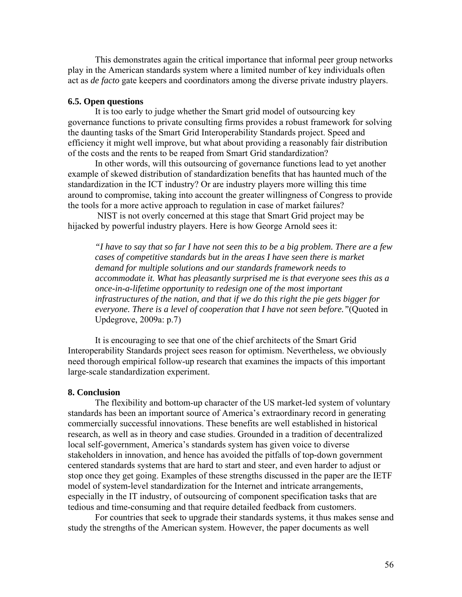This demonstrates again the critical importance that informal peer group networks play in the American standards system where a limited number of key individuals often act as *de facto* gate keepers and coordinators among the diverse private industry players.

#### **6.5. Open questions**

 It is too early to judge whether the Smart grid model of outsourcing key governance functions to private consulting firms provides a robust framework for solving the daunting tasks of the Smart Grid Interoperability Standards project. Speed and efficiency it might well improve, but what about providing a reasonably fair distribution of the costs and the rents to be reaped from Smart Grid standardization?

 In other words, will this outsourcing of governance functions lead to yet another example of skewed distribution of standardization benefits that has haunted much of the standardization in the ICT industry? Or are industry players more willing this time around to compromise, taking into account the greater willingness of Congress to provide the tools for a more active approach to regulation in case of market failures?

 NIST is not overly concerned at this stage that Smart Grid project may be hijacked by powerful industry players. Here is how George Arnold sees it:

*"I have to say that so far I have not seen this to be a big problem. There are a few cases of competitive standards but in the areas I have seen there is market demand for multiple solutions and our standards framework needs to accommodate it. What has pleasantly surprised me is that everyone sees this as a once-in-a-lifetime opportunity to redesign one of the most important infrastructures of the nation, and that if we do this right the pie gets bigger for everyone. There is a level of cooperation that I have not seen before."*(Quoted in Updegrove, 2009a: p.7)

 It is encouraging to see that one of the chief architects of the Smart Grid Interoperability Standards project sees reason for optimism. Nevertheless, we obviously need thorough empirical follow-up research that examines the impacts of this important large-scale standardization experiment.

#### **8. Conclusion**

 The flexibility and bottom-up character of the US market-led system of voluntary standards has been an important source of America's extraordinary record in generating commercially successful innovations. These benefits are well established in historical research, as well as in theory and case studies. Grounded in a tradition of decentralized local self-government, America's standards system has given voice to diverse stakeholders in innovation, and hence has avoided the pitfalls of top-down government centered standards systems that are hard to start and steer, and even harder to adjust or stop once they get going. Examples of these strengths discussed in the paper are the IETF model of system-level standardization for the Internet and intricate arrangements, especially in the IT industry, of outsourcing of component specification tasks that are tedious and time-consuming and that require detailed feedback from customers.

 For countries that seek to upgrade their standards systems, it thus makes sense and study the strengths of the American system. However, the paper documents as well